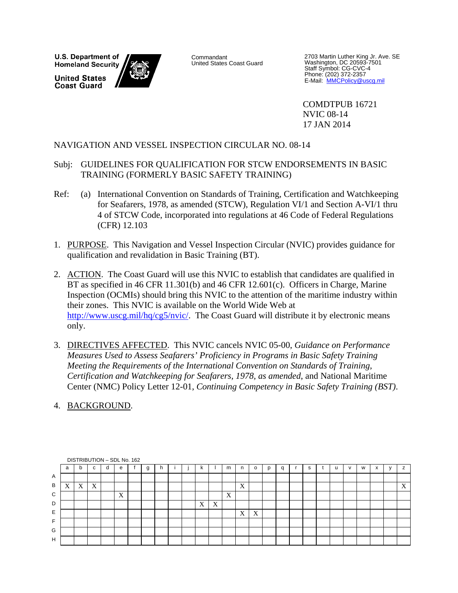U.S. Department of **Homeland Security United States Coast Guard** 



Commandant United States Coast Guard

2703 Martin Luther King Jr. Ave. SE Washington, DC 20593-7501 Staff Symbol: CG-CVC-4 Phone: (202) 372-2357<br>E-Mail: <u>MMCPolicy@uscg.mil</u>

 COMDTPUB 16721 NVIC 08-14 17 JAN 2014

# NAVIGATION AND VESSEL INSPECTION CIRCULAR NO. 08-14

- Subj: GUIDELINES FOR QUALIFICATION FOR STCW ENDORSEMENTS IN BASIC TRAINING (FORMERLY BASIC SAFETY TRAINING)
- Ref: (a) International Convention on Standards of Training, Certification and Watchkeeping for Seafarers, 1978, as amended (STCW), Regulation VI/1 and Section A-VI/1 thru 4 of STCW Code, incorporated into regulations at 46 Code of Federal Regulations (CFR) 12.103
- 1. PURPOSE. This Navigation and Vessel Inspection Circular (NVIC) provides guidance for qualification and revalidation in Basic Training (BT).
- 2. ACTION. The Coast Guard will use this NVIC to establish that candidates are qualified in BT as specified in 46 CFR 11.301(b) and 46 CFR 12.601(c). Officers in Charge, Marine Inspection (OCMIs) should bring this NVIC to the attention of the maritime industry within their zones. This NVIC is available on the World Wide Web at http://www.uscg.mil/hq/cg5/nvic/. The Coast Guard will distribute it by electronic means only.
- 3. DIRECTIVES AFFECTED. This NVIC cancels NVIC 05-00, *Guidance on Performance Measures Used to Assess Seafarers' Proficiency in Programs in Basic Safety Training Meeting the Requirements of the International Convention on Standards of Training, Certification and Watchkeeping for Seafarers, 1978, as amended*, and National Maritime Center (NMC) Policy Letter 12-01, *Continuing Competency in Basic Safety Training (BST)*.
- 4. BACKGROUND.

|   |                |   |                           |   | DISTRIBUTION - SDL No. 162 |   |   |  |    |                           |   |                           |   |   |   |  |   |           |                           |
|---|----------------|---|---------------------------|---|----------------------------|---|---|--|----|---------------------------|---|---------------------------|---|---|---|--|---|-----------|---------------------------|
|   | a              | b | $\sim$<br>u               | d | е                          | g | n |  | n. |                           | m |                           | o | q | s |  | W | $\lambda$ |                           |
| Α |                |   |                           |   |                            |   |   |  |    |                           |   |                           |   |   |   |  |   |           |                           |
| B | v<br>$\Lambda$ | X | $\boldsymbol{\mathrm{X}}$ |   |                            |   |   |  |    |                           |   | $\mathbf{v}$<br>$\Lambda$ |   |   |   |  |   |           | $\mathbf{v}$<br>$\Lambda$ |
| C |                |   |                           |   | X                          |   |   |  |    |                           | X |                           |   |   |   |  |   |           |                           |
| D |                |   |                           |   |                            |   |   |  | X  | $\boldsymbol{\mathrm{X}}$ |   |                           |   |   |   |  |   |           |                           |
| E |                |   |                           |   |                            |   |   |  |    |                           |   | X                         | X |   |   |  |   |           |                           |
| F |                |   |                           |   |                            |   |   |  |    |                           |   |                           |   |   |   |  |   |           |                           |
| G |                |   |                           |   |                            |   |   |  |    |                           |   |                           |   |   |   |  |   |           |                           |
| H |                |   |                           |   |                            |   |   |  |    |                           |   |                           |   |   |   |  |   |           |                           |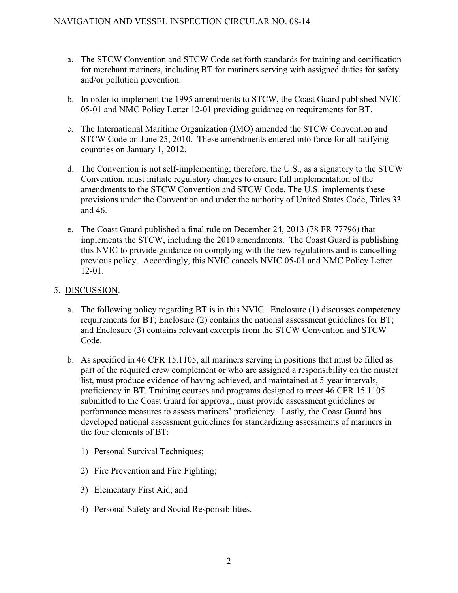- a. The STCW Convention and STCW Code set forth standards for training and certification for merchant mariners, including BT for mariners serving with assigned duties for safety and/or pollution prevention.
- b. In order to implement the 1995 amendments to STCW, the Coast Guard published NVIC 05-01 and NMC Policy Letter 12-01 providing guidance on requirements for BT.
- c. The International Maritime Organization (IMO) amended the STCW Convention and STCW Code on June 25, 2010. These amendments entered into force for all ratifying countries on January 1, 2012.
- d. The Convention is not self-implementing; therefore, the U.S., as a signatory to the STCW Convention, must initiate regulatory changes to ensure full implementation of the amendments to the STCW Convention and STCW Code. The U.S. implements these provisions under the Convention and under the authority of United States Code, Titles 33 and 46.
- e. The Coast Guard published a final rule on December 24, 2013 (78 FR 77796) that implements the STCW, including the 2010 amendments. The Coast Guard is publishing this NVIC to provide guidance on complying with the new regulations and is cancelling previous policy. Accordingly, this NVIC cancels NVIC 05-01 and NMC Policy Letter 12-01.

# 5. DISCUSSION.

- a. The following policy regarding BT is in this NVIC. Enclosure (1) discusses competency requirements for BT; Enclosure (2) contains the national assessment guidelines for BT; and Enclosure (3) contains relevant excerpts from the STCW Convention and STCW Code.
- b. As specified in 46 CFR 15.1105, all mariners serving in positions that must be filled as part of the required crew complement or who are assigned a responsibility on the muster list, must produce evidence of having achieved, and maintained at 5-year intervals, proficiency in BT. Training courses and programs designed to meet 46 CFR 15.1105 submitted to the Coast Guard for approval, must provide assessment guidelines or performance measures to assess mariners' proficiency. Lastly, the Coast Guard has developed national assessment guidelines for standardizing assessments of mariners in the four elements of BT:
	- 1) Personal Survival Techniques;
	- 2) Fire Prevention and Fire Fighting;
	- 3) Elementary First Aid; and
	- 4) Personal Safety and Social Responsibilities.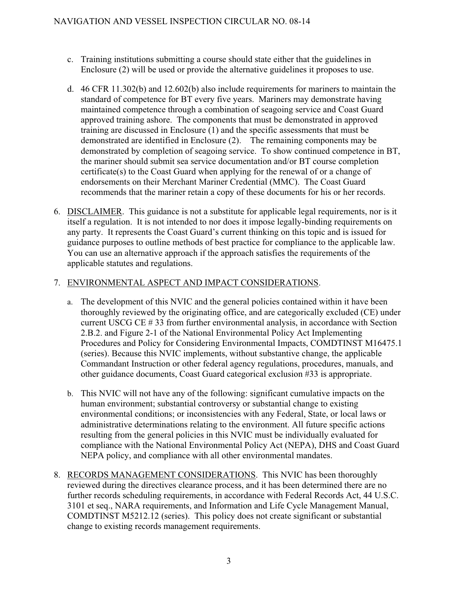- c. Training institutions submitting a course should state either that the guidelines in Enclosure (2) will be used or provide the alternative guidelines it proposes to use.
- d. 46 CFR 11.302(b) and 12.602(b) also include requirements for mariners to maintain the standard of competence for BT every five years. Mariners may demonstrate having maintained competence through a combination of seagoing service and Coast Guard approved training ashore. The components that must be demonstrated in approved training are discussed in Enclosure (1) and the specific assessments that must be demonstrated are identified in Enclosure (2). The remaining components may be demonstrated by completion of seagoing service. To show continued competence in BT, the mariner should submit sea service documentation and/or BT course completion certificate(s) to the Coast Guard when applying for the renewal of or a change of endorsements on their Merchant Mariner Credential (MMC). The Coast Guard recommends that the mariner retain a copy of these documents for his or her records.
- 6. DISCLAIMER. This guidance is not a substitute for applicable legal requirements, nor is it itself a regulation. It is not intended to nor does it impose legally-binding requirements on any party. It represents the Coast Guard's current thinking on this topic and is issued for guidance purposes to outline methods of best practice for compliance to the applicable law. You can use an alternative approach if the approach satisfies the requirements of the applicable statutes and regulations.

# 7. ENVIRONMENTAL ASPECT AND IMPACT CONSIDERATIONS.

- a. The development of this NVIC and the general policies contained within it have been thoroughly reviewed by the originating office, and are categorically excluded (CE) under current USCG CE # 33 from further environmental analysis, in accordance with Section 2.B.2. and Figure 2-1 of the National Environmental Policy Act Implementing Procedures and Policy for Considering Environmental Impacts, COMDTINST M16475.1 (series). Because this NVIC implements, without substantive change, the applicable Commandant Instruction or other federal agency regulations, procedures, manuals, and other guidance documents, Coast Guard categorical exclusion #33 is appropriate.
- b. This NVIC will not have any of the following: significant cumulative impacts on the human environment; substantial controversy or substantial change to existing environmental conditions; or inconsistencies with any Federal, State, or local laws or administrative determinations relating to the environment. All future specific actions resulting from the general policies in this NVIC must be individually evaluated for compliance with the National Environmental Policy Act (NEPA), DHS and Coast Guard NEPA policy, and compliance with all other environmental mandates.
- 8. RECORDS MANAGEMENT CONSIDERATIONS. This NVIC has been thoroughly reviewed during the directives clearance process, and it has been determined there are no further records scheduling requirements, in accordance with Federal Records Act, 44 U.S.C. 3101 et seq., NARA requirements, and Information and Life Cycle Management Manual, COMDTINST M5212.12 (series). This policy does not create significant or substantial change to existing records management requirements.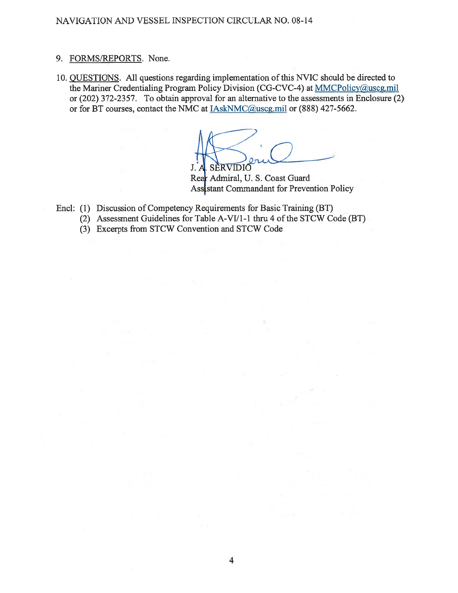# NAVIGATION AND VESSEL INSPECTION CIRCULAR NO. 08-14

### 9. FORMS/REPORTS. None.

10. QUESTIONS. All questions regarding implementation of this NVIC should be directed to the Mariner Credentialing Program Policy Division (CG-CVC-4) at MMCPolicy@uscg.mil or (202) 372-2357. To obtain approval for an alternative to the assessments in Enclosure (2) or for BT courses, contact the NMC at **IAskNMC@uscg.mil** or (888) 427-5662.

J. A. SERVIDIO

Rear Admiral, U. S. Coast Guard Assistant Commandant for Prevention Policy

- Encl: (1) Discussion of Competency Requirements for Basic Training (BT)
	- (2) Assessment Guidelines for Table A-VI/1-1 thru 4 of the STCW Code (BT)
	- (3) Excerpts from STCW Convention and STCW Code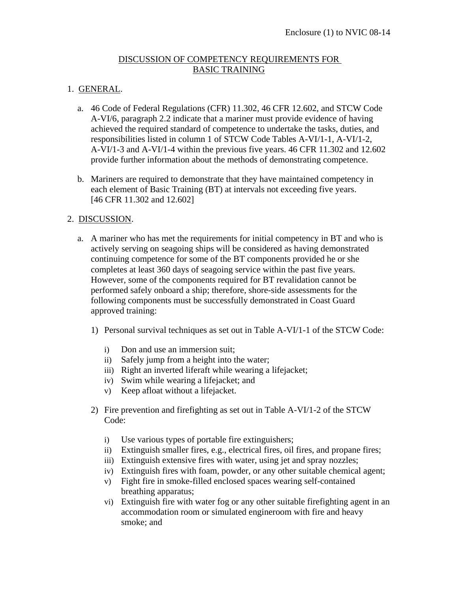# DISCUSSION OF COMPETENCY REQUIREMENTS FOR BASIC TRAINING

# 1. GENERAL.

- a. 46 Code of Federal Regulations (CFR) 11.302, 46 CFR 12.602, and STCW Code A-VI/6, paragraph 2.2 indicate that a mariner must provide evidence of having achieved the required standard of competence to undertake the tasks, duties, and responsibilities listed in column 1 of STCW Code Tables A-VI/1-1, A-VI/1-2, A-VI/1-3 and A-VI/1-4 within the previous five years. 46 CFR 11.302 and 12.602 provide further information about the methods of demonstrating competence.
- b. Mariners are required to demonstrate that they have maintained competency in each element of Basic Training (BT) at intervals not exceeding five years. [46 CFR 11.302 and 12.602]

# 2. DISCUSSION.

- a. A mariner who has met the requirements for initial competency in BT and who is actively serving on seagoing ships will be considered as having demonstrated continuing competence for some of the BT components provided he or she completes at least 360 days of seagoing service within the past five years. However, some of the components required for BT revalidation cannot be performed safely onboard a ship; therefore, shore-side assessments for the following components must be successfully demonstrated in Coast Guard approved training:
	- 1) Personal survival techniques as set out in Table A-VI/1-1 of the STCW Code:
		- i) Don and use an immersion suit;
		- ii) Safely jump from a height into the water;
		- iii) Right an inverted liferaft while wearing a lifejacket;
		- iv) Swim while wearing a lifejacket; and
		- v) Keep afloat without a lifejacket.
	- 2) Fire prevention and firefighting as set out in Table A-VI/1-2 of the STCW Code:
		- i) Use various types of portable fire extinguishers;
		- ii) Extinguish smaller fires, e.g., electrical fires, oil fires, and propane fires;
		- iii) Extinguish extensive fires with water, using jet and spray nozzles;
		- iv) Extinguish fires with foam, powder, or any other suitable chemical agent;
		- v) Fight fire in smoke-filled enclosed spaces wearing self-contained breathing apparatus;
		- vi) Extinguish fire with water fog or any other suitable firefighting agent in an accommodation room or simulated engineroom with fire and heavy smoke; and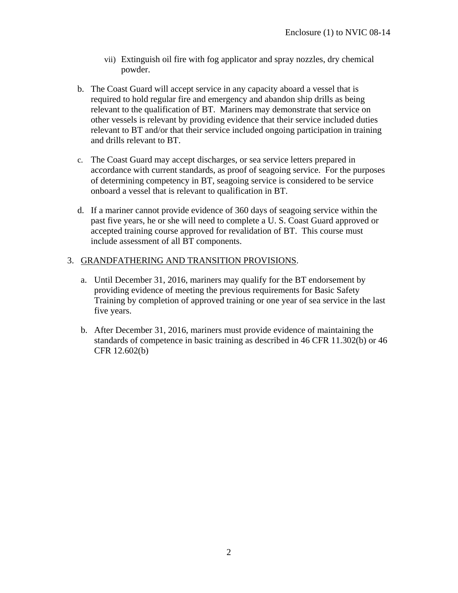- vii) Extinguish oil fire with fog applicator and spray nozzles, dry chemical powder.
- b. The Coast Guard will accept service in any capacity aboard a vessel that is required to hold regular fire and emergency and abandon ship drills as being relevant to the qualification of BT. Mariners may demonstrate that service on other vessels is relevant by providing evidence that their service included duties relevant to BT and/or that their service included ongoing participation in training and drills relevant to BT.
- c. The Coast Guard may accept discharges, or sea service letters prepared in accordance with current standards, as proof of seagoing service. For the purposes of determining competency in BT, seagoing service is considered to be service onboard a vessel that is relevant to qualification in BT.
- d. If a mariner cannot provide evidence of 360 days of seagoing service within the past five years, he or she will need to complete a U. S. Coast Guard approved or accepted training course approved for revalidation of BT. This course must include assessment of all BT components.

# 3. GRANDFATHERING AND TRANSITION PROVISIONS.

- a. Until December 31, 2016, mariners may qualify for the BT endorsement by providing evidence of meeting the previous requirements for Basic Safety Training by completion of approved training or one year of sea service in the last five years.
- b. After December 31, 2016, mariners must provide evidence of maintaining the standards of competence in basic training as described in 46 CFR 11.302(b) or 46 CFR 12.602(b)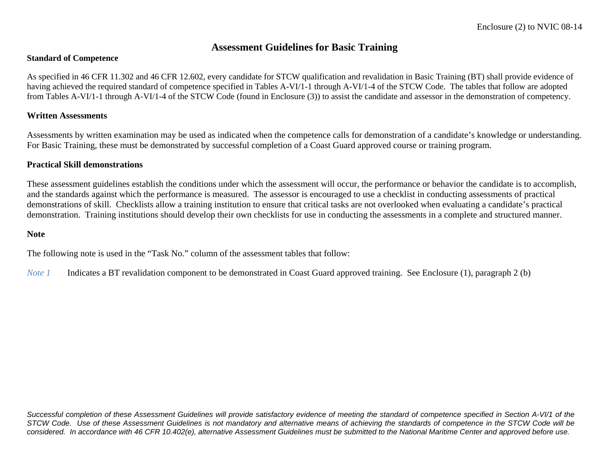# **Assessment Guidelines for Basic Training**

#### **Standard of Competence**

As specified in 46 CFR 11.302 and 46 CFR 12.602, every candidate for STCW qualification and revalidation in Basic Training (BT) shall provide evidence of having achieved the required standard of competence specified in Tables A-VI/1-1 through A-VI/1-4 of the STCW Code. The tables that follow are adopted from Tables A-VI/1-1 through A-VI/1-4 of the STCW Code (found in Enclosure (3)) to assist the candidate and assessor in the demonstration of competency.

#### **Written Assessments**

Assessments by written examination may be used as indicated when the competence calls for demonstration of a candidate's knowledge or understanding. For Basic Training, these must be demonstrated by successful completion of a Coast Guard approved course or training program.

### **Practical Skill demonstrations**

These assessment guidelines establish the conditions under which the assessment will occur, the performance or behavior the candidate is to accomplish, and the standards against which the performance is measured. The assessor is encouraged to use a checklist in conducting assessments of practical demonstrations of skill. Checklists allow a training institution to ensure that critical tasks are not overlooked when evaluating a candidate's practical demonstration. Training institutions should develop their own checklists for use in conducting the assessments in a complete and structured manner.

#### **Note**

The following note is used in the "Task No." column of the assessment tables that follow:

*Note 1*Indicates a BT revalidation component to be demonstrated in Coast Guard approved training. See Enclosure (1), paragraph 2 (b)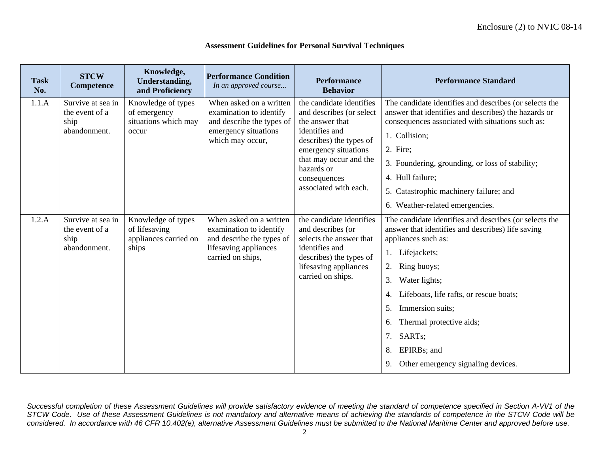#### **Assessment Guidelines for Personal Survival Techniques**

| <b>Task</b><br>No. | <b>STCW</b><br>Competence                                   | Knowledge,<br><b>Understanding,</b><br>and Proficiency                | <b>Performance Condition</b><br>In an approved course                                                                         | <b>Performance</b><br><b>Behavior</b>                                                                                                                                                                                         | <b>Performance Standard</b>                                                                                                                                                                                                                                                                                                                                                          |
|--------------------|-------------------------------------------------------------|-----------------------------------------------------------------------|-------------------------------------------------------------------------------------------------------------------------------|-------------------------------------------------------------------------------------------------------------------------------------------------------------------------------------------------------------------------------|--------------------------------------------------------------------------------------------------------------------------------------------------------------------------------------------------------------------------------------------------------------------------------------------------------------------------------------------------------------------------------------|
| 1.1.A              | Survive at sea in<br>the event of a<br>ship<br>abandonment. | Knowledge of types<br>of emergency<br>situations which may<br>occur   | When asked on a written<br>examination to identify<br>and describe the types of<br>emergency situations<br>which may occur,   | the candidate identifies<br>and describes (or select<br>the answer that<br>identifies and<br>describes) the types of<br>emergency situations<br>that may occur and the<br>hazards or<br>consequences<br>associated with each. | The candidate identifies and describes (or selects the<br>answer that identifies and describes) the hazards or<br>consequences associated with situations such as:<br>1. Collision;<br>2. Fire;<br>3. Foundering, grounding, or loss of stability;<br>4. Hull failure;<br>5. Catastrophic machinery failure; and<br>6. Weather-related emergencies.                                  |
| 1.2.A              | Survive at sea in<br>the event of a<br>ship<br>abandonment. | Knowledge of types<br>of lifesaving<br>appliances carried on<br>ships | When asked on a written<br>examination to identify<br>and describe the types of<br>lifesaving appliances<br>carried on ships, | the candidate identifies<br>and describes (or<br>selects the answer that<br>identifies and<br>describes) the types of<br>lifesaving appliances<br>carried on ships.                                                           | The candidate identifies and describes (or selects the<br>answer that identifies and describes) life saving<br>appliances such as:<br>1. Lifejackets;<br>Ring buoys;<br>3.<br>Water lights;<br>Lifeboats, life rafts, or rescue boats;<br>4.<br>Immersion suits;<br>.5.<br>Thermal protective aids;<br>6.<br>7. SARTs;<br>EPIRBs; and<br>8.<br>9. Other emergency signaling devices. |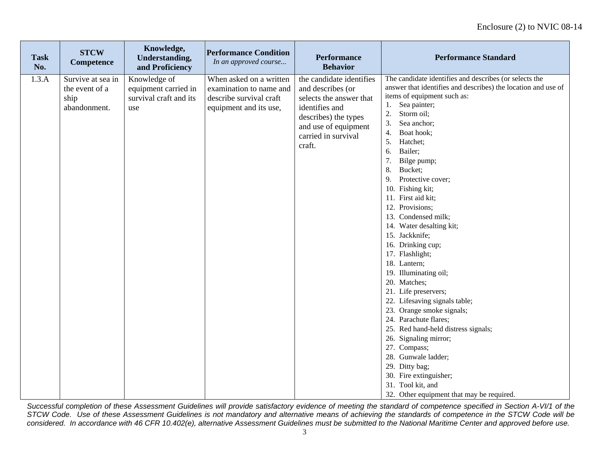| <b>Task</b><br>No. | <b>STCW</b><br>Competence                                   | Knowledge,<br>Understanding,<br>and Proficiency                       | <b>Performance Condition</b><br>In an approved course                                                   | <b>Performance</b><br><b>Behavior</b>                                                                                                                                       | <b>Performance Standard</b>                                                                                                                                                                                                                                                                                                                                                                                                                                                                                                                                                                                                                                                                                                                                                                                                                                                                                       |
|--------------------|-------------------------------------------------------------|-----------------------------------------------------------------------|---------------------------------------------------------------------------------------------------------|-----------------------------------------------------------------------------------------------------------------------------------------------------------------------------|-------------------------------------------------------------------------------------------------------------------------------------------------------------------------------------------------------------------------------------------------------------------------------------------------------------------------------------------------------------------------------------------------------------------------------------------------------------------------------------------------------------------------------------------------------------------------------------------------------------------------------------------------------------------------------------------------------------------------------------------------------------------------------------------------------------------------------------------------------------------------------------------------------------------|
| 1.3.A              | Survive at sea in<br>the event of a<br>ship<br>abandonment. | Knowledge of<br>equipment carried in<br>survival craft and its<br>use | When asked on a written<br>examination to name and<br>describe survival craft<br>equipment and its use, | the candidate identifies<br>and describes (or<br>selects the answer that<br>identifies and<br>describes) the types<br>and use of equipment<br>carried in survival<br>craft. | The candidate identifies and describes (or selects the<br>answer that identifies and describes) the location and use of<br>items of equipment such as:<br>1.<br>Sea painter;<br>2.<br>Storm oil;<br>3.<br>Sea anchor;<br>Boat hook;<br>4.<br>5.<br>Hatchet;<br>Bailer;<br>6.<br>7.<br>Bilge pump;<br>8.<br>Bucket;<br>9. Protective cover;<br>10. Fishing kit;<br>11. First aid kit;<br>12. Provisions;<br>13. Condensed milk;<br>14. Water desalting kit;<br>15. Jackknife;<br>16. Drinking cup;<br>17. Flashlight;<br>18. Lantern;<br>19. Illuminating oil;<br>20. Matches;<br>21. Life preservers;<br>22. Lifesaving signals table;<br>23. Orange smoke signals;<br>24. Parachute flares;<br>25. Red hand-held distress signals;<br>26. Signaling mirror;<br>27. Compass;<br>28. Gunwale ladder;<br>29. Ditty bag;<br>30. Fire extinguisher;<br>31. Tool kit, and<br>32. Other equipment that may be required. |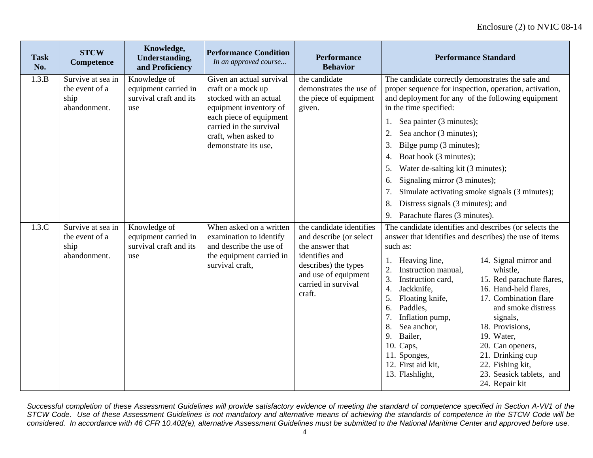| <b>Task</b><br>No. | <b>STCW</b><br>Competence                                   | Knowledge,<br><b>Understanding,</b><br>and Proficiency                | <b>Performance Condition</b><br>In an approved course                                                                                                                                                    | <b>Performance</b><br><b>Behavior</b>                                                                                                                                     | <b>Performance Standard</b>                                                                                                                                                                                                                                                                                                                                                                                                                                                                                                                                                                                                                                                                       |
|--------------------|-------------------------------------------------------------|-----------------------------------------------------------------------|----------------------------------------------------------------------------------------------------------------------------------------------------------------------------------------------------------|---------------------------------------------------------------------------------------------------------------------------------------------------------------------------|---------------------------------------------------------------------------------------------------------------------------------------------------------------------------------------------------------------------------------------------------------------------------------------------------------------------------------------------------------------------------------------------------------------------------------------------------------------------------------------------------------------------------------------------------------------------------------------------------------------------------------------------------------------------------------------------------|
| 1.3.B              | Survive at sea in<br>the event of a<br>ship<br>abandonment. | Knowledge of<br>equipment carried in<br>survival craft and its<br>use | Given an actual survival<br>craft or a mock up<br>stocked with an actual<br>equipment inventory of<br>each piece of equipment<br>carried in the survival<br>craft, when asked to<br>demonstrate its use, | the candidate<br>demonstrates the use of<br>the piece of equipment<br>given.                                                                                              | The candidate correctly demonstrates the safe and<br>proper sequence for inspection, operation, activation,<br>and deployment for any of the following equipment<br>in the time specified:<br>Sea painter (3 minutes);<br>1.<br>Sea anchor (3 minutes);<br>2.<br>3.<br>Bilge pump (3 minutes);<br>Boat hook (3 minutes);<br>4.<br>5.<br>Water de-salting kit (3 minutes);<br>Signaling mirror (3 minutes);<br>6.<br>Simulate activating smoke signals (3 minutes);<br>7.<br>Distress signals (3 minutes); and<br>8.<br>Parachute flares (3 minutes).<br>9.                                                                                                                                        |
| 1.3.C              | Survive at sea in<br>the event of a<br>ship<br>abandonment. | Knowledge of<br>equipment carried in<br>survival craft and its<br>use | When asked on a written<br>examination to identify<br>and describe the use of<br>the equipment carried in<br>survival craft,                                                                             | the candidate identifies<br>and describe (or select<br>the answer that<br>identifies and<br>describes) the types<br>and use of equipment<br>carried in survival<br>craft. | The candidate identifies and describes (or selects the<br>answer that identifies and describes) the use of items<br>such as:<br>1. Heaving line,<br>14. Signal mirror and<br>Instruction manual,<br>whistle,<br>15. Red parachute flares,<br>3.<br>Instruction card,<br>16. Hand-held flares,<br>Jackknife,<br>4.<br>5.<br>Floating knife,<br>17. Combination flare<br>Paddles.<br>and smoke distress<br>6.<br>Inflation pump,<br>signals,<br>Sea anchor,<br>8.<br>18. Provisions,<br>Bailer,<br>9.<br>19. Water,<br>10. Caps,<br>20. Can openers,<br>11. Sponges,<br>21. Drinking cup<br>12. First aid kit,<br>22. Fishing kit,<br>13. Flashlight,<br>23. Seasick tablets, and<br>24. Repair kit |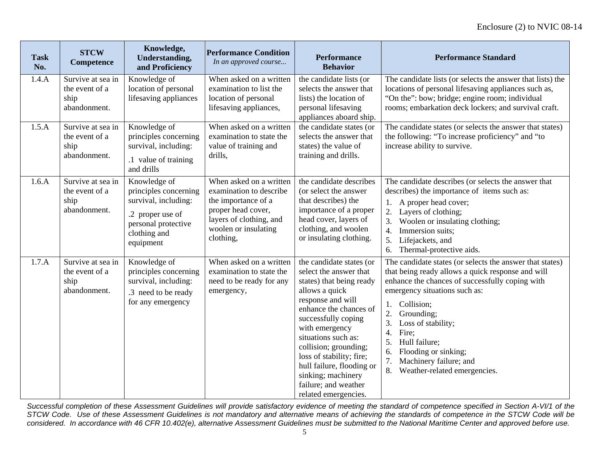| <b>Task</b><br>No. | <b>STCW</b><br>Competence                                   | Knowledge,<br><b>Understanding,</b><br>and Proficiency                                                                                | <b>Performance Condition</b><br>In an approved course                                                                                                           | <b>Performance</b><br><b>Behavior</b>                                                                                                                                                                                                                                                                                                                                   | <b>Performance Standard</b>                                                                                                                                                                                                                                                                                                                                                                                                   |
|--------------------|-------------------------------------------------------------|---------------------------------------------------------------------------------------------------------------------------------------|-----------------------------------------------------------------------------------------------------------------------------------------------------------------|-------------------------------------------------------------------------------------------------------------------------------------------------------------------------------------------------------------------------------------------------------------------------------------------------------------------------------------------------------------------------|-------------------------------------------------------------------------------------------------------------------------------------------------------------------------------------------------------------------------------------------------------------------------------------------------------------------------------------------------------------------------------------------------------------------------------|
| 1.4.A              | Survive at sea in<br>the event of a<br>ship<br>abandonment. | Knowledge of<br>location of personal<br>lifesaving appliances                                                                         | When asked on a written<br>examination to list the<br>location of personal<br>lifesaving appliances,                                                            | the candidate lists (or<br>selects the answer that<br>lists) the location of<br>personal lifesaving<br>appliances aboard ship.                                                                                                                                                                                                                                          | The candidate lists (or selects the answer that lists) the<br>locations of personal lifesaving appliances such as,<br>"On the": bow; bridge; engine room; individual<br>rooms; embarkation deck lockers; and survival craft.                                                                                                                                                                                                  |
| 1.5.A              | Survive at sea in<br>the event of a<br>ship<br>abandonment. | Knowledge of<br>principles concerning<br>survival, including:<br>.1 value of training<br>and drills                                   | When asked on a written<br>examination to state the<br>value of training and<br>drills,                                                                         | the candidate states (or<br>selects the answer that<br>states) the value of<br>training and drills.                                                                                                                                                                                                                                                                     | The candidate states (or selects the answer that states)<br>the following: "To increase proficiency" and "to<br>increase ability to survive.                                                                                                                                                                                                                                                                                  |
| 1.6.A              | Survive at sea in<br>the event of a<br>ship<br>abandonment. | Knowledge of<br>principles concerning<br>survival, including:<br>.2 proper use of<br>personal protective<br>clothing and<br>equipment | When asked on a written<br>examination to describe<br>the importance of a<br>proper head cover,<br>layers of clothing, and<br>woolen or insulating<br>clothing, | the candidate describes<br>(or select the answer<br>that describes) the<br>importance of a proper<br>head cover, layers of<br>clothing, and woolen<br>or insulating clothing.                                                                                                                                                                                           | The candidate describes (or selects the answer that<br>describes) the importance of items such as:<br>1. A proper head cover;<br>2. Layers of clothing;<br>3.<br>Woolen or insulating clothing;<br>Immersion suits;<br>4.<br>5. Lifejackets, and<br>Thermal-protective aids.<br>6.                                                                                                                                            |
| 1.7.A              | Survive at sea in<br>the event of a<br>ship<br>abandonment. | Knowledge of<br>principles concerning<br>survival, including:<br>.3 need to be ready<br>for any emergency                             | When asked on a written<br>examination to state the<br>need to be ready for any<br>emergency,                                                                   | the candidate states (or<br>select the answer that<br>states) that being ready<br>allows a quick<br>response and will<br>enhance the chances of<br>successfully coping<br>with emergency<br>situations such as:<br>collision; grounding;<br>loss of stability; fire;<br>hull failure, flooding or<br>sinking; machinery<br>failure; and weather<br>related emergencies. | The candidate states (or selects the answer that states)<br>that being ready allows a quick response and will<br>enhance the chances of successfully coping with<br>emergency situations such as:<br>Collision;<br>1.<br>2.<br>Grounding;<br>3.<br>Loss of stability;<br>$\overline{4}$ .<br>Fire;<br>5.<br>Hull failure;<br>Flooding or sinking;<br>6.<br>7.<br>Machinery failure; and<br>8.<br>Weather-related emergencies. |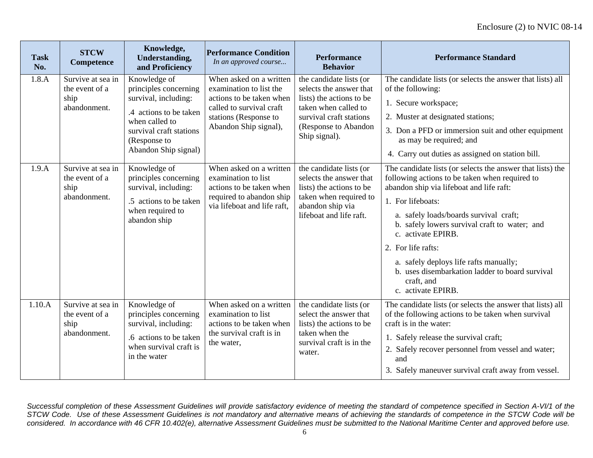| <b>Task</b><br>No. | <b>STCW</b><br>Competence                                   | Knowledge,<br>Understanding,<br>and Proficiency                                                                                                                              | <b>Performance Condition</b><br>In an approved course                                                                                                        | <b>Performance</b><br><b>Behavior</b>                                                                                                                                      | <b>Performance Standard</b>                                                                                                                                                                                                                                                                                                                                                                                                                           |
|--------------------|-------------------------------------------------------------|------------------------------------------------------------------------------------------------------------------------------------------------------------------------------|--------------------------------------------------------------------------------------------------------------------------------------------------------------|----------------------------------------------------------------------------------------------------------------------------------------------------------------------------|-------------------------------------------------------------------------------------------------------------------------------------------------------------------------------------------------------------------------------------------------------------------------------------------------------------------------------------------------------------------------------------------------------------------------------------------------------|
| 1.8.A              | Survive at sea in<br>the event of a<br>ship<br>abandonment. | Knowledge of<br>principles concerning<br>survival, including:<br>.4 actions to be taken<br>when called to<br>survival craft stations<br>(Response to<br>Abandon Ship signal) | When asked on a written<br>examination to list the<br>actions to be taken when<br>called to survival craft<br>stations (Response to<br>Abandon Ship signal), | the candidate lists (or<br>selects the answer that<br>lists) the actions to be<br>taken when called to<br>survival craft stations<br>(Response to Abandon<br>Ship signal). | The candidate lists (or selects the answer that lists) all<br>of the following:<br>1. Secure workspace;<br>2. Muster at designated stations;<br>3. Don a PFD or immersion suit and other equipment<br>as may be required; and<br>4. Carry out duties as assigned on station bill.                                                                                                                                                                     |
| 1.9.A              | Survive at sea in<br>the event of a<br>ship<br>abandonment. | Knowledge of<br>principles concerning<br>survival, including:<br>.5 actions to be taken<br>when required to<br>abandon ship                                                  | When asked on a written<br>examination to list<br>actions to be taken when<br>required to abandon ship<br>via lifeboat and life raft,                        | the candidate lists (or<br>selects the answer that<br>lists) the actions to be<br>taken when required to<br>abandon ship via<br>lifeboat and life raft.                    | The candidate lists (or selects the answer that lists) the<br>following actions to be taken when required to<br>abandon ship via lifeboat and life raft:<br>1. For lifeboats:<br>a. safely loads/boards survival craft;<br>b. safely lowers survival craft to water; and<br>c. activate EPIRB.<br>2. For life rafts:<br>a. safely deploys life rafts manually;<br>b. uses disembarkation ladder to board survival<br>craft, and<br>c. activate EPIRB. |
| 1.10.A             | Survive at sea in<br>the event of a<br>ship<br>abandonment. | Knowledge of<br>principles concerning<br>survival, including:<br>.6 actions to be taken<br>when survival craft is<br>in the water                                            | When asked on a written<br>examination to list<br>actions to be taken when<br>the survival craft is in<br>the water,                                         | the candidate lists (or<br>select the answer that<br>lists) the actions to be<br>taken when the<br>survival craft is in the<br>water.                                      | The candidate lists (or selects the answer that lists) all<br>of the following actions to be taken when survival<br>craft is in the water:<br>1. Safely release the survival craft;<br>2. Safely recover personnel from vessel and water;<br>and<br>3. Safely maneuver survival craft away from vessel.                                                                                                                                               |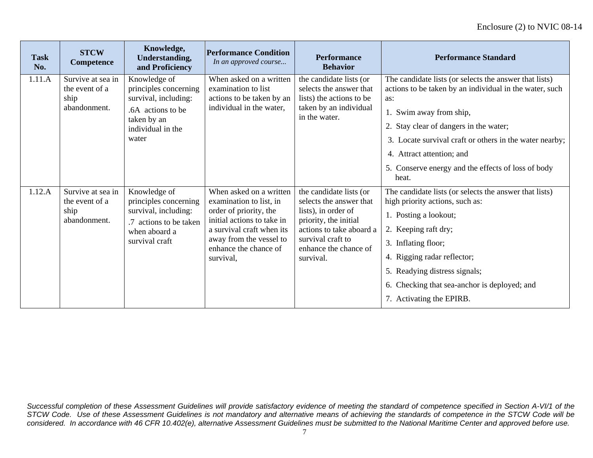| <b>Task</b><br>No. | <b>STCW</b><br>Competence                                   | Knowledge,<br><b>Understanding,</b><br>and Proficiency                                                                          | <b>Performance Condition</b><br>In an approved course                                                                                                                                                    | <b>Performance</b><br><b>Behavior</b>                                                                                                                                                     | <b>Performance Standard</b>                                                                                                                                                                                                                                                                                                                          |
|--------------------|-------------------------------------------------------------|---------------------------------------------------------------------------------------------------------------------------------|----------------------------------------------------------------------------------------------------------------------------------------------------------------------------------------------------------|-------------------------------------------------------------------------------------------------------------------------------------------------------------------------------------------|------------------------------------------------------------------------------------------------------------------------------------------------------------------------------------------------------------------------------------------------------------------------------------------------------------------------------------------------------|
| 1.11.A             | Survive at sea in<br>the event of a<br>ship<br>abandonment. | Knowledge of<br>principles concerning<br>survival, including:<br>.6A actions to be<br>taken by an<br>individual in the<br>water | When asked on a written<br>examination to list<br>actions to be taken by an<br>individual in the water,                                                                                                  | the candidate lists (or<br>selects the answer that<br>lists) the actions to be<br>taken by an individual<br>in the water.                                                                 | The candidate lists (or selects the answer that lists)<br>actions to be taken by an individual in the water, such<br>as:<br>1. Swim away from ship,<br>2. Stay clear of dangers in the water;<br>3. Locate survival craft or others in the water nearby;<br>4. Attract attention; and<br>5. Conserve energy and the effects of loss of body<br>heat. |
| 1.12.A             | Survive at sea in<br>the event of a<br>ship<br>abandonment. | Knowledge of<br>principles concerning<br>survival, including:<br>.7 actions to be taken<br>when aboard a<br>survival craft      | When asked on a written<br>examination to list, in<br>order of priority, the<br>initial actions to take in<br>a survival craft when its<br>away from the vessel to<br>enhance the chance of<br>survival, | the candidate lists (or<br>selects the answer that<br>lists), in order of<br>priority, the initial<br>actions to take aboard a<br>survival craft to<br>enhance the chance of<br>survival. | The candidate lists (or selects the answer that lists)<br>high priority actions, such as:<br>1. Posting a lookout;<br>2. Keeping raft dry;<br>3. Inflating floor;<br>4. Rigging radar reflector;<br>5. Readying distress signals;<br>6. Checking that sea-anchor is deployed; and<br>7. Activating the EPIRB.                                        |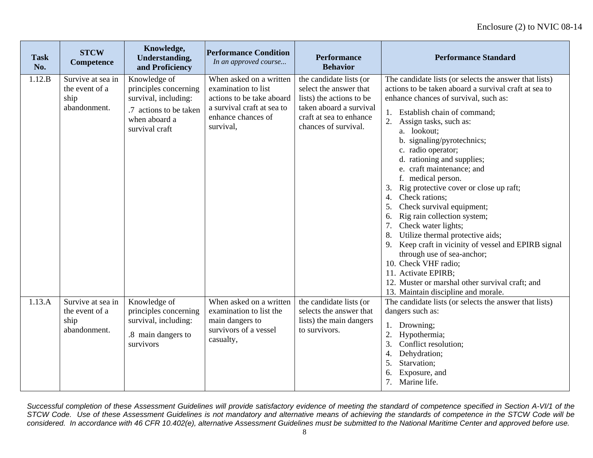| <b>Task</b><br>No. | <b>STCW</b><br>Competence                                   | Knowledge,<br><b>Understanding,</b><br>and Proficiency                                                                     | <b>Performance Condition</b><br>In an approved course                                                                                        | <b>Performance</b><br><b>Behavior</b>                                                                                                                       | <b>Performance Standard</b>                                                                                                                                                                                                                                                                                                                                                                                                                                                                                                                                                                                                                                                                                                                                                                                                       |
|--------------------|-------------------------------------------------------------|----------------------------------------------------------------------------------------------------------------------------|----------------------------------------------------------------------------------------------------------------------------------------------|-------------------------------------------------------------------------------------------------------------------------------------------------------------|-----------------------------------------------------------------------------------------------------------------------------------------------------------------------------------------------------------------------------------------------------------------------------------------------------------------------------------------------------------------------------------------------------------------------------------------------------------------------------------------------------------------------------------------------------------------------------------------------------------------------------------------------------------------------------------------------------------------------------------------------------------------------------------------------------------------------------------|
| 1.12.B             | Survive at sea in<br>the event of a<br>ship<br>abandonment. | Knowledge of<br>principles concerning<br>survival, including:<br>.7 actions to be taken<br>when aboard a<br>survival craft | When asked on a written<br>examination to list<br>actions to be take aboard<br>a survival craft at sea to<br>enhance chances of<br>survival, | the candidate lists (or<br>select the answer that<br>lists) the actions to be<br>taken aboard a survival<br>craft at sea to enhance<br>chances of survival. | The candidate lists (or selects the answer that lists)<br>actions to be taken aboard a survival craft at sea to<br>enhance chances of survival, such as:<br>1. Establish chain of command;<br>2.<br>Assign tasks, such as:<br>a. lookout;<br>b. signaling/pyrotechnics;<br>c. radio operator;<br>d. rationing and supplies;<br>e. craft maintenance; and<br>f. medical person.<br>Rig protective cover or close up raft;<br>3.<br>Check rations;<br>4.<br>Check survival equipment;<br>5.<br>Rig rain collection system;<br>6.<br>7.<br>Check water lights;<br>8. Utilize thermal protective aids;<br>9. Keep craft in vicinity of vessel and EPIRB signal<br>through use of sea-anchor;<br>10. Check VHF radio;<br>11. Activate EPIRB;<br>12. Muster or marshal other survival craft; and<br>13. Maintain discipline and morale. |
| 1.13.A             | Survive at sea in<br>the event of a<br>ship<br>abandonment. | Knowledge of<br>principles concerning<br>survival, including:<br>.8 main dangers to<br>survivors                           | When asked on a written<br>examination to list the<br>main dangers to<br>survivors of a vessel<br>casualty,                                  | the candidate lists (or<br>selects the answer that<br>lists) the main dangers<br>to survivors.                                                              | The candidate lists (or selects the answer that lists)<br>dangers such as:<br>1. Drowning;<br>2.<br>Hypothermia;<br>3.<br>Conflict resolution;<br>Dehydration;<br>4.<br>Starvation;<br>5.<br>Exposure, and<br>7. Marine life.                                                                                                                                                                                                                                                                                                                                                                                                                                                                                                                                                                                                     |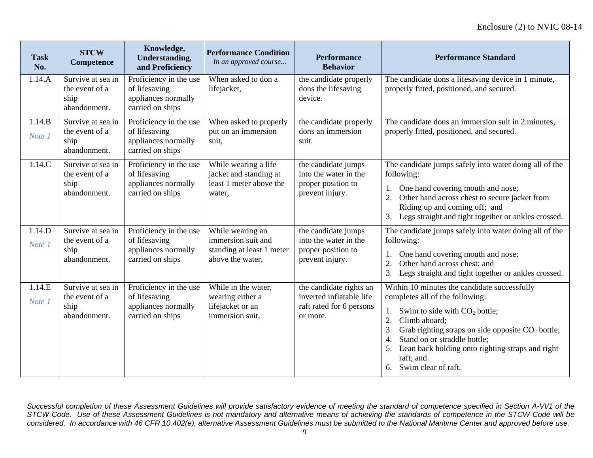| <b>Task</b><br>No. | <b>STCW</b><br><b>Competence</b>                            | Knowledge,<br><b>Understanding,</b><br>and Proficiency                             | <b>Performance Condition</b><br>In an approved course                                   | <b>Performance</b><br><b>Behavior</b>                                                       | <b>Performance Standard</b>                                                                                                                                                                                                                                                                                                                                       |
|--------------------|-------------------------------------------------------------|------------------------------------------------------------------------------------|-----------------------------------------------------------------------------------------|---------------------------------------------------------------------------------------------|-------------------------------------------------------------------------------------------------------------------------------------------------------------------------------------------------------------------------------------------------------------------------------------------------------------------------------------------------------------------|
| 1.14.A             | Survive at sea in<br>the event of a<br>ship<br>abandonment. | Proficiency in the use<br>of lifesaving<br>appliances normally<br>carried on ships | When asked to don a<br>lifejacket,                                                      | the candidate properly<br>dons the lifesaving<br>device.                                    | The candidate dons a lifesaving device in 1 minute,<br>properly fitted, positioned, and secured.                                                                                                                                                                                                                                                                  |
| 1.14.B<br>Note 1   | Survive at sea in<br>the event of a<br>ship<br>abandonment. | Proficiency in the use<br>of lifesaving<br>appliances normally<br>carried on ships | When asked to properly<br>put on an immersion<br>suit.                                  | the candidate properly<br>dons an immersion<br>suit.                                        | The candidate dons an immersion suit in 2 minutes,<br>properly fitted, positioned, and secured.                                                                                                                                                                                                                                                                   |
| 1.14.C             | Survive at sea in<br>the event of a<br>ship<br>abandonment. | Proficiency in the use<br>of lifesaving<br>appliances normally<br>carried on ships | While wearing a life<br>jacket and standing at<br>least 1 meter above the<br>water,     | the candidate jumps<br>into the water in the<br>proper position to<br>prevent injury.       | The candidate jumps safely into water doing all of the<br>following:<br>One hand covering mouth and nose;<br>Other hand across chest to secure jacket from<br>Riding up and coming off; and<br>3. Legs straight and tight together or ankles crossed.                                                                                                             |
| 1.14.D<br>Note 1   | Survive at sea in<br>the event of a<br>ship<br>abandonment. | Proficiency in the use<br>of lifesaving<br>appliances normally<br>carried on ships | While wearing an<br>immersion suit and<br>standing at least 1 meter<br>above the water, | the candidate jumps<br>into the water in the<br>proper position to<br>prevent injury.       | The candidate jumps safely into water doing all of the<br>following:<br>1. One hand covering mouth and nose;<br>$\overline{2}$ .<br>Other hand across chest; and<br>3.<br>Legs straight and tight together or ankles crossed.                                                                                                                                     |
| 1.14.E<br>Note 1   | Survive at sea in<br>the event of a<br>ship<br>abandonment. | Proficiency in the use<br>of lifesaving<br>appliances normally<br>carried on ships | While in the water,<br>wearing either a<br>lifejacket or an<br>immersion suit.          | the candidate rights an<br>inverted inflatable life<br>raft rated for 6 persons<br>or more. | Within 10 minutes the candidate successfully<br>completes all of the following:<br>Swim to side with $CO2$ bottle;<br>1.<br>2.<br>Climb aboard;<br>3.<br>Grab righting straps on side opposite $CO2$ bottle;<br>Stand on or straddle bottle;<br>$\overline{4}$ .<br>Lean back holding onto righting straps and right<br>5.<br>raft; and<br>6. Swim clear of raft. |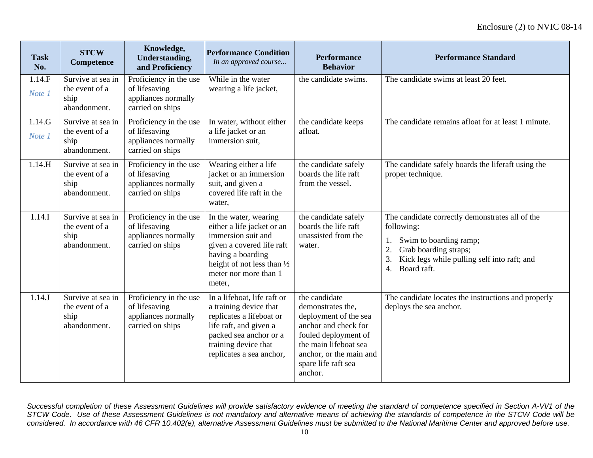| <b>Task</b><br>No. | <b>STCW</b><br><b>Competence</b>                            | Knowledge,<br><b>Understanding,</b><br>and Proficiency                             | <b>Performance Condition</b><br>In an approved course                                                                                                                                         | <b>Performance</b><br><b>Behavior</b>                                                                                                                                                             | <b>Performance Standard</b>                                                                                                                                                                      |
|--------------------|-------------------------------------------------------------|------------------------------------------------------------------------------------|-----------------------------------------------------------------------------------------------------------------------------------------------------------------------------------------------|---------------------------------------------------------------------------------------------------------------------------------------------------------------------------------------------------|--------------------------------------------------------------------------------------------------------------------------------------------------------------------------------------------------|
| 1.14.F<br>Note 1   | Survive at sea in<br>the event of a<br>ship<br>abandonment. | Proficiency in the use<br>of lifesaving<br>appliances normally<br>carried on ships | While in the water<br>wearing a life jacket,                                                                                                                                                  | the candidate swims.                                                                                                                                                                              | The candidate swims at least 20 feet.                                                                                                                                                            |
| 1.14.G<br>Note 1   | Survive at sea in<br>the event of a<br>ship<br>abandonment. | Proficiency in the use<br>of lifesaving<br>appliances normally<br>carried on ships | In water, without either<br>a life jacket or an<br>immersion suit,                                                                                                                            | the candidate keeps<br>afloat.                                                                                                                                                                    | The candidate remains afloat for at least 1 minute.                                                                                                                                              |
| 1.14.H             | Survive at sea in<br>the event of a<br>ship<br>abandonment. | Proficiency in the use<br>of lifesaving<br>appliances normally<br>carried on ships | Wearing either a life<br>jacket or an immersion<br>suit, and given a<br>covered life raft in the<br>water,                                                                                    | the candidate safely<br>boards the life raft<br>from the vessel.                                                                                                                                  | The candidate safely boards the liferaft using the<br>proper technique.                                                                                                                          |
| 1.14.I             | Survive at sea in<br>the event of a<br>ship<br>abandonment. | Proficiency in the use<br>of lifesaving<br>appliances normally<br>carried on ships | In the water, wearing<br>either a life jacket or an<br>immersion suit and<br>given a covered life raft<br>having a boarding<br>height of not less than 1/2<br>meter nor more than 1<br>meter, | the candidate safely<br>boards the life raft<br>unassisted from the<br>water.                                                                                                                     | The candidate correctly demonstrates all of the<br>following:<br>Swim to boarding ramp;<br>2.<br>Grab boarding straps;<br>3.<br>Kick legs while pulling self into raft; and<br>Board raft.<br>4. |
| 1.14J              | Survive at sea in<br>the event of a<br>ship<br>abandonment. | Proficiency in the use<br>of lifesaving<br>appliances normally<br>carried on ships | In a lifeboat, life raft or<br>a training device that<br>replicates a lifeboat or<br>life raft, and given a<br>packed sea anchor or a<br>training device that<br>replicates a sea anchor,     | the candidate<br>demonstrates the,<br>deployment of the sea<br>anchor and check for<br>fouled deployment of<br>the main lifeboat sea<br>anchor, or the main and<br>spare life raft sea<br>anchor. | The candidate locates the instructions and properly<br>deploys the sea anchor.                                                                                                                   |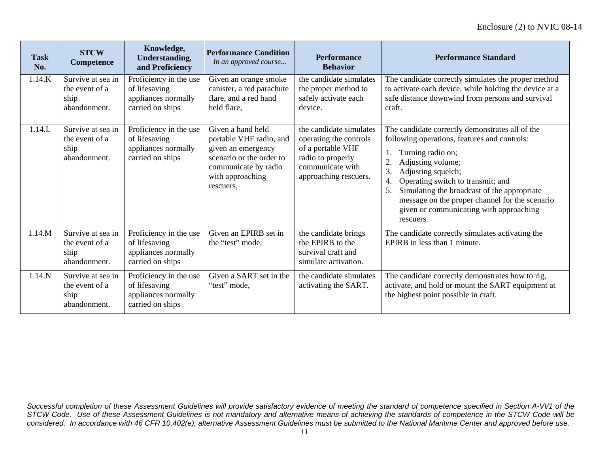| <b>Task</b><br>No. | <b>STCW</b><br>Competence                                   | Knowledge,<br><b>Understanding,</b><br>and Proficiency                             | <b>Performance Condition</b><br>In an approved course                                                                                                   | <b>Performance</b><br><b>Behavior</b>                                                                                                    | <b>Performance Standard</b>                                                                                                                                                                                                                                                                                                                                                    |
|--------------------|-------------------------------------------------------------|------------------------------------------------------------------------------------|---------------------------------------------------------------------------------------------------------------------------------------------------------|------------------------------------------------------------------------------------------------------------------------------------------|--------------------------------------------------------------------------------------------------------------------------------------------------------------------------------------------------------------------------------------------------------------------------------------------------------------------------------------------------------------------------------|
| 1.14.K             | Survive at sea in<br>the event of a<br>ship<br>abandonment. | Proficiency in the use<br>of lifesaving<br>appliances normally<br>carried on ships | Given an orange smoke<br>canister, a red parachute<br>flare, and a red hand<br>held flare.                                                              | the candidate simulates<br>the proper method to<br>safely activate each<br>device.                                                       | The candidate correctly simulates the proper method<br>to activate each device, while holding the device at a<br>safe distance downwind from persons and survival<br>craft.                                                                                                                                                                                                    |
| 1.14.L             | Survive at sea in<br>the event of a<br>ship<br>abandonment. | Proficiency in the use<br>of lifesaving<br>appliances normally<br>carried on ships | Given a hand held<br>portable VHF radio, and<br>given an emergency<br>scenario or the order to<br>communicate by radio<br>with approaching<br>rescuers, | the candidate simulates<br>operating the controls<br>of a portable VHF<br>radio to properly<br>communicate with<br>approaching rescuers. | The candidate correctly demonstrates all of the<br>following operations, features and controls:<br>Turning radio on;<br>Adjusting volume;<br>3<br>Adjusting squelch;<br>Operating switch to transmit; and<br>4.<br>Simulating the broadcast of the appropriate<br>5.<br>message on the proper channel for the scenario<br>given or communicating with approaching<br>rescuers. |
| 1.14.M             | Survive at sea in<br>the event of a<br>ship<br>abandonment. | Proficiency in the use<br>of lifesaving<br>appliances normally<br>carried on ships | Given an EPIRB set in<br>the "test" mode,                                                                                                               | the candidate brings<br>the EPIRB to the<br>survival craft and<br>simulate activation.                                                   | The candidate correctly simulates activating the<br>EPIRB in less than 1 minute.                                                                                                                                                                                                                                                                                               |
| 1.14.N             | Survive at sea in<br>the event of a<br>ship<br>abandonment. | Proficiency in the use<br>of lifesaving<br>appliances normally<br>carried on ships | Given a SART set in the<br>"test" mode,                                                                                                                 | the candidate simulates<br>activating the SART.                                                                                          | The candidate correctly demonstrates how to rig,<br>activate, and hold or mount the SART equipment at<br>the highest point possible in craft.                                                                                                                                                                                                                                  |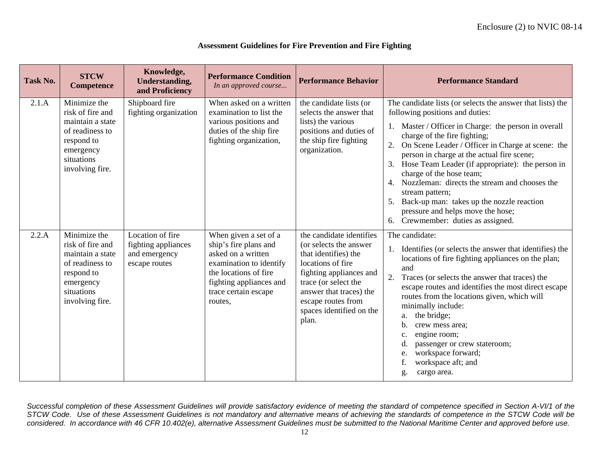| Task No. | <b>STCW</b><br>Competence                                                                                                           | Knowledge,<br><b>Understanding,</b><br>and Proficiency                    | <b>Performance Condition</b><br>In an approved course                                                                                                                                  | <b>Performance Behavior</b>                                                                                                                                                                                                              | <b>Performance Standard</b>                                                                                                                                                                                                                                                                                                                                                                                                                                                                                                                                                                     |
|----------|-------------------------------------------------------------------------------------------------------------------------------------|---------------------------------------------------------------------------|----------------------------------------------------------------------------------------------------------------------------------------------------------------------------------------|------------------------------------------------------------------------------------------------------------------------------------------------------------------------------------------------------------------------------------------|-------------------------------------------------------------------------------------------------------------------------------------------------------------------------------------------------------------------------------------------------------------------------------------------------------------------------------------------------------------------------------------------------------------------------------------------------------------------------------------------------------------------------------------------------------------------------------------------------|
| 2.1.A    | Minimize the<br>risk of fire and<br>maintain a state<br>of readiness to<br>respond to<br>emergency<br>situations<br>involving fire. | Shipboard fire<br>fighting organization                                   | When asked on a written<br>examination to list the<br>various positions and<br>duties of the ship fire<br>fighting organization,                                                       | the candidate lists (or<br>selects the answer that<br>lists) the various<br>positions and duties of<br>the ship fire fighting<br>organization.                                                                                           | The candidate lists (or selects the answer that lists) the<br>following positions and duties:<br>1. Master / Officer in Charge: the person in overall<br>charge of the fire fighting;<br>On Scene Leader / Officer in Charge at scene: the<br>2.<br>person in charge at the actual fire scene;<br>Hose Team Leader (if appropriate): the person in<br>3.<br>charge of the hose team;<br>Nozzleman: directs the stream and chooses the<br>4.<br>stream pattern;<br>Back-up man: takes up the nozzle reaction<br>5.<br>pressure and helps move the hose;<br>Crewmember: duties as assigned.<br>6. |
| 2.2.A    | Minimize the<br>risk of fire and<br>maintain a state<br>of readiness to<br>respond to<br>emergency<br>situations<br>involving fire. | Location of fire<br>fighting appliances<br>and emergency<br>escape routes | When given a set of a<br>ship's fire plans and<br>asked on a written<br>examination to identify<br>the locations of fire<br>fighting appliances and<br>trace certain escape<br>routes, | the candidate identifies<br>(or selects the answer<br>that identifies) the<br>locations of fire<br>fighting appliances and<br>trace (or select the<br>answer that traces) the<br>escape routes from<br>spaces identified on the<br>plan. | The candidate:<br>1. Identifies (or selects the answer that identifies) the<br>locations of fire fighting appliances on the plan;<br>and<br>2.<br>Traces (or selects the answer that traces) the<br>escape routes and identifies the most direct escape<br>routes from the locations given, which will<br>minimally include:<br>the bridge;<br>a.<br>crew mess area;<br>b.<br>engine room;<br>c.<br>passenger or crew stateroom;<br>workspace forward;<br>workspace aft; and<br>cargo area.<br>g.                                                                                               |

### **Assessment Guidelines for Fire Prevention and Fire Fighting**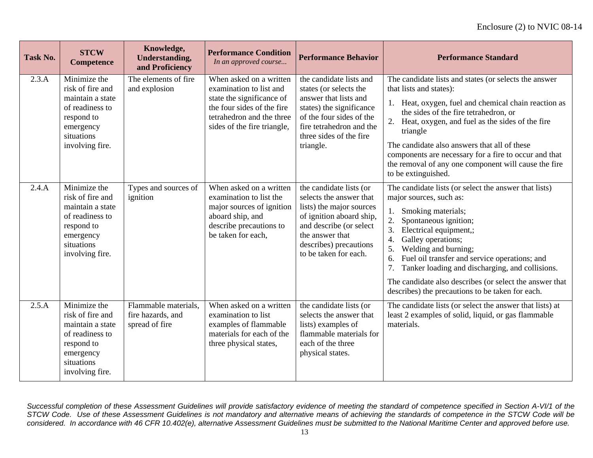| <b>Task No.</b> | <b>STCW</b><br><b>Competence</b>                                                                                                    | Knowledge,<br><b>Understanding,</b><br>and Proficiency      | <b>Performance Condition</b><br>In an approved course                                                                                                                     | <b>Performance Behavior</b>                                                                                                                                                                                 | <b>Performance Standard</b>                                                                                                                                                                                                                                                                                                                                                                                                                                          |
|-----------------|-------------------------------------------------------------------------------------------------------------------------------------|-------------------------------------------------------------|---------------------------------------------------------------------------------------------------------------------------------------------------------------------------|-------------------------------------------------------------------------------------------------------------------------------------------------------------------------------------------------------------|----------------------------------------------------------------------------------------------------------------------------------------------------------------------------------------------------------------------------------------------------------------------------------------------------------------------------------------------------------------------------------------------------------------------------------------------------------------------|
| 2.3.A           | Minimize the<br>risk of fire and<br>maintain a state<br>of readiness to<br>respond to<br>emergency<br>situations<br>involving fire. | The elements of fire<br>and explosion                       | When asked on a written<br>examination to list and<br>state the significance of<br>the four sides of the fire<br>tetrahedron and the three<br>sides of the fire triangle, | the candidate lists and<br>states (or selects the<br>answer that lists and<br>states) the significance<br>of the four sides of the<br>fire tetrahedron and the<br>three sides of the fire<br>triangle.      | The candidate lists and states (or selects the answer<br>that lists and states):<br>Heat, oxygen, fuel and chemical chain reaction as<br>1.<br>the sides of the fire tetrahedron, or<br>2.<br>Heat, oxygen, and fuel as the sides of the fire<br>triangle<br>The candidate also answers that all of these<br>components are necessary for a fire to occur and that<br>the removal of any one component will cause the fire<br>to be extinguished.                    |
| 2.4.A           | Minimize the<br>risk of fire and<br>maintain a state<br>of readiness to<br>respond to<br>emergency<br>situations<br>involving fire. | Types and sources of<br>ignition                            | When asked on a written<br>examination to list the<br>major sources of ignition<br>aboard ship, and<br>describe precautions to<br>be taken for each,                      | the candidate lists (or<br>selects the answer that<br>lists) the major sources<br>of ignition aboard ship,<br>and describe (or select<br>the answer that<br>describes) precautions<br>to be taken for each. | The candidate lists (or select the answer that lists)<br>major sources, such as:<br>Smoking materials;<br>1.<br>2.<br>Spontaneous ignition;<br>3.<br>Electrical equipment,;<br>Galley operations;<br>4.<br>5.<br>Welding and burning;<br>6.<br>Fuel oil transfer and service operations; and<br>7.<br>Tanker loading and discharging, and collisions.<br>The candidate also describes (or select the answer that<br>describes) the precautions to be taken for each. |
| 2.5.A           | Minimize the<br>risk of fire and<br>maintain a state<br>of readiness to<br>respond to<br>emergency<br>situations<br>involving fire. | Flammable materials,<br>fire hazards, and<br>spread of fire | When asked on a written<br>examination to list<br>examples of flammable<br>materials for each of the<br>three physical states,                                            | the candidate lists (or<br>selects the answer that<br>lists) examples of<br>flammable materials for<br>each of the three<br>physical states.                                                                | The candidate lists (or select the answer that lists) at<br>least 2 examples of solid, liquid, or gas flammable<br>materials.                                                                                                                                                                                                                                                                                                                                        |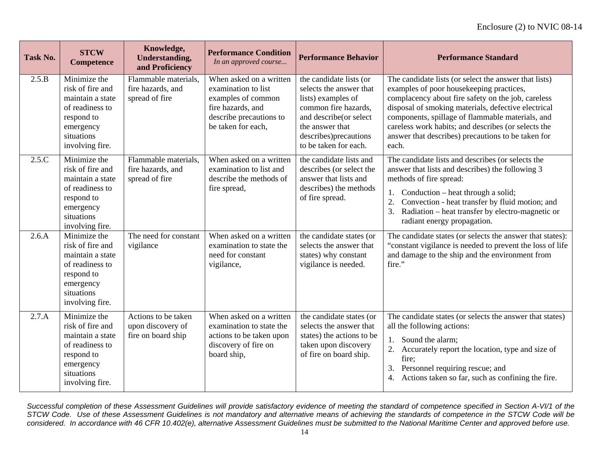| Task No. | <b>STCW</b><br><b>Competence</b>                                                                                                    | Knowledge,<br><b>Understanding,</b><br>and Proficiency         | <b>Performance Condition</b><br>In an approved course                                                                                      | <b>Performance Behavior</b>                                                                                                                                                                      | <b>Performance Standard</b>                                                                                                                                                                                                                                                                                                                                                              |
|----------|-------------------------------------------------------------------------------------------------------------------------------------|----------------------------------------------------------------|--------------------------------------------------------------------------------------------------------------------------------------------|--------------------------------------------------------------------------------------------------------------------------------------------------------------------------------------------------|------------------------------------------------------------------------------------------------------------------------------------------------------------------------------------------------------------------------------------------------------------------------------------------------------------------------------------------------------------------------------------------|
| 2.5.B    | Minimize the<br>risk of fire and<br>maintain a state<br>of readiness to<br>respond to<br>emergency<br>situations<br>involving fire. | Flammable materials,<br>fire hazards, and<br>spread of fire    | When asked on a written<br>examination to list<br>examples of common<br>fire hazards, and<br>describe precautions to<br>be taken for each, | the candidate lists (or<br>selects the answer that<br>lists) examples of<br>common fire hazards,<br>and describe(or select<br>the answer that<br>describes) precautions<br>to be taken for each. | The candidate lists (or select the answer that lists)<br>examples of poor housekeeping practices,<br>complacency about fire safety on the job, careless<br>disposal of smoking materials, defective electrical<br>components, spillage of flammable materials, and<br>careless work habits; and describes (or selects the<br>answer that describes) precautions to be taken for<br>each. |
| 2.5.C    | Minimize the<br>risk of fire and<br>maintain a state<br>of readiness to<br>respond to<br>emergency<br>situations<br>involving fire. | Flammable materials,<br>fire hazards, and<br>spread of fire    | When asked on a written<br>examination to list and<br>describe the methods of<br>fire spread,                                              | the candidate lists and<br>describes (or select the<br>answer that lists and<br>describes) the methods<br>of fire spread.                                                                        | The candidate lists and describes (or selects the<br>answer that lists and describes) the following 3<br>methods of fire spread:<br>Conduction – heat through a solid;<br>1.<br>2.<br>Convection - heat transfer by fluid motion; and<br>Radiation – heat transfer by electro-magnetic or<br>3.<br>radiant energy propagation.                                                           |
| 2.6.A    | Minimize the<br>risk of fire and<br>maintain a state<br>of readiness to<br>respond to<br>emergency<br>situations<br>involving fire. | The need for constant<br>vigilance                             | When asked on a written<br>examination to state the<br>need for constant<br>vigilance,                                                     | the candidate states (or<br>selects the answer that<br>states) why constant<br>vigilance is needed.                                                                                              | The candidate states (or selects the answer that states):<br>"constant vigilance is needed to prevent the loss of life<br>and damage to the ship and the environment from<br>fire."                                                                                                                                                                                                      |
| 2.7.A    | Minimize the<br>risk of fire and<br>maintain a state<br>of readiness to<br>respond to<br>emergency<br>situations<br>involving fire. | Actions to be taken<br>upon discovery of<br>fire on board ship | When asked on a written<br>examination to state the<br>actions to be taken upon<br>discovery of fire on<br>board ship,                     | the candidate states (or<br>selects the answer that<br>states) the actions to be<br>taken upon discovery<br>of fire on board ship.                                                               | The candidate states (or selects the answer that states)<br>all the following actions:<br>Sound the alarm;<br>1.<br>2.<br>Accurately report the location, type and size of<br>fire;<br>Personnel requiring rescue; and<br>3.<br>Actions taken so far, such as confining the fire.<br>4.                                                                                                  |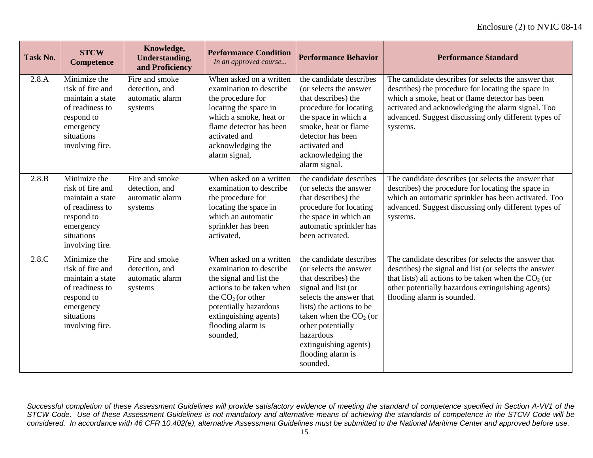| <b>Task No.</b> | <b>STCW</b><br><b>Competence</b>                                                                                                    | Knowledge,<br><b>Understanding,</b><br>and Proficiency         | <b>Performance Condition</b><br>In an approved course                                                                                                                                                               | <b>Performance Behavior</b>                                                                                                                                                                                                                                                    | <b>Performance Standard</b>                                                                                                                                                                                                                                                          |
|-----------------|-------------------------------------------------------------------------------------------------------------------------------------|----------------------------------------------------------------|---------------------------------------------------------------------------------------------------------------------------------------------------------------------------------------------------------------------|--------------------------------------------------------------------------------------------------------------------------------------------------------------------------------------------------------------------------------------------------------------------------------|--------------------------------------------------------------------------------------------------------------------------------------------------------------------------------------------------------------------------------------------------------------------------------------|
| 2.8.A           | Minimize the<br>risk of fire and<br>maintain a state<br>of readiness to<br>respond to<br>emergency<br>situations<br>involving fire. | Fire and smoke<br>detection, and<br>automatic alarm<br>systems | When asked on a written<br>examination to describe<br>the procedure for<br>locating the space in<br>which a smoke, heat or<br>flame detector has been<br>activated and<br>acknowledging the<br>alarm signal,        | the candidate describes<br>(or selects the answer)<br>that describes) the<br>procedure for locating<br>the space in which a<br>smoke, heat or flame<br>detector has been<br>activated and<br>acknowledging the<br>alarm signal.                                                | The candidate describes (or selects the answer that<br>describes) the procedure for locating the space in<br>which a smoke, heat or flame detector has been<br>activated and acknowledging the alarm signal. Too<br>advanced. Suggest discussing only different types of<br>systems. |
| 2.8.B           | Minimize the<br>risk of fire and<br>maintain a state<br>of readiness to<br>respond to<br>emergency<br>situations<br>involving fire. | Fire and smoke<br>detection, and<br>automatic alarm<br>systems | When asked on a written<br>examination to describe<br>the procedure for<br>locating the space in<br>which an automatic<br>sprinkler has been<br>activated,                                                          | the candidate describes<br>(or selects the answer<br>that describes) the<br>procedure for locating<br>the space in which an<br>automatic sprinkler has<br>been activated.                                                                                                      | The candidate describes (or selects the answer that<br>describes) the procedure for locating the space in<br>which an automatic sprinkler has been activated. Too<br>advanced. Suggest discussing only different types of<br>systems.                                                |
| 2.8.C           | Minimize the<br>risk of fire and<br>maintain a state<br>of readiness to<br>respond to<br>emergency<br>situations<br>involving fire. | Fire and smoke<br>detection, and<br>automatic alarm<br>systems | When asked on a written<br>examination to describe<br>the signal and list the<br>actions to be taken when<br>the $CO2$ (or other<br>potentially hazardous<br>extinguishing agents)<br>flooding alarm is<br>sounded, | the candidate describes<br>(or selects the answer<br>that describes) the<br>signal and list (or<br>selects the answer that<br>lists) the actions to be<br>taken when the $CO2$ (or<br>other potentially<br>hazardous<br>extinguishing agents)<br>flooding alarm is<br>sounded. | The candidate describes (or selects the answer that<br>describes) the signal and list (or selects the answer<br>that lists) all actions to be taken when the $CO2$ (or<br>other potentially hazardous extinguishing agents)<br>flooding alarm is sounded.                            |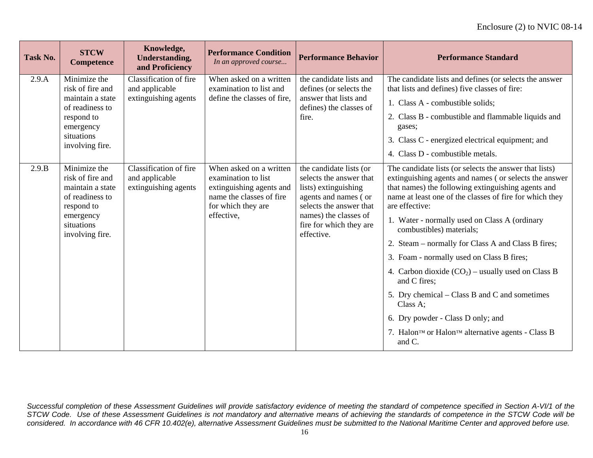| <b>Task No.</b> | <b>STCW</b><br><b>Competence</b>                                                                                                    | Knowledge,<br><b>Understanding,</b><br>and Proficiency           | <b>Performance Condition</b><br>In an approved course                                                                                      | <b>Performance Behavior</b>                                                                                                                                                                     | <b>Performance Standard</b>                                                                                                                                                                                                                                                                                                                                                                                                        |
|-----------------|-------------------------------------------------------------------------------------------------------------------------------------|------------------------------------------------------------------|--------------------------------------------------------------------------------------------------------------------------------------------|-------------------------------------------------------------------------------------------------------------------------------------------------------------------------------------------------|------------------------------------------------------------------------------------------------------------------------------------------------------------------------------------------------------------------------------------------------------------------------------------------------------------------------------------------------------------------------------------------------------------------------------------|
| 2.9.A           | Minimize the<br>risk of fire and<br>maintain a state<br>of readiness to<br>respond to                                               | Classification of fire<br>and applicable<br>extinguishing agents | When asked on a written<br>examination to list and<br>define the classes of fire,                                                          | the candidate lists and<br>defines (or selects the<br>answer that lists and<br>defines) the classes of<br>fire.                                                                                 | The candidate lists and defines (or selects the answer<br>that lists and defines) five classes of fire:<br>1. Class A - combustible solids;<br>2. Class B - combustible and flammable liquids and                                                                                                                                                                                                                                  |
|                 | emergency<br>situations<br>involving fire.                                                                                          |                                                                  |                                                                                                                                            |                                                                                                                                                                                                 | gases;<br>3. Class C - energized electrical equipment; and<br>4. Class D - combustible metals.                                                                                                                                                                                                                                                                                                                                     |
| 2.9.B           | Minimize the<br>risk of fire and<br>maintain a state<br>of readiness to<br>respond to<br>emergency<br>situations<br>involving fire. | Classification of fire<br>and applicable<br>extinguishing agents | When asked on a written<br>examination to list<br>extinguishing agents and<br>name the classes of fire<br>for which they are<br>effective, | the candidate lists (or<br>selects the answer that<br>lists) extinguishing<br>agents and names (or<br>selects the answer that<br>names) the classes of<br>fire for which they are<br>effective. | The candidate lists (or selects the answer that lists)<br>extinguishing agents and names (or selects the answer<br>that names) the following extinguishing agents and<br>name at least one of the classes of fire for which they<br>are effective:<br>1. Water - normally used on Class A (ordinary<br>combustibles) materials;<br>2. Steam – normally for Class A and Class B fires;<br>3. Foam - normally used on Class B fires; |
|                 |                                                                                                                                     |                                                                  |                                                                                                                                            |                                                                                                                                                                                                 | 4. Carbon dioxide $(CO_2)$ – usually used on Class B<br>and C fires;<br>5. Dry chemical – Class B and C and sometimes<br>Class A;<br>6. Dry powder - Class D only; and<br>7. Halon™ or Halon™ alternative agents - Class B<br>and C.                                                                                                                                                                                               |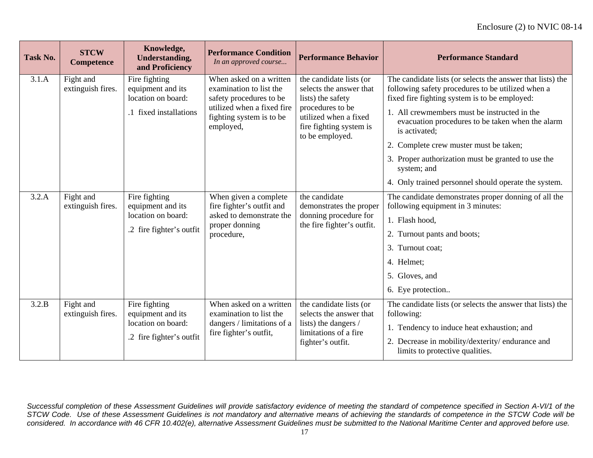| Task No. | <b>STCW</b><br><b>Competence</b> | Knowledge,<br><b>Understanding,</b><br>and Proficiency                               | <b>Performance Condition</b><br>In an approved course                                                                                                | <b>Performance Behavior</b>                                                                                                                                        | <b>Performance Standard</b>                                                                                                                                                                                                                                                                                                                                                                                                                                  |
|----------|----------------------------------|--------------------------------------------------------------------------------------|------------------------------------------------------------------------------------------------------------------------------------------------------|--------------------------------------------------------------------------------------------------------------------------------------------------------------------|--------------------------------------------------------------------------------------------------------------------------------------------------------------------------------------------------------------------------------------------------------------------------------------------------------------------------------------------------------------------------------------------------------------------------------------------------------------|
| 3.1.A    | Fight and<br>extinguish fires.   | Fire fighting<br>equipment and its<br>location on board:<br>.1 fixed installations   | When asked on a written<br>examination to list the<br>safety procedures to be<br>utilized when a fixed fire<br>fighting system is to be<br>employed, | the candidate lists (or<br>selects the answer that<br>lists) the safety<br>procedures to be<br>utilized when a fixed<br>fire fighting system is<br>to be employed. | The candidate lists (or selects the answer that lists) the<br>following safety procedures to be utilized when a<br>fixed fire fighting system is to be employed:<br>1. All crewmembers must be instructed in the<br>evacuation procedures to be taken when the alarm<br>is activated;<br>2. Complete crew muster must be taken;<br>3. Proper authorization must be granted to use the<br>system; and<br>4. Only trained personnel should operate the system. |
| 3.2.A    | Fight and<br>extinguish fires.   | Fire fighting<br>equipment and its<br>location on board:<br>.2 fire fighter's outfit | When given a complete<br>fire fighter's outfit and<br>asked to demonstrate the<br>proper donning<br>procedure,                                       | the candidate<br>demonstrates the proper<br>donning procedure for<br>the fire fighter's outfit.                                                                    | The candidate demonstrates proper donning of all the<br>following equipment in 3 minutes:<br>1. Flash hood,<br>2. Turnout pants and boots;<br>3. Turnout coat;<br>4. Helmet;<br>5. Gloves, and<br>6. Eye protection                                                                                                                                                                                                                                          |
| 3.2.B    | Fight and<br>extinguish fires.   | Fire fighting<br>equipment and its<br>location on board:<br>.2 fire fighter's outfit | When asked on a written<br>examination to list the<br>dangers / limitations of a<br>fire fighter's outfit,                                           | the candidate lists (or<br>selects the answer that<br>lists) the dangers /<br>limitations of a fire<br>fighter's outfit.                                           | The candidate lists (or selects the answer that lists) the<br>following:<br>1. Tendency to induce heat exhaustion; and<br>2. Decrease in mobility/dexterity/endurance and<br>limits to protective qualities.                                                                                                                                                                                                                                                 |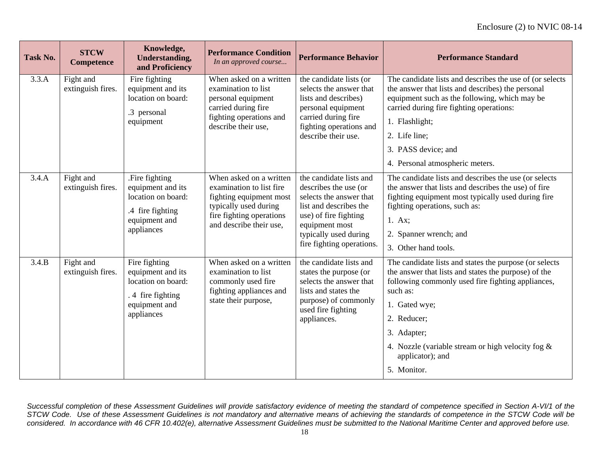| <b>Task No.</b> | <b>STCW</b><br><b>Competence</b> | Knowledge,<br><b>Understanding,</b><br>and Proficiency                                                       | <b>Performance Condition</b><br>In an approved course                                                                                                          | <b>Performance Behavior</b>                                                                                                                                                                            | <b>Performance Standard</b>                                                                                                                                                                                                                                                                                               |
|-----------------|----------------------------------|--------------------------------------------------------------------------------------------------------------|----------------------------------------------------------------------------------------------------------------------------------------------------------------|--------------------------------------------------------------------------------------------------------------------------------------------------------------------------------------------------------|---------------------------------------------------------------------------------------------------------------------------------------------------------------------------------------------------------------------------------------------------------------------------------------------------------------------------|
| 3.3.A           | Fight and<br>extinguish fires.   | Fire fighting<br>equipment and its<br>location on board:<br>.3 personal<br>equipment                         | When asked on a written<br>examination to list<br>personal equipment<br>carried during fire<br>fighting operations and<br>describe their use,                  | the candidate lists (or<br>selects the answer that<br>lists and describes)<br>personal equipment<br>carried during fire<br>fighting operations and<br>describe their use.                              | The candidate lists and describes the use of (or selects)<br>the answer that lists and describes) the personal<br>equipment such as the following, which may be<br>carried during fire fighting operations:<br>1. Flashlight;<br>2. Life line;<br>3. PASS device; and<br>4. Personal atmospheric meters.                  |
| 3.4.A           | Fight and<br>extinguish fires.   | .Fire fighting<br>equipment and its<br>location on board:<br>.4 fire fighting<br>equipment and<br>appliances | When asked on a written<br>examination to list fire<br>fighting equipment most<br>typically used during<br>fire fighting operations<br>and describe their use, | the candidate lists and<br>describes the use (or<br>selects the answer that<br>list and describes the<br>use) of fire fighting<br>equipment most<br>typically used during<br>fire fighting operations. | The candidate lists and describes the use (or selects)<br>the answer that lists and describes the use) of fire<br>fighting equipment most typically used during fire<br>fighting operations, such as:<br>1. Ax;<br>2. Spanner wrench; and<br>3. Other hand tools.                                                         |
| 3.4.B           | Fight and<br>extinguish fires.   | Fire fighting<br>equipment and its<br>location on board:<br>4 fire fighting<br>equipment and<br>appliances   | When asked on a written<br>examination to list<br>commonly used fire<br>fighting appliances and<br>state their purpose,                                        | the candidate lists and<br>states the purpose (or<br>selects the answer that<br>lists and states the<br>purpose) of commonly<br>used fire fighting<br>appliances.                                      | The candidate lists and states the purpose (or selects<br>the answer that lists and states the purpose) of the<br>following commonly used fire fighting appliances,<br>such as:<br>1. Gated wye;<br>2. Reducer;<br>3. Adapter;<br>4. Nozzle (variable stream or high velocity fog $\&$<br>applicator); and<br>5. Monitor. |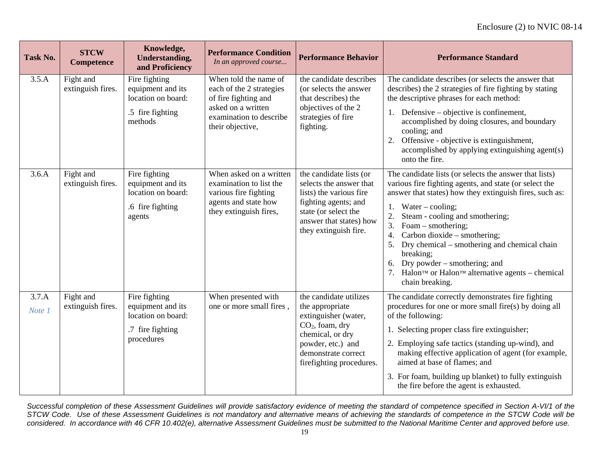| Task No.        | <b>STCW</b><br>Competence      | Knowledge,<br><b>Understanding,</b><br>and Proficiency                                     | <b>Performance Condition</b><br>In an approved course                                                                                          | <b>Performance Behavior</b>                                                                                                                                                        | <b>Performance Standard</b>                                                                                                                                                                                                                                                                                                                                                                                                                                                                            |
|-----------------|--------------------------------|--------------------------------------------------------------------------------------------|------------------------------------------------------------------------------------------------------------------------------------------------|------------------------------------------------------------------------------------------------------------------------------------------------------------------------------------|--------------------------------------------------------------------------------------------------------------------------------------------------------------------------------------------------------------------------------------------------------------------------------------------------------------------------------------------------------------------------------------------------------------------------------------------------------------------------------------------------------|
| 3.5.A           | Fight and<br>extinguish fires. | Fire fighting<br>equipment and its<br>location on board:<br>.5 fire fighting<br>methods    | When told the name of<br>each of the 2 strategies<br>of fire fighting and<br>asked on a written<br>examination to describe<br>their objective, | the candidate describes<br>(or selects the answer<br>that describes) the<br>objectives of the 2<br>strategies of fire<br>fighting.                                                 | The candidate describes (or selects the answer that<br>describes) the 2 strategies of fire fighting by stating<br>the descriptive phrases for each method:<br>Defensive – objective is confinement,<br>1.<br>accomplished by doing closures, and boundary<br>cooling; and<br>Offensive - objective is extinguishment,<br>2.<br>accomplished by applying extinguishing agent(s)<br>onto the fire.                                                                                                       |
| 3.6.A           | Fight and<br>extinguish fires. | Fire fighting<br>equipment and its<br>location on board:<br>.6 fire fighting<br>agents     | When asked on a written<br>examination to list the<br>various fire fighting<br>agents and state how<br>they extinguish fires,                  | the candidate lists (or<br>selects the answer that<br>lists) the various fire<br>fighting agents; and<br>state (or select the<br>answer that states) how<br>they extinguish fire.  | The candidate lists (or selects the answer that lists)<br>various fire fighting agents, and state (or select the<br>answer that states) how they extinguish fires, such as:<br>Water $-$ cooling;<br>1.<br>2.<br>Steam - cooling and smothering;<br>3.<br>Foam – smothering;<br>Carbon dioxide – smothering;<br>4.<br>Dry chemical – smothering and chemical chain<br>5.<br>breaking;<br>Dry powder – smothering; and<br>6.<br>Halon™ or Halon™ alternative agents – chemical<br>7.<br>chain breaking. |
| 3.7.A<br>Note 1 | Fight and<br>extinguish fires. | Fire fighting<br>equipment and its<br>location on board:<br>.7 fire fighting<br>procedures | When presented with<br>one or more small fires,                                                                                                | the candidate utilizes<br>the appropriate<br>extinguisher (water,<br>$CO2$ , foam, dry<br>chemical, or dry<br>powder, etc.) and<br>demonstrate correct<br>firefighting procedures. | The candidate correctly demonstrates fire fighting<br>procedures for one or more small fire(s) by doing all<br>of the following:<br>1. Selecting proper class fire extinguisher;<br>2. Employing safe tactics (standing up-wind), and<br>making effective application of agent (for example,<br>aimed at base of flames; and<br>3. For foam, building up blanket) to fully extinguish<br>the fire before the agent is exhausted.                                                                       |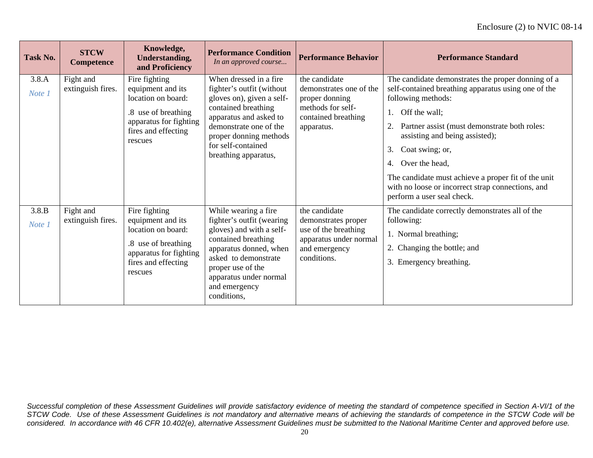| Task No.        | <b>STCW</b><br><b>Competence</b> | Knowledge,<br><b>Understanding,</b><br>and Proficiency                                                                                      | <b>Performance Condition</b><br>In an approved course                                                                                                                                                                                 | <b>Performance Behavior</b>                                                                                            | <b>Performance Standard</b>                                                                                                                                                                                                                                                                                                                                                                                                               |
|-----------------|----------------------------------|---------------------------------------------------------------------------------------------------------------------------------------------|---------------------------------------------------------------------------------------------------------------------------------------------------------------------------------------------------------------------------------------|------------------------------------------------------------------------------------------------------------------------|-------------------------------------------------------------------------------------------------------------------------------------------------------------------------------------------------------------------------------------------------------------------------------------------------------------------------------------------------------------------------------------------------------------------------------------------|
| 3.8.A<br>Note 1 | Fight and<br>extinguish fires.   | Fire fighting<br>equipment and its<br>location on board:<br>.8 use of breathing<br>apparatus for fighting<br>fires and effecting<br>rescues | When dressed in a fire<br>fighter's outfit (without<br>gloves on), given a self-<br>contained breathing<br>apparatus and asked to<br>demonstrate one of the<br>proper donning methods<br>for self-contained<br>breathing apparatus,   | the candidate<br>demonstrates one of the<br>proper donning<br>methods for self-<br>contained breathing<br>apparatus.   | The candidate demonstrates the proper donning of a<br>self-contained breathing apparatus using one of the<br>following methods:<br>Off the wall;<br>1.<br>Partner assist (must demonstrate both roles:<br>2.<br>assisting and being assisted);<br>Coat swing; or,<br>3.<br>Over the head,<br>4.<br>The candidate must achieve a proper fit of the unit<br>with no loose or incorrect strap connections, and<br>perform a user seal check. |
| 3.8.B<br>Note 1 | Fight and<br>extinguish fires.   | Fire fighting<br>equipment and its<br>location on board:<br>.8 use of breathing<br>apparatus for fighting<br>fires and effecting<br>rescues | While wearing a fire<br>fighter's outfit (wearing<br>gloves) and with a self-<br>contained breathing<br>apparatus donned, when<br>asked to demonstrate<br>proper use of the<br>apparatus under normal<br>and emergency<br>conditions, | the candidate<br>demonstrates proper<br>use of the breathing<br>apparatus under normal<br>and emergency<br>conditions. | The candidate correctly demonstrates all of the<br>following:<br>1. Normal breathing;<br>2. Changing the bottle; and<br>3. Emergency breathing.                                                                                                                                                                                                                                                                                           |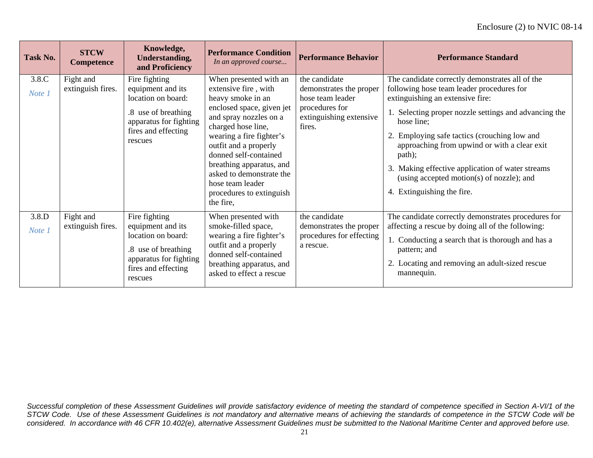| Task No.        | <b>STCW</b><br><b>Competence</b> | Knowledge,<br><b>Understanding,</b><br>and Proficiency                                                                                      | <b>Performance Condition</b><br>In an approved course                                                                                                                                                                                                                                                                                               | <b>Performance Behavior</b>                                                                                         | <b>Performance Standard</b>                                                                                                                                                                                                                                                                                                                                                                                                                      |
|-----------------|----------------------------------|---------------------------------------------------------------------------------------------------------------------------------------------|-----------------------------------------------------------------------------------------------------------------------------------------------------------------------------------------------------------------------------------------------------------------------------------------------------------------------------------------------------|---------------------------------------------------------------------------------------------------------------------|--------------------------------------------------------------------------------------------------------------------------------------------------------------------------------------------------------------------------------------------------------------------------------------------------------------------------------------------------------------------------------------------------------------------------------------------------|
| 3.8.C<br>Note 1 | Fight and<br>extinguish fires.   | Fire fighting<br>equipment and its<br>location on board:<br>.8 use of breathing<br>apparatus for fighting<br>fires and effecting<br>rescues | When presented with an<br>extensive fire, with<br>heavy smoke in an<br>enclosed space, given jet<br>and spray nozzles on a<br>charged hose line,<br>wearing a fire fighter's<br>outfit and a properly<br>donned self-contained<br>breathing apparatus, and<br>asked to demonstrate the<br>hose team leader<br>procedures to extinguish<br>the fire, | the candidate<br>demonstrates the proper<br>hose team leader<br>procedures for<br>extinguishing extensive<br>fires. | The candidate correctly demonstrates all of the<br>following hose team leader procedures for<br>extinguishing an extensive fire:<br>1. Selecting proper nozzle settings and advancing the<br>hose line;<br>2. Employing safe tactics (crouching low and<br>approaching from upwind or with a clear exit<br>path);<br>3. Making effective application of water streams<br>(using accepted motion(s) of nozzle); and<br>4. Extinguishing the fire. |
| 3.8.D<br>Note 1 | Fight and<br>extinguish fires.   | Fire fighting<br>equipment and its<br>location on board:<br>.8 use of breathing<br>apparatus for fighting<br>fires and effecting<br>rescues | When presented with<br>smoke-filled space,<br>wearing a fire fighter's<br>outfit and a properly<br>donned self-contained<br>breathing apparatus, and<br>asked to effect a rescue                                                                                                                                                                    | the candidate<br>demonstrates the proper<br>procedures for effecting<br>a rescue.                                   | The candidate correctly demonstrates procedures for<br>affecting a rescue by doing all of the following:<br>1. Conducting a search that is thorough and has a<br>pattern; and<br>2. Locating and removing an adult-sized rescue<br>mannequin.                                                                                                                                                                                                    |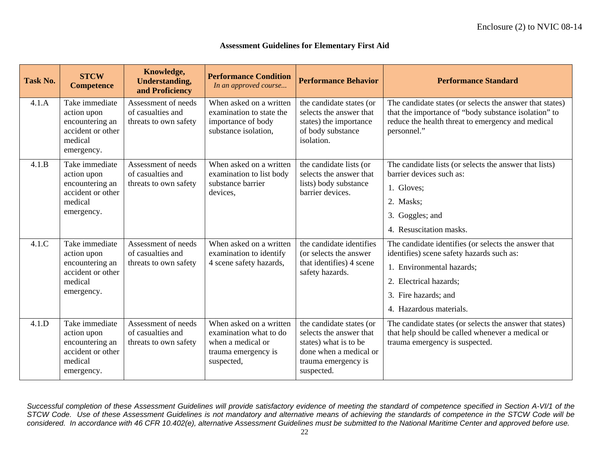#### **Assessment Guidelines for Elementary First Aid**

| Task No. | <b>STCW</b><br><b>Competence</b>                                                               | Knowledge,<br><b>Understanding,</b><br>and Proficiency            | <b>Performance Condition</b><br>In an approved course                                                       | <b>Performance Behavior</b>                                                                                                                 | <b>Performance Standard</b>                                                                                                                                                                                 |
|----------|------------------------------------------------------------------------------------------------|-------------------------------------------------------------------|-------------------------------------------------------------------------------------------------------------|---------------------------------------------------------------------------------------------------------------------------------------------|-------------------------------------------------------------------------------------------------------------------------------------------------------------------------------------------------------------|
| 4.1.A    | Take immediate<br>action upon<br>encountering an<br>accident or other<br>medical<br>emergency. | Assessment of needs<br>of casualties and<br>threats to own safety | When asked on a written<br>examination to state the<br>importance of body<br>substance isolation,           | the candidate states (or<br>selects the answer that<br>states) the importance<br>of body substance<br>isolation.                            | The candidate states (or selects the answer that states)<br>that the importance of "body substance isolation" to<br>reduce the health threat to emergency and medical<br>personnel."                        |
| 4.1.B    | Take immediate<br>action upon<br>encountering an<br>accident or other<br>medical<br>emergency. | Assessment of needs<br>of casualties and<br>threats to own safety | When asked on a written<br>examination to list body<br>substance barrier<br>devices,                        | the candidate lists (or<br>selects the answer that<br>lists) body substance<br>barrier devices.                                             | The candidate lists (or selects the answer that lists)<br>barrier devices such as:<br>1. Gloves;<br>2. Masks;<br>3. Goggles; and<br>4. Resuscitation masks.                                                 |
| 4.1.C    | Take immediate<br>action upon<br>encountering an<br>accident or other<br>medical<br>emergency. | Assessment of needs<br>of casualties and<br>threats to own safety | When asked on a written<br>examination to identify<br>4 scene safety hazards,                               | the candidate identifies<br>(or selects the answer)<br>that identifies) 4 scene<br>safety hazards.                                          | The candidate identifies (or selects the answer that<br>identifies) scene safety hazards such as:<br>1. Environmental hazards;<br>2. Electrical hazards;<br>3. Fire hazards; and<br>4. Hazardous materials. |
| 4.1.D    | Take immediate<br>action upon<br>encountering an<br>accident or other<br>medical<br>emergency. | Assessment of needs<br>of casualties and<br>threats to own safety | When asked on a written<br>examination what to do<br>when a medical or<br>trauma emergency is<br>suspected, | the candidate states (or<br>selects the answer that<br>states) what is to be<br>done when a medical or<br>trauma emergency is<br>suspected. | The candidate states (or selects the answer that states)<br>that help should be called whenever a medical or<br>trauma emergency is suspected.                                                              |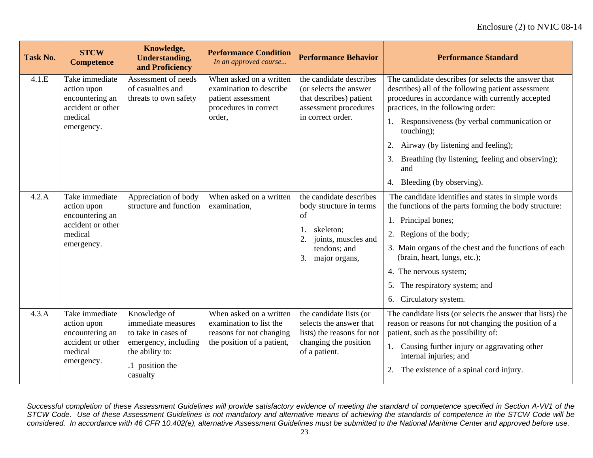| <b>Task No.</b> | <b>STCW</b><br><b>Competence</b>                                                               | Knowledge,<br><b>Understanding,</b><br>and Proficiency                                                                              | <b>Performance Condition</b><br>In an approved course                                                        | <b>Performance Behavior</b>                                                                                                               | <b>Performance Standard</b>                                                                                                                                                                                                                                                                                                                                                                              |
|-----------------|------------------------------------------------------------------------------------------------|-------------------------------------------------------------------------------------------------------------------------------------|--------------------------------------------------------------------------------------------------------------|-------------------------------------------------------------------------------------------------------------------------------------------|----------------------------------------------------------------------------------------------------------------------------------------------------------------------------------------------------------------------------------------------------------------------------------------------------------------------------------------------------------------------------------------------------------|
| 4.1.E           | Take immediate<br>action upon<br>encountering an<br>accident or other<br>medical<br>emergency. | Assessment of needs<br>of casualties and<br>threats to own safety                                                                   | When asked on a written<br>examination to describe<br>patient assessment<br>procedures in correct<br>order,  | the candidate describes<br>(or selects the answer<br>that describes) patient<br>assessment procedures<br>in correct order.                | The candidate describes (or selects the answer that<br>describes) all of the following patient assessment<br>procedures in accordance with currently accepted<br>practices, in the following order:<br>1. Responsiveness (by verbal communication or<br>touching);<br>2. Airway (by listening and feeling);<br>3. Breathing (by listening, feeling and observing);<br>and<br>4. Bleeding (by observing). |
| 4.2.A           | Take immediate<br>action upon<br>encountering an<br>accident or other<br>medical<br>emergency. | Appreciation of body<br>structure and function                                                                                      | When asked on a written<br>examination,                                                                      | the candidate describes<br>body structure in terms<br>of<br>skeleton;<br>joints, muscles and<br>2.<br>tendons; and<br>3.<br>major organs, | The candidate identifies and states in simple words<br>the functions of the parts forming the body structure:<br>1. Principal bones;<br>2. Regions of the body;<br>3. Main organs of the chest and the functions of each<br>(brain, heart, lungs, etc.);<br>4. The nervous system;<br>5. The respiratory system; and<br>6. Circulatory system.                                                           |
| 4.3.A           | Take immediate<br>action upon<br>encountering an<br>accident or other<br>medical<br>emergency. | Knowledge of<br>immediate measures<br>to take in cases of<br>emergency, including<br>the ability to:<br>.1 position the<br>casualty | When asked on a written<br>examination to list the<br>reasons for not changing<br>the position of a patient, | the candidate lists (or<br>selects the answer that<br>lists) the reasons for not<br>changing the position<br>of a patient.                | The candidate lists (or selects the answer that lists) the<br>reason or reasons for not changing the position of a<br>patient, such as the possibility of:<br>1. Causing further injury or aggravating other<br>internal injuries; and<br>2. The existence of a spinal cord injury.                                                                                                                      |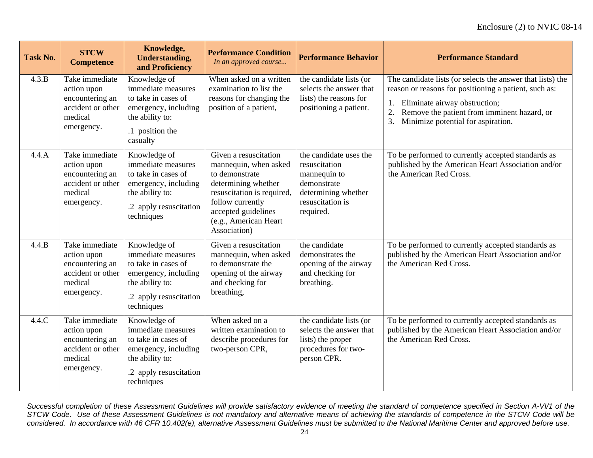| <b>Task No.</b> | <b>STCW</b><br><b>Competence</b>                                                               | Knowledge,<br><b>Understanding,</b><br>and Proficiency                                                                                       | <b>Performance Condition</b><br>In an approved course                                                                                                                                                     | <b>Performance Behavior</b>                                                                                                    | <b>Performance Standard</b>                                                                                                                                                                                                                                 |
|-----------------|------------------------------------------------------------------------------------------------|----------------------------------------------------------------------------------------------------------------------------------------------|-----------------------------------------------------------------------------------------------------------------------------------------------------------------------------------------------------------|--------------------------------------------------------------------------------------------------------------------------------|-------------------------------------------------------------------------------------------------------------------------------------------------------------------------------------------------------------------------------------------------------------|
| 4.3.B           | Take immediate<br>action upon<br>encountering an<br>accident or other<br>medical<br>emergency. | Knowledge of<br>immediate measures<br>to take in cases of<br>emergency, including<br>the ability to:<br>.1 position the<br>casualty          | When asked on a written<br>examination to list the<br>reasons for changing the<br>position of a patient,                                                                                                  | the candidate lists (or<br>selects the answer that<br>lists) the reasons for<br>positioning a patient.                         | The candidate lists (or selects the answer that lists) the<br>reason or reasons for positioning a patient, such as:<br>Eliminate airway obstruction;<br>1.<br>2.<br>Remove the patient from imminent hazard, or<br>Minimize potential for aspiration.<br>3. |
| 4.4.A           | Take immediate<br>action upon<br>encountering an<br>accident or other<br>medical<br>emergency. | Knowledge of<br>immediate measures<br>to take in cases of<br>emergency, including<br>the ability to:<br>.2 apply resuscitation<br>techniques | Given a resuscitation<br>mannequin, when asked<br>to demonstrate<br>determining whether<br>resuscitation is required,<br>follow currently<br>accepted guidelines<br>(e.g., American Heart<br>Association) | the candidate uses the<br>resuscitation<br>mannequin to<br>demonstrate<br>determining whether<br>resuscitation is<br>required. | To be performed to currently accepted standards as<br>published by the American Heart Association and/or<br>the American Red Cross.                                                                                                                         |
| 4.4.B           | Take immediate<br>action upon<br>encountering an<br>accident or other<br>medical<br>emergency. | Knowledge of<br>immediate measures<br>to take in cases of<br>emergency, including<br>the ability to:<br>.2 apply resuscitation<br>techniques | Given a resuscitation<br>mannequin, when asked<br>to demonstrate the<br>opening of the airway<br>and checking for<br>breathing,                                                                           | the candidate<br>demonstrates the<br>opening of the airway<br>and checking for<br>breathing.                                   | To be performed to currently accepted standards as<br>published by the American Heart Association and/or<br>the American Red Cross.                                                                                                                         |
| 4.4.C           | Take immediate<br>action upon<br>encountering an<br>accident or other<br>medical<br>emergency. | Knowledge of<br>immediate measures<br>to take in cases of<br>emergency, including<br>the ability to:<br>.2 apply resuscitation<br>techniques | When asked on a<br>written examination to<br>describe procedures for<br>two-person CPR,                                                                                                                   | the candidate lists (or<br>selects the answer that<br>lists) the proper<br>procedures for two-<br>person CPR.                  | To be performed to currently accepted standards as<br>published by the American Heart Association and/or<br>the American Red Cross.                                                                                                                         |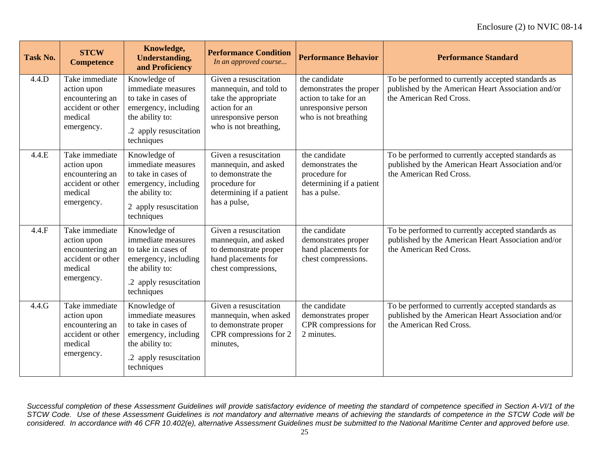| <b>Task No.</b> | <b>STCW</b><br><b>Competence</b>                                                               | Knowledge,<br><b>Understanding,</b><br>and Proficiency                                                                                       | <b>Performance Condition</b><br>In an approved course                                                                                    | <b>Performance Behavior</b>                                                                                      | <b>Performance Standard</b>                                                                                                         |
|-----------------|------------------------------------------------------------------------------------------------|----------------------------------------------------------------------------------------------------------------------------------------------|------------------------------------------------------------------------------------------------------------------------------------------|------------------------------------------------------------------------------------------------------------------|-------------------------------------------------------------------------------------------------------------------------------------|
| 4.4.D           | Take immediate<br>action upon<br>encountering an<br>accident or other<br>medical<br>emergency. | Knowledge of<br>immediate measures<br>to take in cases of<br>emergency, including<br>the ability to:<br>.2 apply resuscitation<br>techniques | Given a resuscitation<br>mannequin, and told to<br>take the appropriate<br>action for an<br>unresponsive person<br>who is not breathing, | the candidate<br>demonstrates the proper<br>action to take for an<br>unresponsive person<br>who is not breathing | To be performed to currently accepted standards as<br>published by the American Heart Association and/or<br>the American Red Cross. |
| 4.4.E           | Take immediate<br>action upon<br>encountering an<br>accident or other<br>medical<br>emergency. | Knowledge of<br>immediate measures<br>to take in cases of<br>emergency, including<br>the ability to:<br>2 apply resuscitation<br>techniques  | Given a resuscitation<br>mannequin, and asked<br>to demonstrate the<br>procedure for<br>determining if a patient<br>has a pulse,         | the candidate<br>demonstrates the<br>procedure for<br>determining if a patient<br>has a pulse.                   | To be performed to currently accepted standards as<br>published by the American Heart Association and/or<br>the American Red Cross. |
| 4.4.F           | Take immediate<br>action upon<br>encountering an<br>accident or other<br>medical<br>emergency. | Knowledge of<br>immediate measures<br>to take in cases of<br>emergency, including<br>the ability to:<br>.2 apply resuscitation<br>techniques | Given a resuscitation<br>mannequin, and asked<br>to demonstrate proper<br>hand placements for<br>chest compressions,                     | the candidate<br>demonstrates proper<br>hand placements for<br>chest compressions.                               | To be performed to currently accepted standards as<br>published by the American Heart Association and/or<br>the American Red Cross. |
| 4.4.G           | Take immediate<br>action upon<br>encountering an<br>accident or other<br>medical<br>emergency. | Knowledge of<br>immediate measures<br>to take in cases of<br>emergency, including<br>the ability to:<br>.2 apply resuscitation<br>techniques | Given a resuscitation<br>mannequin, when asked<br>to demonstrate proper<br>CPR compressions for 2<br>minutes,                            | the candidate<br>demonstrates proper<br>CPR compressions for<br>2 minutes.                                       | To be performed to currently accepted standards as<br>published by the American Heart Association and/or<br>the American Red Cross. |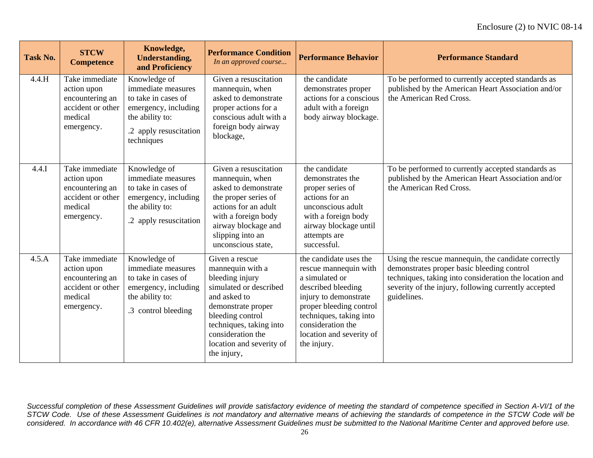| Task No. | <b>STCW</b><br><b>Competence</b>                                                               | Knowledge,<br><b>Understanding,</b><br>and Proficiency                                                                                       | <b>Performance Condition</b><br>In an approved course                                                                                                                                                                                | <b>Performance Behavior</b>                                                                                                                                                                                                            | <b>Performance Standard</b>                                                                                                                                                                                                        |
|----------|------------------------------------------------------------------------------------------------|----------------------------------------------------------------------------------------------------------------------------------------------|--------------------------------------------------------------------------------------------------------------------------------------------------------------------------------------------------------------------------------------|----------------------------------------------------------------------------------------------------------------------------------------------------------------------------------------------------------------------------------------|------------------------------------------------------------------------------------------------------------------------------------------------------------------------------------------------------------------------------------|
| 4.4.H    | Take immediate<br>action upon<br>encountering an<br>accident or other<br>medical<br>emergency. | Knowledge of<br>immediate measures<br>to take in cases of<br>emergency, including<br>the ability to:<br>.2 apply resuscitation<br>techniques | Given a resuscitation<br>mannequin, when<br>asked to demonstrate<br>proper actions for a<br>conscious adult with a<br>foreign body airway<br>blockage,                                                                               | the candidate<br>demonstrates proper<br>actions for a conscious<br>adult with a foreign<br>body airway blockage.                                                                                                                       | To be performed to currently accepted standards as<br>published by the American Heart Association and/or<br>the American Red Cross.                                                                                                |
| 4.4.1    | Take immediate<br>action upon<br>encountering an<br>accident or other<br>medical<br>emergency. | Knowledge of<br>immediate measures<br>to take in cases of<br>emergency, including<br>the ability to:<br>.2 apply resuscitation               | Given a resuscitation<br>mannequin, when<br>asked to demonstrate<br>the proper series of<br>actions for an adult<br>with a foreign body<br>airway blockage and<br>slipping into an<br>unconscious state,                             | the candidate<br>demonstrates the<br>proper series of<br>actions for an<br>unconscious adult<br>with a foreign body<br>airway blockage until<br>attempts are<br>successful.                                                            | To be performed to currently accepted standards as<br>published by the American Heart Association and/or<br>the American Red Cross.                                                                                                |
| 4.5.A    | Take immediate<br>action upon<br>encountering an<br>accident or other<br>medical<br>emergency. | Knowledge of<br>immediate measures<br>to take in cases of<br>emergency, including<br>the ability to:<br>.3 control bleeding                  | Given a rescue<br>mannequin with a<br>bleeding injury<br>simulated or described<br>and asked to<br>demonstrate proper<br>bleeding control<br>techniques, taking into<br>consideration the<br>location and severity of<br>the injury, | the candidate uses the<br>rescue mannequin with<br>a simulated or<br>described bleeding<br>injury to demonstrate<br>proper bleeding control<br>techniques, taking into<br>consideration the<br>location and severity of<br>the injury. | Using the rescue mannequin, the candidate correctly<br>demonstrates proper basic bleeding control<br>techniques, taking into consideration the location and<br>severity of the injury, following currently accepted<br>guidelines. |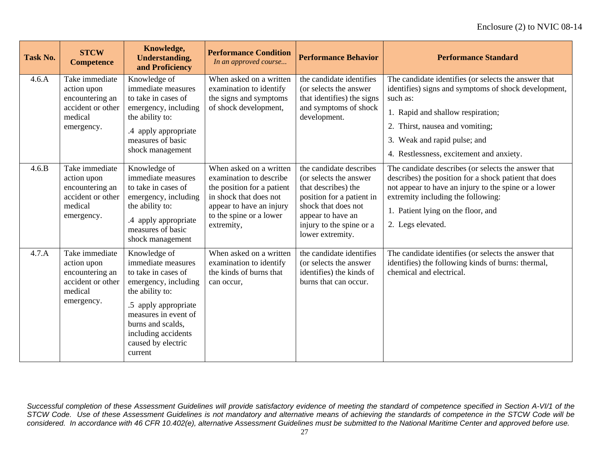| <b>Task No.</b> | <b>STCW</b><br><b>Competence</b>                                                               | Knowledge,<br><b>Understanding,</b><br>and Proficiency                                                                                                                                                                            | <b>Performance Condition</b><br>In an approved course                                                                                                                           | <b>Performance Behavior</b>                                                                                                                                                                        | <b>Performance Standard</b>                                                                                                                                                                                                                                                  |
|-----------------|------------------------------------------------------------------------------------------------|-----------------------------------------------------------------------------------------------------------------------------------------------------------------------------------------------------------------------------------|---------------------------------------------------------------------------------------------------------------------------------------------------------------------------------|----------------------------------------------------------------------------------------------------------------------------------------------------------------------------------------------------|------------------------------------------------------------------------------------------------------------------------------------------------------------------------------------------------------------------------------------------------------------------------------|
| 4.6.A           | Take immediate<br>action upon<br>encountering an<br>accident or other<br>medical<br>emergency. | Knowledge of<br>immediate measures<br>to take in cases of<br>emergency, including<br>the ability to:<br>.4 apply appropriate<br>measures of basic<br>shock management                                                             | When asked on a written<br>examination to identify<br>the signs and symptoms<br>of shock development,                                                                           | the candidate identifies<br>(or selects the answer<br>that identifies) the signs<br>and symptoms of shock<br>development.                                                                          | The candidate identifies (or selects the answer that<br>identifies) signs and symptoms of shock development,<br>such as:<br>1. Rapid and shallow respiration;<br>2. Thirst, nausea and vomiting;<br>3. Weak and rapid pulse; and<br>4. Restlessness, excitement and anxiety. |
| 4.6.B           | Take immediate<br>action upon<br>encountering an<br>accident or other<br>medical<br>emergency. | Knowledge of<br>immediate measures<br>to take in cases of<br>emergency, including<br>the ability to:<br>.4 apply appropriate<br>measures of basic<br>shock management                                                             | When asked on a written<br>examination to describe<br>the position for a patient<br>in shock that does not<br>appear to have an injury<br>to the spine or a lower<br>extremity, | the candidate describes<br>(or selects the answer)<br>that describes) the<br>position for a patient in<br>shock that does not<br>appear to have an<br>injury to the spine or a<br>lower extremity. | The candidate describes (or selects the answer that<br>describes) the position for a shock patient that does<br>not appear to have an injury to the spine or a lower<br>extremity including the following:<br>1. Patient lying on the floor, and<br>2. Legs elevated.        |
| 4.7.A           | Take immediate<br>action upon<br>encountering an<br>accident or other<br>medical<br>emergency. | Knowledge of<br>immediate measures<br>to take in cases of<br>emergency, including<br>the ability to:<br>.5 apply appropriate<br>measures in event of<br>burns and scalds,<br>including accidents<br>caused by electric<br>current | When asked on a written<br>examination to identify<br>the kinds of burns that<br>can occur,                                                                                     | the candidate identifies<br>(or selects the answer<br>identifies) the kinds of<br>burns that can occur.                                                                                            | The candidate identifies (or selects the answer that<br>identifies) the following kinds of burns: thermal,<br>chemical and electrical.                                                                                                                                       |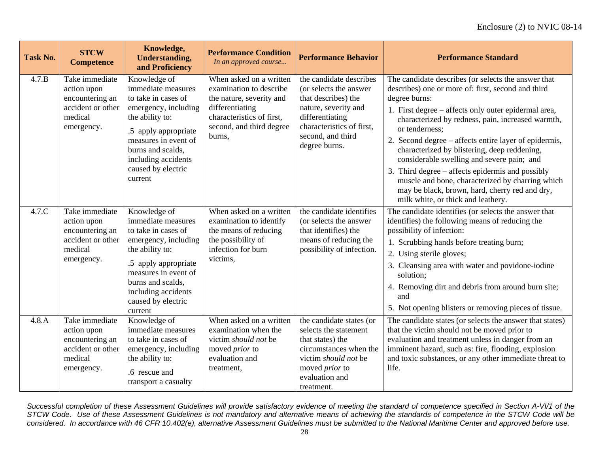| <b>Task No.</b> | <b>STCW</b><br><b>Competence</b>                                                               | Knowledge,<br><b>Understanding,</b><br>and Proficiency                                                                                                                                                                            | <b>Performance Condition</b><br>In an approved course                                                                                                                | <b>Performance Behavior</b>                                                                                                                                                            | <b>Performance Standard</b>                                                                                                                                                                                                                                                                                                                                                                                                                                                                                                                                                                                      |
|-----------------|------------------------------------------------------------------------------------------------|-----------------------------------------------------------------------------------------------------------------------------------------------------------------------------------------------------------------------------------|----------------------------------------------------------------------------------------------------------------------------------------------------------------------|----------------------------------------------------------------------------------------------------------------------------------------------------------------------------------------|------------------------------------------------------------------------------------------------------------------------------------------------------------------------------------------------------------------------------------------------------------------------------------------------------------------------------------------------------------------------------------------------------------------------------------------------------------------------------------------------------------------------------------------------------------------------------------------------------------------|
| 4.7.B           | Take immediate<br>action upon<br>encountering an<br>accident or other<br>medical<br>emergency. | Knowledge of<br>immediate measures<br>to take in cases of<br>emergency, including<br>the ability to:<br>.5 apply appropriate<br>measures in event of<br>burns and scalds,<br>including accidents<br>caused by electric<br>current | When asked on a written<br>examination to describe<br>the nature, severity and<br>differentiating<br>characteristics of first,<br>second, and third degree<br>burns, | the candidate describes<br>(or selects the answer<br>that describes) the<br>nature, severity and<br>differentiating<br>characteristics of first,<br>second, and third<br>degree burns. | The candidate describes (or selects the answer that<br>describes) one or more of: first, second and third<br>degree burns:<br>1. First degree – affects only outer epidermal area,<br>characterized by redness, pain, increased warmth,<br>or tenderness:<br>2. Second degree – affects entire layer of epidermis,<br>characterized by blistering, deep reddening,<br>considerable swelling and severe pain; and<br>3. Third degree – affects epidermis and possibly<br>muscle and bone, characterized by charring which<br>may be black, brown, hard, cherry red and dry,<br>milk white, or thick and leathery. |
| 4.7.C           | Take immediate<br>action upon<br>encountering an<br>accident or other<br>medical<br>emergency. | Knowledge of<br>immediate measures<br>to take in cases of<br>emergency, including<br>the ability to:<br>.5 apply appropriate<br>measures in event of<br>burns and scalds,<br>including accidents<br>caused by electric<br>current | When asked on a written<br>examination to identify<br>the means of reducing<br>the possibility of<br>infection for burn<br>victims,                                  | the candidate identifies<br>(or selects the answer<br>that identifies) the<br>means of reducing the<br>possibility of infection.                                                       | The candidate identifies (or selects the answer that<br>identifies) the following means of reducing the<br>possibility of infection:<br>1. Scrubbing hands before treating burn;<br>2. Using sterile gloves;<br>3. Cleansing area with water and povidone-iodine<br>solution:<br>4. Removing dirt and debris from around burn site;<br>and<br>5. Not opening blisters or removing pieces of tissue.                                                                                                                                                                                                              |
| 4.8.A           | Take immediate<br>action upon<br>encountering an<br>accident or other<br>medical<br>emergency. | Knowledge of<br>immediate measures<br>to take in cases of<br>emergency, including<br>the ability to:<br>.6 rescue and<br>transport a casualty                                                                                     | When asked on a written<br>examination when the<br>victim should not be<br>moved <i>prior</i> to<br>evaluation and<br>treatment,                                     | the candidate states (or<br>selects the statement<br>that states) the<br>circumstances when the<br>victim should not be<br>moved <i>prior</i> to<br>evaluation and<br>treatment.       | The candidate states (or selects the answer that states)<br>that the victim should not be moved prior to<br>evaluation and treatment unless in danger from an<br>imminent hazard, such as: fire, flooding, explosion<br>and toxic substances, or any other immediate threat to<br>life.                                                                                                                                                                                                                                                                                                                          |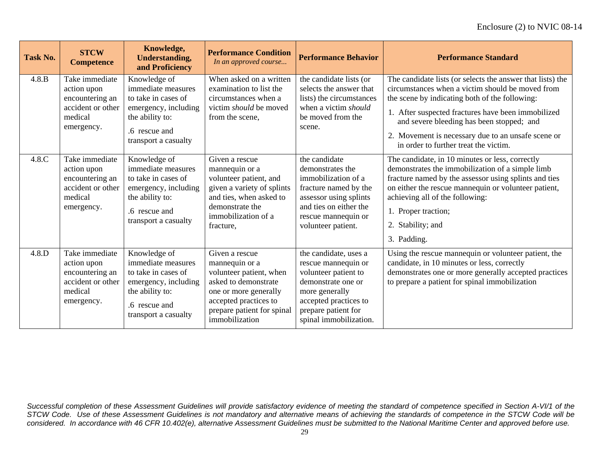| <b>Task No.</b> | <b>STCW</b><br><b>Competence</b>                                                               | Knowledge,<br><b>Understanding,</b><br>and Proficiency                                                                                        | <b>Performance Condition</b><br>In an approved course                                                                                                                                 | <b>Performance Behavior</b>                                                                                                                                                            | <b>Performance Standard</b>                                                                                                                                                                                                                                                                                                                                        |
|-----------------|------------------------------------------------------------------------------------------------|-----------------------------------------------------------------------------------------------------------------------------------------------|---------------------------------------------------------------------------------------------------------------------------------------------------------------------------------------|----------------------------------------------------------------------------------------------------------------------------------------------------------------------------------------|--------------------------------------------------------------------------------------------------------------------------------------------------------------------------------------------------------------------------------------------------------------------------------------------------------------------------------------------------------------------|
| 4.8.B           | Take immediate<br>action upon<br>encountering an<br>accident or other<br>medical<br>emergency. | Knowledge of<br>immediate measures<br>to take in cases of<br>emergency, including<br>the ability to:<br>.6 rescue and<br>transport a casualty | When asked on a written<br>examination to list the<br>circumstances when a<br>victim <i>should</i> be moved<br>from the scene,                                                        | the candidate lists (or<br>selects the answer that<br>lists) the circumstances<br>when a victim should<br>be moved from the<br>scene.                                                  | The candidate lists (or selects the answer that lists) the<br>circumstances when a victim should be moved from<br>the scene by indicating both of the following:<br>1. After suspected fractures have been immobilized<br>and severe bleeding has been stopped; and<br>2. Movement is necessary due to an unsafe scene or<br>in order to further treat the victim. |
| 4.8.C           | Take immediate<br>action upon<br>encountering an<br>accident or other<br>medical<br>emergency. | Knowledge of<br>immediate measures<br>to take in cases of<br>emergency, including<br>the ability to:<br>.6 rescue and<br>transport a casualty | Given a rescue<br>mannequin or a<br>volunteer patient, and<br>given a variety of splints<br>and ties, when asked to<br>demonstrate the<br>immobilization of a<br>fracture,            | the candidate<br>demonstrates the<br>immobilization of a<br>fracture named by the<br>assessor using splints<br>and ties on either the<br>rescue mannequin or<br>volunteer patient.     | The candidate, in 10 minutes or less, correctly<br>demonstrates the immobilization of a simple limb<br>fracture named by the assessor using splints and ties<br>on either the rescue mannequin or volunteer patient,<br>achieving all of the following:<br>1. Proper traction;<br>2. Stability; and<br>3. Padding.                                                 |
| 4.8.D           | Take immediate<br>action upon<br>encountering an<br>accident or other<br>medical<br>emergency. | Knowledge of<br>immediate measures<br>to take in cases of<br>emergency, including<br>the ability to:<br>.6 rescue and<br>transport a casualty | Given a rescue<br>mannequin or a<br>volunteer patient, when<br>asked to demonstrate<br>one or more generally<br>accepted practices to<br>prepare patient for spinal<br>immobilization | the candidate, uses a<br>rescue mannequin or<br>volunteer patient to<br>demonstrate one or<br>more generally<br>accepted practices to<br>prepare patient for<br>spinal immobilization. | Using the rescue mannequin or volunteer patient, the<br>candidate, in 10 minutes or less, correctly<br>demonstrates one or more generally accepted practices<br>to prepare a patient for spinal immobilization                                                                                                                                                     |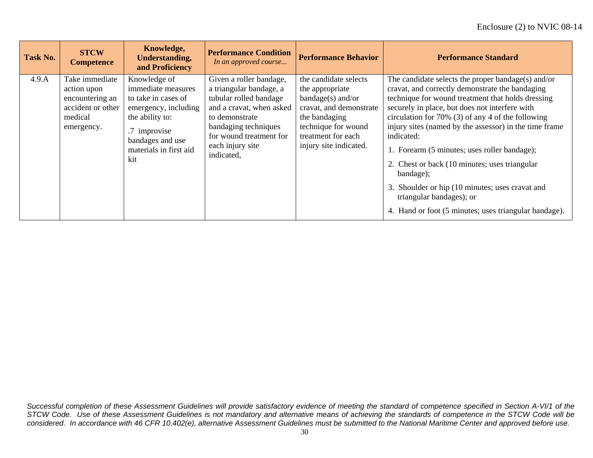| <b>Task No.</b> | <b>STCW</b><br><b>Competence</b>                                                               | Knowledge,<br><b>Understanding,</b><br>and Proficiency                                                                                                                    | <b>Performance Condition</b><br>In an approved course                                                                                                                                                           | <b>Performance Behavior</b>                                                                                                                                                        | <b>Performance Standard</b>                                                                                                                                                                                                                                                                                                                                                                                                                                                                                                                                                                     |
|-----------------|------------------------------------------------------------------------------------------------|---------------------------------------------------------------------------------------------------------------------------------------------------------------------------|-----------------------------------------------------------------------------------------------------------------------------------------------------------------------------------------------------------------|------------------------------------------------------------------------------------------------------------------------------------------------------------------------------------|-------------------------------------------------------------------------------------------------------------------------------------------------------------------------------------------------------------------------------------------------------------------------------------------------------------------------------------------------------------------------------------------------------------------------------------------------------------------------------------------------------------------------------------------------------------------------------------------------|
| 4.9.A           | Take immediate<br>action upon<br>encountering an<br>accident or other<br>medical<br>emergency. | Knowledge of<br>immediate measures<br>to take in cases of<br>emergency, including<br>the ability to:<br>.7 improvise<br>bandages and use<br>materials in first aid<br>kit | Given a roller bandage,<br>a triangular bandage, a<br>tubular rolled bandage<br>and a cravat, when asked<br>to demonstrate<br>bandaging techniques<br>for wound treatment for<br>each injury site<br>indicated, | the candidate selects<br>the appropriate<br>$bandage(s)$ and/or<br>cravat, and demonstrate<br>the bandaging<br>technique for wound<br>treatment for each<br>injury site indicated. | The candidate selects the proper bandage(s) and/or<br>cravat, and correctly demonstrate the bandaging<br>technique for wound treatment that holds dressing<br>securely in place, but does not interfere with<br>circulation for 70% (3) of any 4 of the following<br>injury sites (named by the assessor) in the time frame<br>indicated:<br>1. Forearm (5 minutes; uses roller bandage);<br>2. Chest or back (10 minutes; uses triangular<br>bandage);<br>3. Shoulder or hip (10 minutes; uses cravat and<br>triangular bandages); or<br>4. Hand or foot (5 minutes; uses triangular bandage). |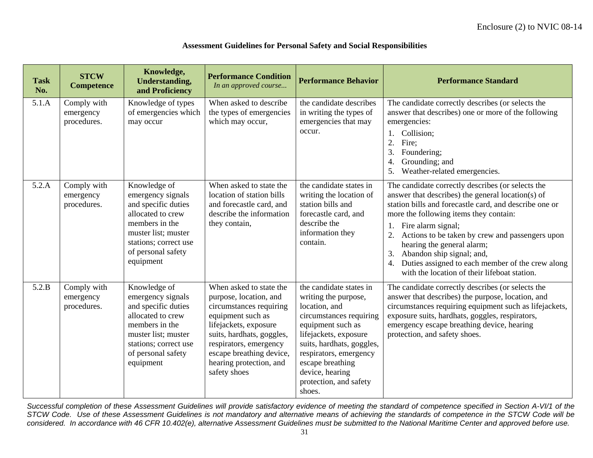| <b>Task</b><br>No. | <b>STCW</b><br><b>Competence</b>        | Knowledge,<br><b>Understanding,</b><br>and Proficiency                                                                                                                             | <b>Performance Condition</b><br>In an approved course                                                                                                                                                                                                    | <b>Performance Behavior</b>                                                                                                                                                                                                                                                 | <b>Performance Standard</b>                                                                                                                                                                                                                                                                                                                                                                                                                                                |
|--------------------|-----------------------------------------|------------------------------------------------------------------------------------------------------------------------------------------------------------------------------------|----------------------------------------------------------------------------------------------------------------------------------------------------------------------------------------------------------------------------------------------------------|-----------------------------------------------------------------------------------------------------------------------------------------------------------------------------------------------------------------------------------------------------------------------------|----------------------------------------------------------------------------------------------------------------------------------------------------------------------------------------------------------------------------------------------------------------------------------------------------------------------------------------------------------------------------------------------------------------------------------------------------------------------------|
| 5.1.A              | Comply with<br>emergency<br>procedures. | Knowledge of types<br>of emergencies which<br>may occur                                                                                                                            | When asked to describe<br>the types of emergencies<br>which may occur,                                                                                                                                                                                   | the candidate describes<br>in writing the types of<br>emergencies that may<br>occur.                                                                                                                                                                                        | The candidate correctly describes (or selects the<br>answer that describes) one or more of the following<br>emergencies:<br>Collision;<br>$\mathbf{1}$<br>$\overline{2}$<br>Fire;<br>Foundering;<br>Grounding; and<br>$\overline{4}$<br>Weather-related emergencies.<br>5.                                                                                                                                                                                                 |
| 5.2.A              | Comply with<br>emergency<br>procedures. | Knowledge of<br>emergency signals<br>and specific duties<br>allocated to crew<br>members in the<br>muster list; muster<br>stations; correct use<br>of personal safety<br>equipment | When asked to state the<br>location of station bills<br>and forecastle card, and<br>describe the information<br>they contain,                                                                                                                            | the candidate states in<br>writing the location of<br>station bills and<br>forecastle card, and<br>describe the<br>information they<br>contain.                                                                                                                             | The candidate correctly describes (or selects the<br>answer that describes) the general location(s) of<br>station bills and forecastle card, and describe one or<br>more the following items they contain:<br>Fire alarm signal;<br>1.<br>2.<br>Actions to be taken by crew and passengers upon<br>hearing the general alarm;<br>Abandon ship signal; and,<br>3.<br>Duties assigned to each member of the crew along<br>4.<br>with the location of their lifeboat station. |
| 5.2.B              | Comply with<br>emergency<br>procedures. | Knowledge of<br>emergency signals<br>and specific duties<br>allocated to crew<br>members in the<br>muster list; muster<br>stations; correct use<br>of personal safety<br>equipment | When asked to state the<br>purpose, location, and<br>circumstances requiring<br>equipment such as<br>lifejackets, exposure<br>suits, hardhats, goggles,<br>respirators, emergency<br>escape breathing device,<br>hearing protection, and<br>safety shoes | the candidate states in<br>writing the purpose,<br>location, and<br>circumstances requiring<br>equipment such as<br>lifejackets, exposure<br>suits, hardhats, goggles,<br>respirators, emergency<br>escape breathing<br>device, hearing<br>protection, and safety<br>shoes. | The candidate correctly describes (or selects the<br>answer that describes) the purpose, location, and<br>circumstances requiring equipment such as lifejackets,<br>exposure suits, hardhats, goggles, respirators,<br>emergency escape breathing device, hearing<br>protection, and safety shoes.                                                                                                                                                                         |

#### **Assessment Guidelines for Personal Safety and Social Responsibilities**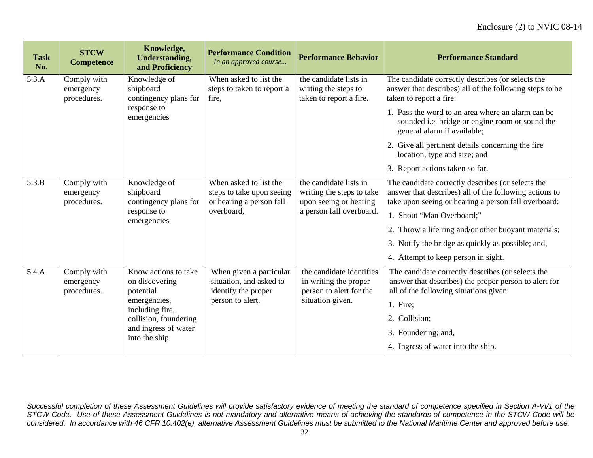| <b>Task</b><br>No. | <b>STCW</b><br><b>Competence</b>                     | Knowledge,<br><b>Understanding,</b><br>and Proficiency                           | <b>Performance Condition</b><br>In an approved course                                         | <b>Performance Behavior</b>                                                                               | <b>Performance Standard</b>                                                                                                                                                                                                                                                                                   |
|--------------------|------------------------------------------------------|----------------------------------------------------------------------------------|-----------------------------------------------------------------------------------------------|-----------------------------------------------------------------------------------------------------------|---------------------------------------------------------------------------------------------------------------------------------------------------------------------------------------------------------------------------------------------------------------------------------------------------------------|
| 5.3.A              | Comply with<br>emergency<br>procedures.              | Knowledge of<br>shipboard<br>contingency plans for                               | When asked to list the<br>steps to taken to report a<br>fire,                                 | the candidate lists in<br>writing the steps to<br>taken to report a fire.                                 | The candidate correctly describes (or selects the<br>answer that describes) all of the following steps to be<br>taken to report a fire:                                                                                                                                                                       |
|                    |                                                      | response to<br>emergencies                                                       |                                                                                               |                                                                                                           | 1. Pass the word to an area where an alarm can be<br>sounded i.e. bridge or engine room or sound the<br>general alarm if available;                                                                                                                                                                           |
|                    |                                                      |                                                                                  |                                                                                               |                                                                                                           | 2. Give all pertinent details concerning the fire<br>location, type and size; and                                                                                                                                                                                                                             |
|                    |                                                      |                                                                                  |                                                                                               |                                                                                                           | 3. Report actions taken so far.                                                                                                                                                                                                                                                                               |
| 5.3.B              | Comply with<br>emergency<br>procedures.              | Knowledge of<br>shipboard<br>contingency plans for<br>response to<br>emergencies | When asked to list the<br>steps to take upon seeing<br>or hearing a person fall<br>overboard, | the candidate lists in<br>writing the steps to take<br>upon seeing or hearing<br>a person fall overboard. | The candidate correctly describes (or selects the<br>answer that describes) all of the following actions to<br>take upon seeing or hearing a person fall overboard:<br>1. Shout "Man Overboard;"<br>2. Throw a life ring and/or other buoyant materials;<br>3. Notify the bridge as quickly as possible; and, |
|                    |                                                      |                                                                                  |                                                                                               |                                                                                                           | 4. Attempt to keep person in sight.                                                                                                                                                                                                                                                                           |
| 5.4.A              | Comply with<br>emergency<br>procedures.<br>potential | Know actions to take<br>on discovering                                           | When given a particular<br>situation, and asked to<br>identify the proper                     | the candidate identifies<br>in writing the proper<br>person to alert for the                              | The candidate correctly describes (or selects the<br>answer that describes) the proper person to alert for<br>all of the following situations given:                                                                                                                                                          |
|                    |                                                      | emergencies,<br>including fire,                                                  | person to alert,                                                                              | situation given.                                                                                          | 1. Fire;                                                                                                                                                                                                                                                                                                      |
|                    |                                                      | collision, foundering                                                            |                                                                                               |                                                                                                           | 2. Collision;                                                                                                                                                                                                                                                                                                 |
|                    |                                                      | and ingress of water<br>into the ship                                            |                                                                                               |                                                                                                           | 3. Foundering; and,                                                                                                                                                                                                                                                                                           |
|                    |                                                      |                                                                                  |                                                                                               |                                                                                                           | 4. Ingress of water into the ship.                                                                                                                                                                                                                                                                            |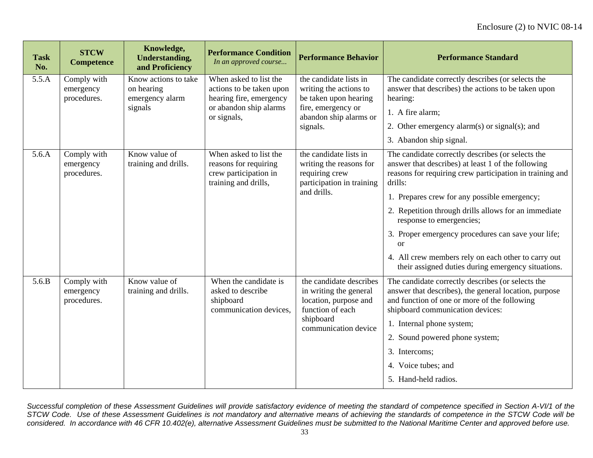| <b>Task</b><br>No. | <b>STCW</b><br><b>Competence</b>        | Knowledge,<br><b>Understanding,</b><br>and Proficiency           | <b>Performance Condition</b><br>In an approved course                                                                  | <b>Performance Behavior</b>                                                                                                           | <b>Performance Standard</b>                                                                                                                                                                                                                                                                                                                                                                                                                                                                        |
|--------------------|-----------------------------------------|------------------------------------------------------------------|------------------------------------------------------------------------------------------------------------------------|---------------------------------------------------------------------------------------------------------------------------------------|----------------------------------------------------------------------------------------------------------------------------------------------------------------------------------------------------------------------------------------------------------------------------------------------------------------------------------------------------------------------------------------------------------------------------------------------------------------------------------------------------|
| 5.5.A              | Comply with<br>emergency<br>procedures. | Know actions to take<br>on hearing<br>emergency alarm<br>signals | When asked to list the<br>actions to be taken upon<br>hearing fire, emergency<br>or abandon ship alarms<br>or signals, | the candidate lists in<br>writing the actions to<br>be taken upon hearing<br>fire, emergency or<br>abandon ship alarms or<br>signals. | The candidate correctly describes (or selects the<br>answer that describes) the actions to be taken upon<br>hearing:<br>1. A fire alarm;<br>2. Other emergency alarm(s) or signal(s); and<br>3. Abandon ship signal.                                                                                                                                                                                                                                                                               |
| 5.6.A              | Comply with<br>emergency<br>procedures. | Know value of<br>training and drills.                            | When asked to list the<br>reasons for requiring<br>crew participation in<br>training and drills,                       | the candidate lists in<br>writing the reasons for<br>requiring crew<br>participation in training<br>and drills.                       | The candidate correctly describes (or selects the<br>answer that describes) at least 1 of the following<br>reasons for requiring crew participation in training and<br>drills:<br>1. Prepares crew for any possible emergency;<br>2. Repetition through drills allows for an immediate<br>response to emergencies;<br>3. Proper emergency procedures can save your life;<br><b>or</b><br>4. All crew members rely on each other to carry out<br>their assigned duties during emergency situations. |
| 5.6.B              | Comply with<br>emergency<br>procedures. | Know value of<br>training and drills.                            | When the candidate is<br>asked to describe<br>shipboard<br>communication devices.                                      | the candidate describes<br>in writing the general<br>location, purpose and<br>function of each<br>shipboard<br>communication device   | The candidate correctly describes (or selects the<br>answer that describes), the general location, purpose<br>and function of one or more of the following<br>shipboard communication devices:<br>1. Internal phone system;<br>2. Sound powered phone system;<br>3. Intercoms;<br>4. Voice tubes; and<br>5. Hand-held radios.                                                                                                                                                                      |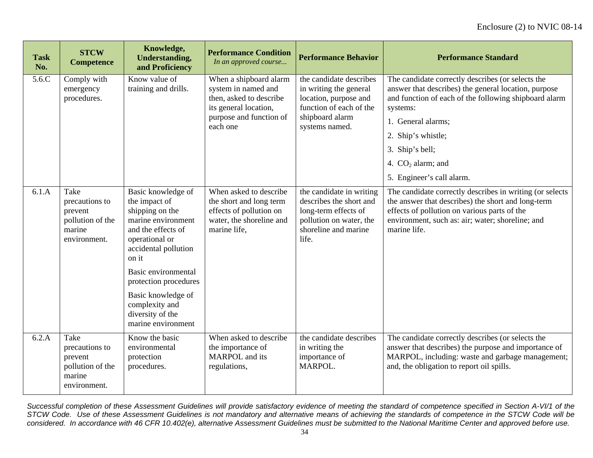| <b>Task</b><br>No. | <b>STCW</b><br><b>Competence</b>                                                | Knowledge,<br><b>Understanding,</b><br>and Proficiency                                                                                                                                                                                                                                  | <b>Performance Condition</b><br>In an approved course                                                                                    | <b>Performance Behavior</b>                                                                                                                | <b>Performance Standard</b>                                                                                                                                                                                                                                          |
|--------------------|---------------------------------------------------------------------------------|-----------------------------------------------------------------------------------------------------------------------------------------------------------------------------------------------------------------------------------------------------------------------------------------|------------------------------------------------------------------------------------------------------------------------------------------|--------------------------------------------------------------------------------------------------------------------------------------------|----------------------------------------------------------------------------------------------------------------------------------------------------------------------------------------------------------------------------------------------------------------------|
| 5.6C               | Comply with<br>emergency<br>procedures.                                         | Know value of<br>training and drills.                                                                                                                                                                                                                                                   | When a shipboard alarm<br>system in named and<br>then, asked to describe<br>its general location,<br>purpose and function of<br>each one | the candidate describes<br>in writing the general<br>location, purpose and<br>function of each of the<br>shipboard alarm<br>systems named. | The candidate correctly describes (or selects the<br>answer that describes) the general location, purpose<br>and function of each of the following shipboard alarm<br>systems:<br>1. General alarms;<br>2. Ship's whistle;<br>3. Ship's bell;<br>4. $CO2$ alarm; and |
|                    |                                                                                 |                                                                                                                                                                                                                                                                                         |                                                                                                                                          |                                                                                                                                            | 5. Engineer's call alarm.                                                                                                                                                                                                                                            |
| 6.1.A              | Take<br>precautions to<br>prevent<br>pollution of the<br>marine<br>environment. | Basic knowledge of<br>the impact of<br>shipping on the<br>marine environment<br>and the effects of<br>operational or<br>accidental pollution<br>on it<br>Basic environmental<br>protection procedures<br>Basic knowledge of<br>complexity and<br>diversity of the<br>marine environment | When asked to describe<br>the short and long term<br>effects of pollution on<br>water, the shoreline and<br>marine life,                 | the candidate in writing<br>describes the short and<br>long-term effects of<br>pollution on water, the<br>shoreline and marine<br>life.    | The candidate correctly describes in writing (or selects<br>the answer that describes) the short and long-term<br>effects of pollution on various parts of the<br>environment, such as: air; water; shoreline; and<br>marine life.                                   |
| 6.2.A              | Take<br>precautions to<br>prevent<br>pollution of the<br>marine<br>environment. | Know the basic<br>environmental<br>protection<br>procedures.                                                                                                                                                                                                                            | When asked to describe<br>the importance of<br>MARPOL and its<br>regulations,                                                            | the candidate describes<br>in writing the<br>importance of<br>MARPOL.                                                                      | The candidate correctly describes (or selects the<br>answer that describes) the purpose and importance of<br>MARPOL, including: waste and garbage management;<br>and, the obligation to report oil spills.                                                           |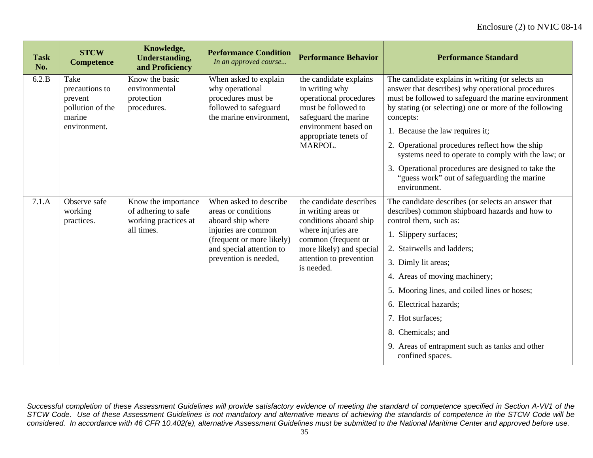| <b>Task</b><br>No. | <b>STCW</b><br><b>Competence</b>                                                | Knowledge,<br><b>Understanding,</b><br>and Proficiency                           | <b>Performance Condition</b><br>In an approved course                                                                                                                       | <b>Performance Behavior</b>                                                                                                                                                                | <b>Performance Standard</b>                                                                                                                                                                                                                                                                                                                                                                                                            |
|--------------------|---------------------------------------------------------------------------------|----------------------------------------------------------------------------------|-----------------------------------------------------------------------------------------------------------------------------------------------------------------------------|--------------------------------------------------------------------------------------------------------------------------------------------------------------------------------------------|----------------------------------------------------------------------------------------------------------------------------------------------------------------------------------------------------------------------------------------------------------------------------------------------------------------------------------------------------------------------------------------------------------------------------------------|
| 6.2.B              | Take<br>precautions to<br>prevent<br>pollution of the<br>marine<br>environment. | Know the basic<br>environmental<br>protection<br>procedures.                     | When asked to explain<br>why operational<br>procedures must be<br>followed to safeguard<br>the marine environment,                                                          | the candidate explains<br>in writing why<br>operational procedures<br>must be followed to<br>safeguard the marine<br>environment based on<br>appropriate tenets of<br>MARPOL.              | The candidate explains in writing (or selects an<br>answer that describes) why operational procedures<br>must be followed to safeguard the marine environment<br>by stating (or selecting) one or more of the following<br>concepts:<br>1. Because the law requires it;<br>2. Operational procedures reflect how the ship<br>systems need to operate to comply with the law; or<br>3. Operational procedures are designed to take the  |
|                    |                                                                                 |                                                                                  |                                                                                                                                                                             |                                                                                                                                                                                            | "guess work" out of safeguarding the marine<br>environment.                                                                                                                                                                                                                                                                                                                                                                            |
| 7.1.A              | Observe safe<br>working<br>practices.                                           | Know the importance<br>of adhering to safe<br>working practices at<br>all times. | When asked to describe<br>areas or conditions<br>aboard ship where<br>injuries are common<br>(frequent or more likely)<br>and special attention to<br>prevention is needed, | the candidate describes<br>in writing areas or<br>conditions aboard ship<br>where injuries are<br>common (frequent or<br>more likely) and special<br>attention to prevention<br>is needed. | The candidate describes (or selects an answer that<br>describes) common shipboard hazards and how to<br>control them, such as:<br>1. Slippery surfaces;<br>2. Stairwells and ladders;<br>3. Dimly lit areas;<br>4. Areas of moving machinery;<br>5. Mooring lines, and coiled lines or hoses;<br>6. Electrical hazards;<br>7. Hot surfaces;<br>8. Chemicals; and<br>9. Areas of entrapment such as tanks and other<br>confined spaces. |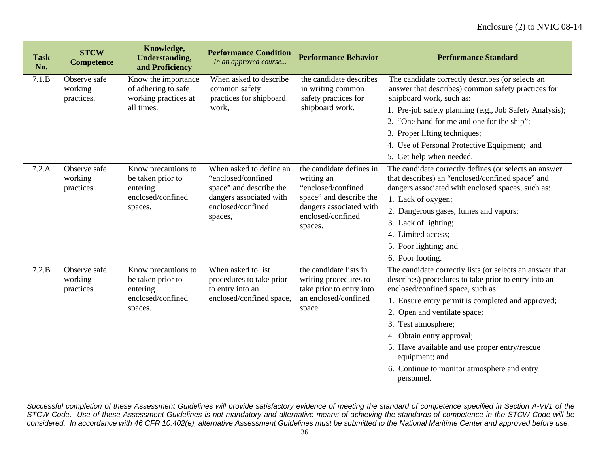| <b>Task</b><br>No. | <b>STCW</b><br><b>Competence</b>      | Knowledge,<br><b>Understanding,</b><br>and Proficiency                               | <b>Performance Condition</b><br>In an approved course                                                                               | <b>Performance Behavior</b>                                                                                                                        | <b>Performance Standard</b>                                                                                                                                                                                                                                                                                                                                                                                                    |
|--------------------|---------------------------------------|--------------------------------------------------------------------------------------|-------------------------------------------------------------------------------------------------------------------------------------|----------------------------------------------------------------------------------------------------------------------------------------------------|--------------------------------------------------------------------------------------------------------------------------------------------------------------------------------------------------------------------------------------------------------------------------------------------------------------------------------------------------------------------------------------------------------------------------------|
| 7.1.B              | Observe safe<br>working<br>practices. | Know the importance<br>of adhering to safe<br>working practices at<br>all times.     | When asked to describe<br>common safety<br>practices for shipboard<br>work,                                                         | the candidate describes<br>in writing common<br>safety practices for<br>shipboard work.                                                            | The candidate correctly describes (or selects an<br>answer that describes) common safety practices for<br>shipboard work, such as:<br>1. Pre-job safety planning (e.g., Job Safety Analysis);<br>2. "One hand for me and one for the ship";<br>3. Proper lifting techniques;<br>4. Use of Personal Protective Equipment; and<br>5. Get help when needed.                                                                       |
| 7.2.A              | Observe safe<br>working<br>practices. | Know precautions to<br>be taken prior to<br>entering<br>enclosed/confined<br>spaces. | When asked to define an<br>"enclosed/confined<br>space" and describe the<br>dangers associated with<br>enclosed/confined<br>spaces, | the candidate defines in<br>writing an<br>"enclosed/confined<br>space" and describe the<br>dangers associated with<br>enclosed/confined<br>spaces. | The candidate correctly defines (or selects an answer<br>that describes) an "enclosed/confined space" and<br>dangers associated with enclosed spaces, such as:<br>1. Lack of oxygen;<br>2. Dangerous gases, fumes and vapors;<br>3. Lack of lighting;<br>4. Limited access;<br>5. Poor lighting; and<br>6. Poor footing.                                                                                                       |
| 7.2.B              | Observe safe<br>working<br>practices. | Know precautions to<br>be taken prior to<br>entering<br>enclosed/confined<br>spaces. | When asked to list<br>procedures to take prior<br>to entry into an<br>enclosed/confined space,                                      | the candidate lists in<br>writing procedures to<br>take prior to entry into<br>an enclosed/confined<br>space.                                      | The candidate correctly lists (or selects an answer that<br>describes) procedures to take prior to entry into an<br>enclosed/confined space, such as:<br>1. Ensure entry permit is completed and approved;<br>2. Open and ventilate space;<br>3. Test atmosphere;<br>4. Obtain entry approval;<br>5. Have available and use proper entry/rescue<br>equipment; and<br>6. Continue to monitor atmosphere and entry<br>personnel. |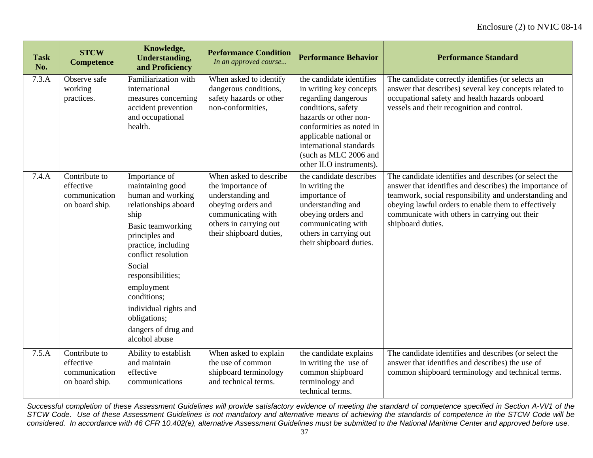| <b>Task</b><br>No. | <b>STCW</b><br><b>Competence</b>                              | Knowledge,<br><b>Understanding,</b><br>and Proficiency                                                                                                                                                                                                                                                                   | <b>Performance Condition</b><br>In an approved course                                                                                                             | <b>Performance Behavior</b>                                                                                                                                                                                                                                    | <b>Performance Standard</b>                                                                                                                                                                                                                                                                            |
|--------------------|---------------------------------------------------------------|--------------------------------------------------------------------------------------------------------------------------------------------------------------------------------------------------------------------------------------------------------------------------------------------------------------------------|-------------------------------------------------------------------------------------------------------------------------------------------------------------------|----------------------------------------------------------------------------------------------------------------------------------------------------------------------------------------------------------------------------------------------------------------|--------------------------------------------------------------------------------------------------------------------------------------------------------------------------------------------------------------------------------------------------------------------------------------------------------|
| 7.3.A              | Observe safe<br>working<br>practices.                         | Familiarization with<br>international<br>measures concerning<br>accident prevention<br>and occupational<br>health.                                                                                                                                                                                                       | When asked to identify<br>dangerous conditions,<br>safety hazards or other<br>non-conformities.                                                                   | the candidate identifies<br>in writing key concepts<br>regarding dangerous<br>conditions, safety<br>hazards or other non-<br>conformities as noted in<br>applicable national or<br>international standards<br>(such as MLC 2006 and<br>other ILO instruments). | The candidate correctly identifies (or selects an<br>answer that describes) several key concepts related to<br>occupational safety and health hazards onboard<br>vessels and their recognition and control.                                                                                            |
| 7.4.A              | Contribute to<br>effective<br>communication<br>on board ship. | Importance of<br>maintaining good<br>human and working<br>relationships aboard<br>ship<br>Basic teamworking<br>principles and<br>practice, including<br>conflict resolution<br>Social<br>responsibilities;<br>employment<br>conditions;<br>individual rights and<br>obligations;<br>dangers of drug and<br>alcohol abuse | When asked to describe<br>the importance of<br>understanding and<br>obeying orders and<br>communicating with<br>others in carrying out<br>their shipboard duties, | the candidate describes<br>in writing the<br>importance of<br>understanding and<br>obeying orders and<br>communicating with<br>others in carrying out<br>their shipboard duties.                                                                               | The candidate identifies and describes (or select the<br>answer that identifies and describes) the importance of<br>teamwork, social responsibility and understanding and<br>obeying lawful orders to enable them to effectively<br>communicate with others in carrying out their<br>shipboard duties. |
| 7.5.A              | Contribute to<br>effective<br>communication<br>on board ship. | Ability to establish<br>and maintain<br>effective<br>communications                                                                                                                                                                                                                                                      | When asked to explain<br>the use of common<br>shipboard terminology<br>and technical terms.                                                                       | the candidate explains<br>in writing the use of<br>common shipboard<br>terminology and<br>technical terms.                                                                                                                                                     | The candidate identifies and describes (or select the<br>answer that identifies and describes) the use of<br>common shipboard terminology and technical terms.                                                                                                                                         |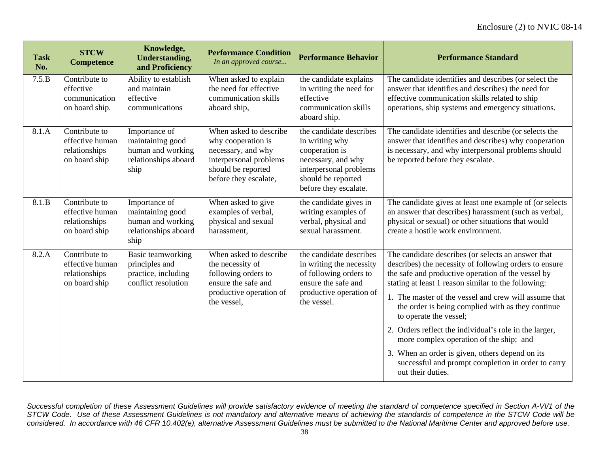| <b>Task</b><br>No. | <b>STCW</b><br><b>Competence</b>                                   | Knowledge,<br><b>Understanding,</b><br>and Proficiency                                 | <b>Performance Condition</b><br>In an approved course                                                                                       | <b>Performance Behavior</b>                                                                                                                                | <b>Performance Standard</b>                                                                                                                                                                                                                                                                                                                                                                                                                                                                                                                                                                          |
|--------------------|--------------------------------------------------------------------|----------------------------------------------------------------------------------------|---------------------------------------------------------------------------------------------------------------------------------------------|------------------------------------------------------------------------------------------------------------------------------------------------------------|------------------------------------------------------------------------------------------------------------------------------------------------------------------------------------------------------------------------------------------------------------------------------------------------------------------------------------------------------------------------------------------------------------------------------------------------------------------------------------------------------------------------------------------------------------------------------------------------------|
| 7.5.B              | Contribute to<br>effective<br>communication<br>on board ship.      | Ability to establish<br>and maintain<br>effective<br>communications                    | When asked to explain<br>the need for effective<br>communication skills<br>aboard ship,                                                     | the candidate explains<br>in writing the need for<br>effective<br>communication skills<br>aboard ship.                                                     | The candidate identifies and describes (or select the<br>answer that identifies and describes) the need for<br>effective communication skills related to ship<br>operations, ship systems and emergency situations.                                                                                                                                                                                                                                                                                                                                                                                  |
| 8.1.A              | Contribute to<br>effective human<br>relationships<br>on board ship | Importance of<br>maintaining good<br>human and working<br>relationships aboard<br>ship | When asked to describe<br>why cooperation is<br>necessary, and why<br>interpersonal problems<br>should be reported<br>before they escalate, | the candidate describes<br>in writing why<br>cooperation is<br>necessary, and why<br>interpersonal problems<br>should be reported<br>before they escalate. | The candidate identifies and describe (or selects the<br>answer that identifies and describes) why cooperation<br>is necessary, and why interpersonal problems should<br>be reported before they escalate.                                                                                                                                                                                                                                                                                                                                                                                           |
| 8.1.B              | Contribute to<br>effective human<br>relationships<br>on board ship | Importance of<br>maintaining good<br>human and working<br>relationships aboard<br>ship | When asked to give<br>examples of verbal,<br>physical and sexual<br>harassment,                                                             | the candidate gives in<br>writing examples of<br>verbal, physical and<br>sexual harassment.                                                                | The candidate gives at least one example of (or selects<br>an answer that describes) harassment (such as verbal,<br>physical or sexual) or other situations that would<br>create a hostile work environment.                                                                                                                                                                                                                                                                                                                                                                                         |
| 8.2.A              | Contribute to<br>effective human<br>relationships<br>on board ship | Basic teamworking<br>principles and<br>practice, including<br>conflict resolution      | When asked to describe<br>the necessity of<br>following orders to<br>ensure the safe and<br>productive operation of<br>the vessel,          | the candidate describes<br>in writing the necessity<br>of following orders to<br>ensure the safe and<br>productive operation of<br>the vessel.             | The candidate describes (or selects an answer that<br>describes) the necessity of following orders to ensure<br>the safe and productive operation of the vessel by<br>stating at least 1 reason similar to the following:<br>1. The master of the vessel and crew will assume that<br>the order is being complied with as they continue<br>to operate the vessel;<br>2. Orders reflect the individual's role in the larger,<br>more complex operation of the ship; and<br>3. When an order is given, others depend on its<br>successful and prompt completion in order to carry<br>out their duties. |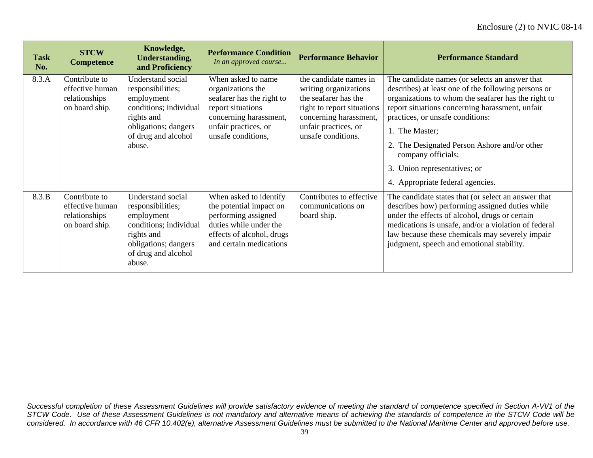| <b>Task</b><br>No. | <b>STCW</b><br><b>Competence</b>                                    | Knowledge,<br><b>Understanding,</b><br>and Proficiency                                                                                                | <b>Performance Condition</b><br>In an approved course                                                                                                             | <b>Performance Behavior</b>                                                                                                                                                   | <b>Performance Standard</b>                                                                                                                                                                                                                                                                                                                                                                                     |
|--------------------|---------------------------------------------------------------------|-------------------------------------------------------------------------------------------------------------------------------------------------------|-------------------------------------------------------------------------------------------------------------------------------------------------------------------|-------------------------------------------------------------------------------------------------------------------------------------------------------------------------------|-----------------------------------------------------------------------------------------------------------------------------------------------------------------------------------------------------------------------------------------------------------------------------------------------------------------------------------------------------------------------------------------------------------------|
| 8.3.A              | Contribute to<br>effective human<br>relationships<br>on board ship. | Understand social<br>responsibilities;<br>employment<br>conditions; individual<br>rights and<br>obligations; dangers<br>of drug and alcohol<br>abuse. | When asked to name<br>organizations the<br>seafarer has the right to<br>report situations<br>concerning harassment,<br>unfair practices, or<br>unsafe conditions, | the candidate names in<br>writing organizations<br>the seafarer has the<br>right to report situations<br>concerning harassment,<br>unfair practices, or<br>unsafe conditions. | The candidate names (or selects an answer that<br>describes) at least one of the following persons or<br>organizations to whom the seafarer has the right to<br>report situations concerning harassment, unfair<br>practices, or unsafe conditions:<br>1. The Master;<br>2. The Designated Person Ashore and/or other<br>company officials;<br>3. Union representatives; or<br>4. Appropriate federal agencies. |
| 8.3.B              | Contribute to<br>effective human<br>relationships<br>on board ship. | Understand social<br>responsibilities;<br>employment<br>conditions; individual<br>rights and<br>obligations; dangers<br>of drug and alcohol<br>abuse. | When asked to identify<br>the potential impact on<br>performing assigned<br>duties while under the<br>effects of alcohol, drugs<br>and certain medications        | Contributes to effective<br>communications on<br>board ship.                                                                                                                  | The candidate states that (or select an answer that<br>describes how) performing assigned duties while<br>under the effects of alcohol, drugs or certain<br>medications is unsafe, and/or a violation of federal<br>law because these chemicals may severely impair<br>judgment, speech and emotional stability.                                                                                                |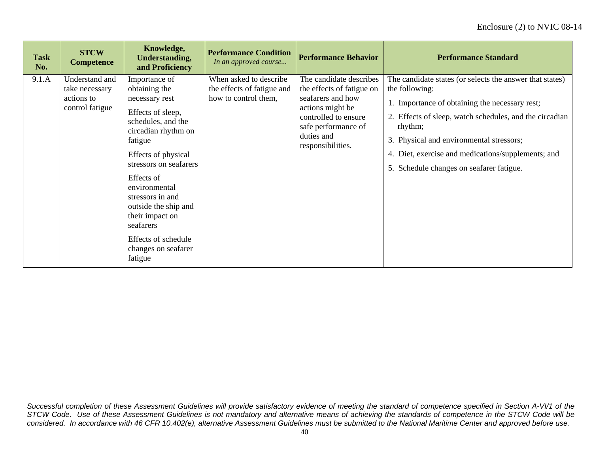| <b>Task</b><br>No. | <b>STCW</b><br><b>Competence</b>                                  | Knowledge,<br><b>Understanding,</b><br>and Proficiency                                                                                                                                                                                                                                                                                             | <b>Performance Condition</b><br>In an approved course                        | <b>Performance Behavior</b>                                                                                                                                                     | <b>Performance Standard</b>                                                                                                                                                                                                                                                                                                                      |
|--------------------|-------------------------------------------------------------------|----------------------------------------------------------------------------------------------------------------------------------------------------------------------------------------------------------------------------------------------------------------------------------------------------------------------------------------------------|------------------------------------------------------------------------------|---------------------------------------------------------------------------------------------------------------------------------------------------------------------------------|--------------------------------------------------------------------------------------------------------------------------------------------------------------------------------------------------------------------------------------------------------------------------------------------------------------------------------------------------|
| 9.1.A              | Understand and<br>take necessary<br>actions to<br>control fatigue | Importance of<br>obtaining the<br>necessary rest<br>Effects of sleep,<br>schedules, and the<br>circadian rhythm on<br>fatigue<br>Effects of physical<br>stressors on seafarers<br>Effects of<br>environmental<br>stressors in and<br>outside the ship and<br>their impact on<br>seafarers<br>Effects of schedule<br>changes on seafarer<br>fatigue | When asked to describe<br>the effects of fatigue and<br>how to control them, | The candidate describes<br>the effects of fatigue on<br>seafarers and how<br>actions might be<br>controlled to ensure<br>safe performance of<br>duties and<br>responsibilities. | The candidate states (or selects the answer that states)<br>the following:<br>1. Importance of obtaining the necessary rest;<br>2. Effects of sleep, watch schedules, and the circadian<br>rhythm;<br>3. Physical and environmental stressors;<br>4. Diet, exercise and medications/supplements; and<br>5. Schedule changes on seafarer fatigue. |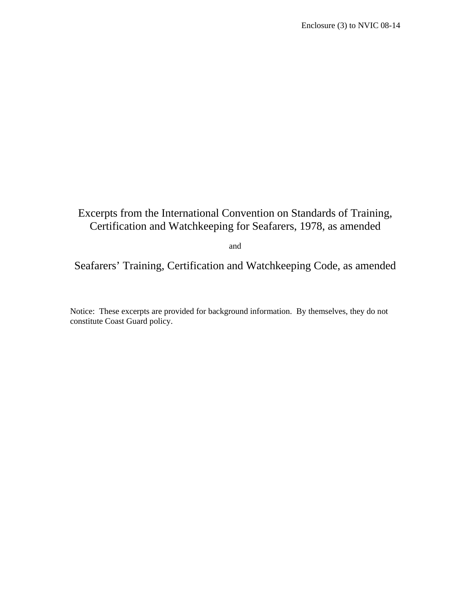# Excerpts from the International Convention on Standards of Training, Certification and Watchkeeping for Seafarers, 1978, as amended

and

Seafarers' Training, Certification and Watchkeeping Code, as amended

Notice: These excerpts are provided for background information. By themselves, they do not constitute Coast Guard policy.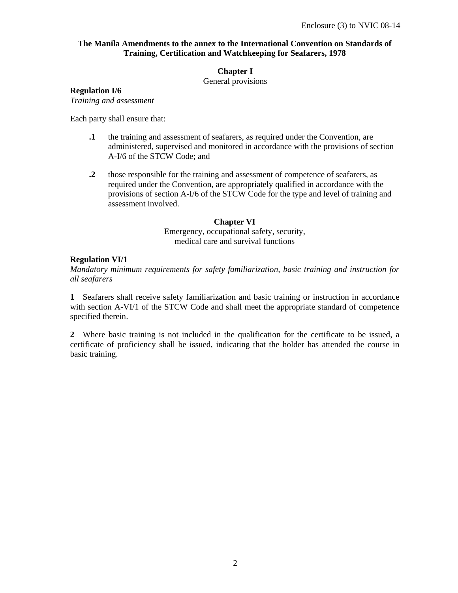## **The Manila Amendments to the annex to the International Convention on Standards of Training, Certification and Watchkeeping for Seafarers, 1978**

### **Chapter I**

General provisions

### **Regulation I/6**

*Training and assessment* 

Each party shall ensure that:

- **.1** the training and assessment of seafarers, as required under the Convention, are administered, supervised and monitored in accordance with the provisions of section A-I/6 of the STCW Code; and
- **.2** those responsible for the training and assessment of competence of seafarers, as required under the Convention, are appropriately qualified in accordance with the provisions of section A-I/6 of the STCW Code for the type and level of training and assessment involved.

### **Chapter VI**

Emergency, occupational safety, security, medical care and survival functions

# **Regulation VI/1**

*Mandatory minimum requirements for safety familiarization, basic training and instruction for all seafarers* 

**1** Seafarers shall receive safety familiarization and basic training or instruction in accordance with section A-VI/1 of the STCW Code and shall meet the appropriate standard of competence specified therein.

**2** Where basic training is not included in the qualification for the certificate to be issued, a certificate of proficiency shall be issued, indicating that the holder has attended the course in basic training.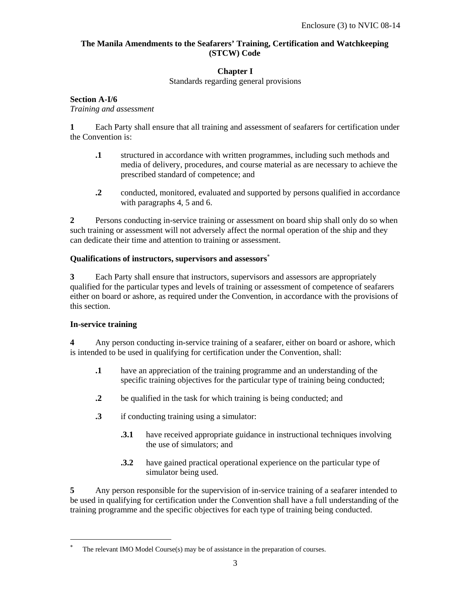# **The Manila Amendments to the Seafarers' Training, Certification and Watchkeeping (STCW) Code**

# **Chapter I**

Standards regarding general provisions

## **Section A-I/6**

*Training and assessment* 

**1** Each Party shall ensure that all training and assessment of seafarers for certification under the Convention is:

- **.1** structured in accordance with written programmes, including such methods and media of delivery, procedures, and course material as are necessary to achieve the prescribed standard of competence; and
- **.2** conducted, monitored, evaluated and supported by persons qualified in accordance with paragraphs 4, 5 and 6.

**2** Persons conducting in-service training or assessment on board ship shall only do so when such training or assessment will not adversely affect the normal operation of the ship and they can dedicate their time and attention to training or assessment.

### **Qualifications of instructors, supervisors and assessors**<sup>∗</sup>

**3** Each Party shall ensure that instructors, supervisors and assessors are appropriately qualified for the particular types and levels of training or assessment of competence of seafarers either on board or ashore, as required under the Convention, in accordance with the provisions of this section.

### **In-service training**

-

**4** Any person conducting in-service training of a seafarer, either on board or ashore, which is intended to be used in qualifying for certification under the Convention, shall:

- **.1** have an appreciation of the training programme and an understanding of the specific training objectives for the particular type of training being conducted;
- **.2** be qualified in the task for which training is being conducted; and
- **.3** if conducting training using a simulator:
	- **.3.1** have received appropriate guidance in instructional techniques involving the use of simulators; and
	- **.3.2** have gained practical operational experience on the particular type of simulator being used.

**5** Any person responsible for the supervision of in-service training of a seafarer intended to be used in qualifying for certification under the Convention shall have a full understanding of the training programme and the specific objectives for each type of training being conducted.

<sup>∗</sup> The relevant IMO Model Course(s) may be of assistance in the preparation of courses.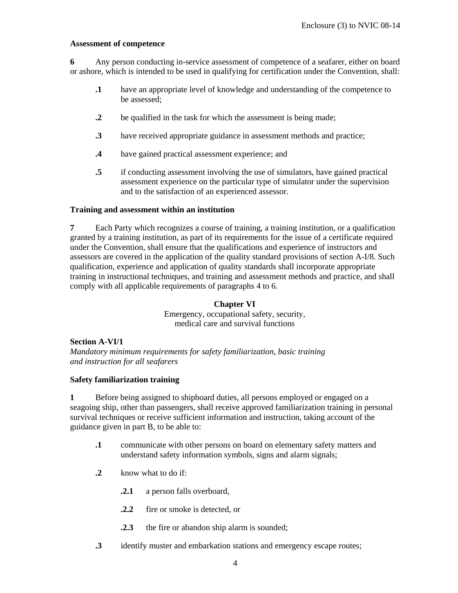#### **Assessment of competence**

**6** Any person conducting in-service assessment of competence of a seafarer, either on board or ashore, which is intended to be used in qualifying for certification under the Convention, shall:

- **.1** have an appropriate level of knowledge and understanding of the competence to be assessed;
- **2** be qualified in the task for which the assessment is being made;
- **.3** have received appropriate guidance in assessment methods and practice;
- **.4** have gained practical assessment experience; and
- **.5** if conducting assessment involving the use of simulators, have gained practical assessment experience on the particular type of simulator under the supervision and to the satisfaction of an experienced assessor.

#### **Training and assessment within an institution**

**7** Each Party which recognizes a course of training, a training institution, or a qualification granted by a training institution, as part of its requirements for the issue of a certificate required under the Convention, shall ensure that the qualifications and experience of instructors and assessors are covered in the application of the quality standard provisions of section A-I/8. Such qualification, experience and application of quality standards shall incorporate appropriate training in instructional techniques, and training and assessment methods and practice, and shall comply with all applicable requirements of paragraphs 4 to 6.

### **Chapter VI**

Emergency, occupational safety, security, medical care and survival functions

#### **Section A-VI/1**

*Mandatory minimum requirements for safety familiarization, basic training and instruction for all seafarers* 

#### **Safety familiarization training**

**1** Before being assigned to shipboard duties, all persons employed or engaged on a seagoing ship, other than passengers, shall receive approved familiarization training in personal survival techniques or receive sufficient information and instruction, taking account of the guidance given in part B, to be able to:

- **.1** communicate with other persons on board on elementary safety matters and understand safety information symbols, signs and alarm signals;
- **.2** know what to do if:
	- **.2.1** a person falls overboard,
	- **.2.2** fire or smoke is detected, or
	- **.2.3** the fire or abandon ship alarm is sounded;
- **.3** identify muster and embarkation stations and emergency escape routes;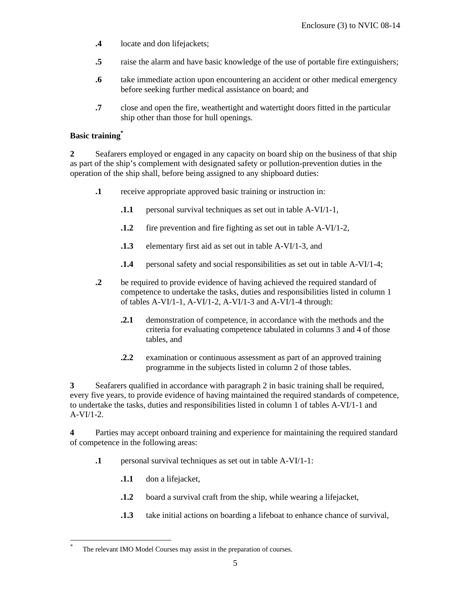- **.4** locate and don lifejackets;
- **.5** raise the alarm and have basic knowledge of the use of portable fire extinguishers;
- **.6** take immediate action upon encountering an accident or other medical emergency before seeking further medical assistance on board; and
- **.7** close and open the fire, weathertight and watertight doors fitted in the particular ship other than those for hull openings.

# **Basic training\***

**2** Seafarers employed or engaged in any capacity on board ship on the business of that ship as part of the ship's complement with designated safety or pollution-prevention duties in the operation of the ship shall, before being assigned to any shipboard duties:

- **.1** receive appropriate approved basic training or instruction in:
	- **.1.1** personal survival techniques as set out in table A-VI/1-1,
	- **.1.2** fire prevention and fire fighting as set out in table A-VI/1-2,
	- **.1.3** elementary first aid as set out in table A-VI/1-3, and
	- **.1.4** personal safety and social responsibilities as set out in table A-VI/1-4;
- **.2** be required to provide evidence of having achieved the required standard of competence to undertake the tasks, duties and responsibilities listed in column 1 of tables  $A-VI/I-1$ ,  $A-VI/I-2$ ,  $A-VI/I-3$  and  $A-VI/I-4$  through:
	- **2.1** demonstration of competence, in accordance with the methods and the criteria for evaluating competence tabulated in columns 3 and 4 of those tables, and
	- **.2.2** examination or continuous assessment as part of an approved training programme in the subjects listed in column 2 of those tables.

**3** Seafarers qualified in accordance with paragraph 2 in basic training shall be required, every five years, to provide evidence of having maintained the required standards of competence, to undertake the tasks, duties and responsibilities listed in column 1 of tables A-VI/1-1 and  $A-VI/1-2.$ 

**4** Parties may accept onboard training and experience for maintaining the required standard of competence in the following areas:

- **.1** personal survival techniques as set out in table A-VI/1-1:
	- **.1.1** don a lifejacket,

-

- **.1.2** board a survival craft from the ship, while wearing a lifejacket,
- **.1.3** take initial actions on boarding a lifeboat to enhance chance of survival,

<sup>\*</sup> The relevant IMO Model Courses may assist in the preparation of courses.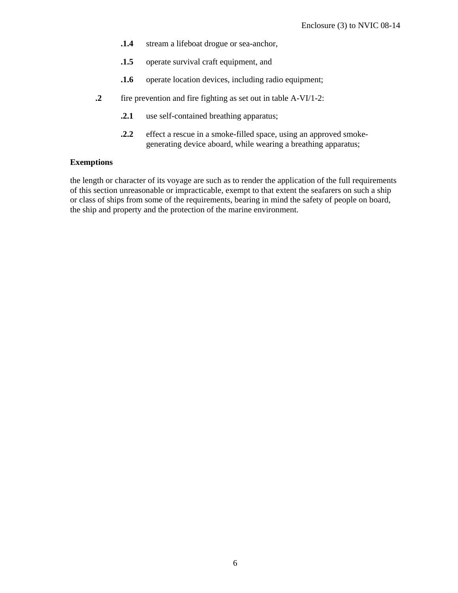- **.1.4** stream a lifeboat drogue or sea-anchor,
- **.1.5** operate survival craft equipment, and
- **1.6** operate location devices, including radio equipment;
- **.2** fire prevention and fire fighting as set out in table A-VI/1-2:
	- **.2.1** use self-contained breathing apparatus;
	- **.2.2** effect a rescue in a smoke-filled space, using an approved smokegenerating device aboard, while wearing a breathing apparatus;

### **Exemptions**

the length or character of its voyage are such as to render the application of the full requirements of this section unreasonable or impracticable, exempt to that extent the seafarers on such a ship or class of ships from some of the requirements, bearing in mind the safety of people on board, the ship and property and the protection of the marine environment.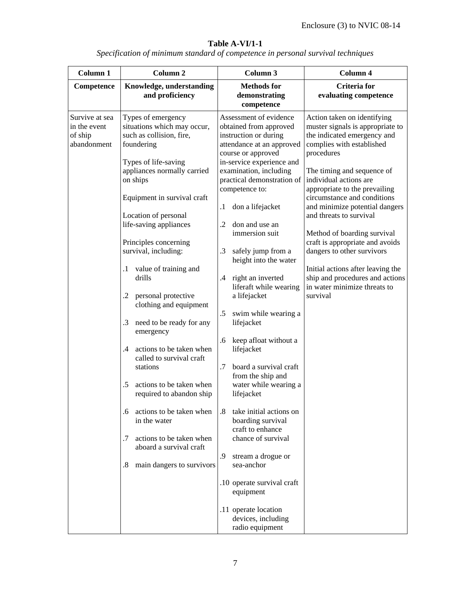| Specification of minimum standard of competence in personal survival techniques |  |  |
|---------------------------------------------------------------------------------|--|--|
|                                                                                 |  |  |

| Column 1                                                 | Column <sub>2</sub>                                                                                                                                                                                                                                                                                                                                                                                                                                                                                                                                                                                                                                                                                                                                              | Column 3                                                                                                                                                                                                                                                                                                                                                                                                                                                                                                                                                                                                                                                                                                                                                                                                                                                                                                 | Column 4                                                                                                                                                                                                                                                                                                                                                                                                                                                                                                                                           |
|----------------------------------------------------------|------------------------------------------------------------------------------------------------------------------------------------------------------------------------------------------------------------------------------------------------------------------------------------------------------------------------------------------------------------------------------------------------------------------------------------------------------------------------------------------------------------------------------------------------------------------------------------------------------------------------------------------------------------------------------------------------------------------------------------------------------------------|----------------------------------------------------------------------------------------------------------------------------------------------------------------------------------------------------------------------------------------------------------------------------------------------------------------------------------------------------------------------------------------------------------------------------------------------------------------------------------------------------------------------------------------------------------------------------------------------------------------------------------------------------------------------------------------------------------------------------------------------------------------------------------------------------------------------------------------------------------------------------------------------------------|----------------------------------------------------------------------------------------------------------------------------------------------------------------------------------------------------------------------------------------------------------------------------------------------------------------------------------------------------------------------------------------------------------------------------------------------------------------------------------------------------------------------------------------------------|
| Competence                                               | Knowledge, understanding<br>and proficiency                                                                                                                                                                                                                                                                                                                                                                                                                                                                                                                                                                                                                                                                                                                      | <b>Methods</b> for<br>demonstrating<br>competence                                                                                                                                                                                                                                                                                                                                                                                                                                                                                                                                                                                                                                                                                                                                                                                                                                                        | <b>Criteria</b> for<br>evaluating competence                                                                                                                                                                                                                                                                                                                                                                                                                                                                                                       |
| Survive at sea<br>in the event<br>of ship<br>abandonment | Types of emergency<br>situations which may occur,<br>such as collision, fire,<br>foundering<br>Types of life-saving<br>appliances normally carried<br>on ships<br>Equipment in survival craft<br>Location of personal<br>life-saving appliances<br>Principles concerning<br>survival, including:<br>value of training and<br>$\cdot$<br>drills<br>personal protective<br>.2<br>clothing and equipment<br>$\cdot$ 3<br>need to be ready for any<br>emergency<br>actions to be taken when<br>.4<br>called to survival craft<br>stations<br>actions to be taken when<br>.5<br>required to abandon ship<br>actions to be taken when<br>$6 \cdot$<br>in the water<br>actions to be taken when<br>.7<br>aboard a survival craft<br>main dangers to survivors<br>$.8\,$ | Assessment of evidence<br>obtained from approved<br>instruction or during<br>attendance at an approved<br>course or approved<br>in-service experience and<br>examination, including<br>practical demonstration of<br>competence to:<br>don a lifejacket<br>$\cdot$<br>don and use an<br>$\cdot$ .2<br>immersion suit<br>safely jump from a<br>$\cdot$ 3<br>height into the water<br>right an inverted<br>.4<br>liferaft while wearing<br>a lifejacket<br>$.5\,$<br>swim while wearing a<br>lifejacket<br>.6<br>keep afloat without a<br>lifejacket<br>.7<br>board a survival craft<br>from the ship and<br>water while wearing a<br>lifejacket<br>take initial actions on<br>$.8\,$<br>boarding survival<br>craft to enhance<br>chance of survival<br>.9<br>stream a drogue or<br>sea-anchor<br>.10 operate survival craft<br>equipment<br>.11 operate location<br>devices, including<br>radio equipment | Action taken on identifying<br>muster signals is appropriate to<br>the indicated emergency and<br>complies with established<br>procedures<br>The timing and sequence of<br>individual actions are<br>appropriate to the prevailing<br>circumstance and conditions<br>and minimize potential dangers<br>and threats to survival<br>Method of boarding survival<br>craft is appropriate and avoids<br>dangers to other survivors<br>Initial actions after leaving the<br>ship and procedures and actions<br>in water minimize threats to<br>survival |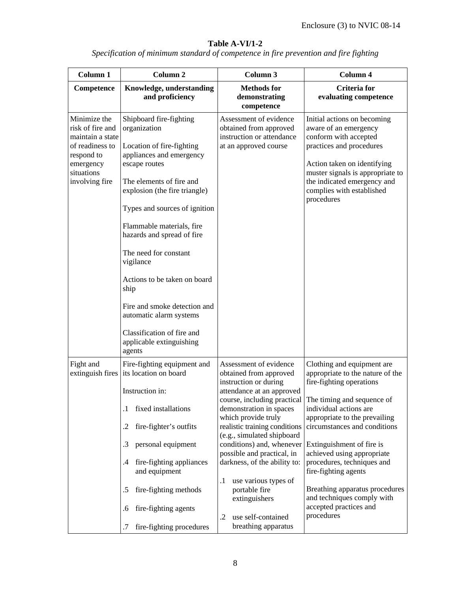|  | Specification of minimum standard of competence in fire prevention and fire fighting |
|--|--------------------------------------------------------------------------------------|
|  |                                                                                      |
|  |                                                                                      |
|  |                                                                                      |

| Column 1                                                                                                                           | Column <sub>2</sub>                                                                                                                                                                                                                                                                                                                                                                                                                                                                     | Column 3                                                                                                                                                                                                                                                                                                                                                                                                                                        | Column 4                                                                                                                                                                                                                                                                                                                                                                                                                                                                 |
|------------------------------------------------------------------------------------------------------------------------------------|-----------------------------------------------------------------------------------------------------------------------------------------------------------------------------------------------------------------------------------------------------------------------------------------------------------------------------------------------------------------------------------------------------------------------------------------------------------------------------------------|-------------------------------------------------------------------------------------------------------------------------------------------------------------------------------------------------------------------------------------------------------------------------------------------------------------------------------------------------------------------------------------------------------------------------------------------------|--------------------------------------------------------------------------------------------------------------------------------------------------------------------------------------------------------------------------------------------------------------------------------------------------------------------------------------------------------------------------------------------------------------------------------------------------------------------------|
| Competence                                                                                                                         | Knowledge, understanding<br>and proficiency                                                                                                                                                                                                                                                                                                                                                                                                                                             | <b>Methods</b> for<br>demonstrating<br>competence                                                                                                                                                                                                                                                                                                                                                                                               | <b>Criteria</b> for<br>evaluating competence                                                                                                                                                                                                                                                                                                                                                                                                                             |
| Minimize the<br>risk of fire and<br>maintain a state<br>of readiness to<br>respond to<br>emergency<br>situations<br>involving fire | Shipboard fire-fighting<br>organization<br>Location of fire-fighting<br>appliances and emergency<br>escape routes<br>The elements of fire and<br>explosion (the fire triangle)<br>Types and sources of ignition<br>Flammable materials, fire<br>hazards and spread of fire<br>The need for constant<br>vigilance<br>Actions to be taken on board<br>ship<br>Fire and smoke detection and<br>automatic alarm systems<br>Classification of fire and<br>applicable extinguishing<br>agents | Assessment of evidence<br>obtained from approved<br>instruction or attendance<br>at an approved course                                                                                                                                                                                                                                                                                                                                          | Initial actions on becoming<br>aware of an emergency<br>conform with accepted<br>practices and procedures<br>Action taken on identifying<br>muster signals is appropriate to<br>the indicated emergency and<br>complies with established<br>procedures                                                                                                                                                                                                                   |
| Fight and                                                                                                                          | Fire-fighting equipment and<br>extinguish fires its location on board<br>Instruction in:<br>fixed installations<br>$\cdot$<br>fire-fighter's outfits<br>.2<br>personal equipment<br>.3<br>fire-fighting appliances<br>.4<br>and equipment<br>fire-fighting methods<br>.5<br>fire-fighting agents<br>.6<br>fire-fighting procedures<br>.7                                                                                                                                                | Assessment of evidence<br>obtained from approved<br>instruction or during<br>attendance at an approved<br>demonstration in spaces<br>which provide truly<br>realistic training conditions<br>(e.g., simulated shipboard<br>conditions) and, whenever<br>possible and practical, in<br>darkness, of the ability to:<br>use various types of<br>$\cdot$<br>portable fire<br>extinguishers<br>use self-contained<br>$\cdot$<br>breathing apparatus | Clothing and equipment are<br>appropriate to the nature of the<br>fire-fighting operations<br>course, including practical The timing and sequence of<br>individual actions are<br>appropriate to the prevailing<br>circumstances and conditions<br>Extinguishment of fire is<br>achieved using appropriate<br>procedures, techniques and<br>fire-fighting agents<br>Breathing apparatus procedures<br>and techniques comply with<br>accepted practices and<br>procedures |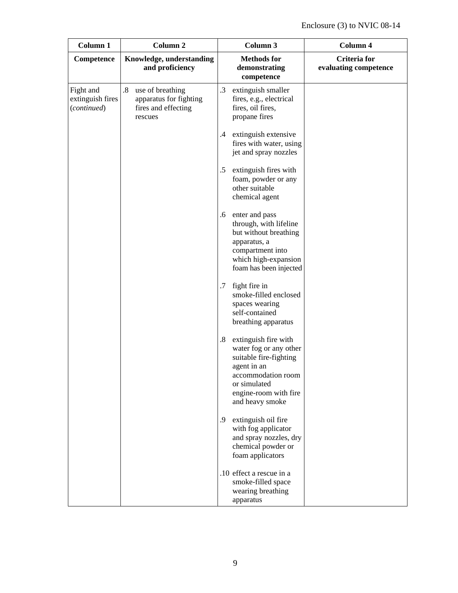| Column 1                                     | Column <sub>2</sub>                                                                              | Column 3                                                                                                                                                                        | Column 4                                     |
|----------------------------------------------|--------------------------------------------------------------------------------------------------|---------------------------------------------------------------------------------------------------------------------------------------------------------------------------------|----------------------------------------------|
| Competence                                   | Knowledge, understanding<br>and proficiency                                                      | <b>Methods</b> for<br>demonstrating<br>competence                                                                                                                               | <b>Criteria</b> for<br>evaluating competence |
| Fight and<br>extinguish fires<br>(continued) | $\boldsymbol{8}$<br>use of breathing<br>apparatus for fighting<br>fires and effecting<br>rescues | .3<br>extinguish smaller<br>fires, e.g., electrical<br>fires, oil fires,<br>propane fires                                                                                       |                                              |
|                                              |                                                                                                  | extinguish extensive<br>$\cdot$<br>fires with water, using<br>jet and spray nozzles                                                                                             |                                              |
|                                              |                                                                                                  | $.5\,$<br>extinguish fires with<br>foam, powder or any<br>other suitable<br>chemical agent                                                                                      |                                              |
|                                              |                                                                                                  | enter and pass<br>.6<br>through, with lifeline<br>but without breathing<br>apparatus, a<br>compartment into<br>which high-expansion<br>foam has been injected                   |                                              |
|                                              |                                                                                                  | fight fire in<br>.7<br>smoke-filled enclosed<br>spaces wearing<br>self-contained<br>breathing apparatus                                                                         |                                              |
|                                              |                                                                                                  | .8<br>extinguish fire with<br>water fog or any other<br>suitable fire-fighting<br>agent in an<br>accommodation room<br>or simulated<br>engine-room with fire<br>and heavy smoke |                                              |
|                                              |                                                                                                  | extinguish oil fire<br>.9<br>with fog applicator<br>and spray nozzles, dry<br>chemical powder or<br>foam applicators                                                            |                                              |
|                                              |                                                                                                  | .10 effect a rescue in a<br>smoke-filled space<br>wearing breathing<br>apparatus                                                                                                |                                              |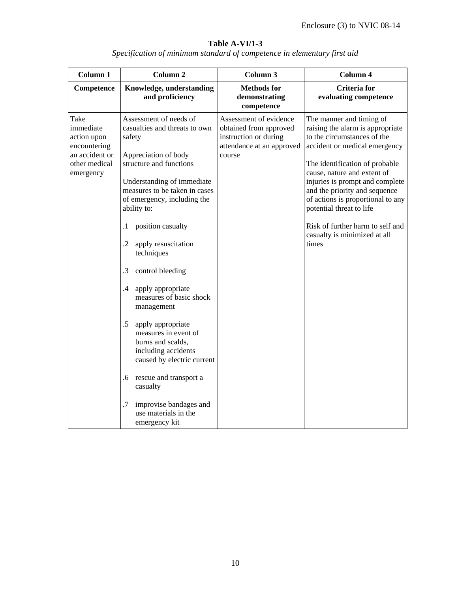| Column 1                                                                                         | Column <sub>2</sub>                                                                                                                                                                                                                                                                                                                                                                                                                                                                                                                                                                                                                                                           | Column 3                                                                                                         | Column 4                                                                                                                                                                                                                                                                                                                                                                                                        |
|--------------------------------------------------------------------------------------------------|-------------------------------------------------------------------------------------------------------------------------------------------------------------------------------------------------------------------------------------------------------------------------------------------------------------------------------------------------------------------------------------------------------------------------------------------------------------------------------------------------------------------------------------------------------------------------------------------------------------------------------------------------------------------------------|------------------------------------------------------------------------------------------------------------------|-----------------------------------------------------------------------------------------------------------------------------------------------------------------------------------------------------------------------------------------------------------------------------------------------------------------------------------------------------------------------------------------------------------------|
| Competence                                                                                       | Knowledge, understanding<br>and proficiency                                                                                                                                                                                                                                                                                                                                                                                                                                                                                                                                                                                                                                   | <b>Methods</b> for<br>demonstrating<br>competence                                                                | <b>Criteria</b> for<br>evaluating competence                                                                                                                                                                                                                                                                                                                                                                    |
| Take<br>immediate<br>action upon<br>encountering<br>an accident or<br>other medical<br>emergency | Assessment of needs of<br>casualties and threats to own<br>safety<br>Appreciation of body<br>structure and functions<br>Understanding of immediate<br>measures to be taken in cases<br>of emergency, including the<br>ability to:<br>position casualty<br>$\cdot$ 1<br>$\cdot$ 2<br>apply resuscitation<br>techniques<br>.3<br>control bleeding<br>apply appropriate<br>$\cdot$ 4<br>measures of basic shock<br>management<br>$.5\,$<br>apply appropriate<br>measures in event of<br>burns and scalds,<br>including accidents<br>caused by electric current<br>.6 rescue and transport a<br>casualty<br>.7<br>improvise bandages and<br>use materials in the<br>emergency kit | Assessment of evidence<br>obtained from approved<br>instruction or during<br>attendance at an approved<br>course | The manner and timing of<br>raising the alarm is appropriate<br>to the circumstances of the<br>accident or medical emergency<br>The identification of probable<br>cause, nature and extent of<br>injuries is prompt and complete<br>and the priority and sequence<br>of actions is proportional to any<br>potential threat to life<br>Risk of further harm to self and<br>casualty is minimized at all<br>times |

*Specification of minimum standard of competence in elementary first aid*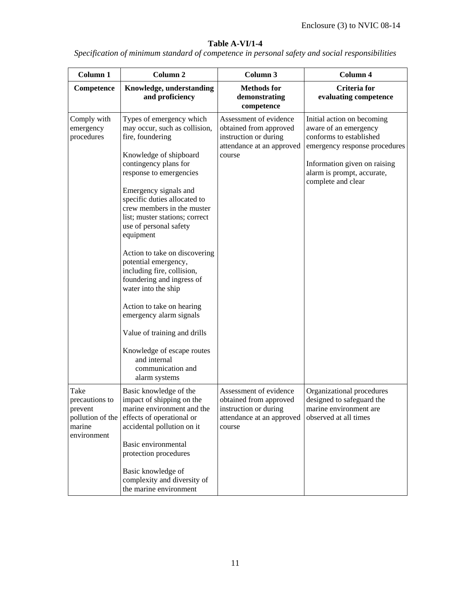*Specification of minimum standard of competence in personal safety and social responsibilities* 

| Column 1                                                                       | Column <sub>2</sub>                                                                                                                                                                                                                                                                                                                                                                                                                                                                                                                                                                                                                                | Column 3                                                                                                         | Column 4                                                                                                                                                                                            |
|--------------------------------------------------------------------------------|----------------------------------------------------------------------------------------------------------------------------------------------------------------------------------------------------------------------------------------------------------------------------------------------------------------------------------------------------------------------------------------------------------------------------------------------------------------------------------------------------------------------------------------------------------------------------------------------------------------------------------------------------|------------------------------------------------------------------------------------------------------------------|-----------------------------------------------------------------------------------------------------------------------------------------------------------------------------------------------------|
| Competence                                                                     | Knowledge, understanding<br>and proficiency                                                                                                                                                                                                                                                                                                                                                                                                                                                                                                                                                                                                        | <b>Methods</b> for<br>demonstrating<br>competence                                                                | Criteria for<br>evaluating competence                                                                                                                                                               |
| Comply with<br>emergency<br>procedures                                         | Types of emergency which<br>may occur, such as collision,<br>fire, foundering<br>Knowledge of shipboard<br>contingency plans for<br>response to emergencies<br>Emergency signals and<br>specific duties allocated to<br>crew members in the muster<br>list; muster stations; correct<br>use of personal safety<br>equipment<br>Action to take on discovering<br>potential emergency,<br>including fire, collision,<br>foundering and ingress of<br>water into the ship<br>Action to take on hearing<br>emergency alarm signals<br>Value of training and drills<br>Knowledge of escape routes<br>and internal<br>communication and<br>alarm systems | Assessment of evidence<br>obtained from approved<br>instruction or during<br>attendance at an approved<br>course | Initial action on becoming<br>aware of an emergency<br>conforms to established<br>emergency response procedures<br>Information given on raising<br>alarm is prompt, accurate,<br>complete and clear |
| Take<br>precautions to<br>prevent<br>pollution of the<br>marine<br>environment | Basic knowledge of the<br>impact of shipping on the<br>marine environment and the<br>effects of operational or<br>accidental pollution on it<br>Basic environmental<br>protection procedures<br>Basic knowledge of<br>complexity and diversity of<br>the marine environment                                                                                                                                                                                                                                                                                                                                                                        | Assessment of evidence<br>obtained from approved<br>instruction or during<br>attendance at an approved<br>course | Organizational procedures<br>designed to safeguard the<br>marine environment are<br>observed at all times                                                                                           |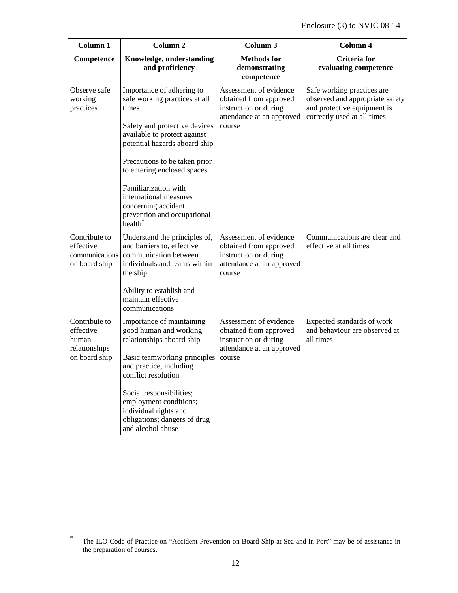| Column 1                                                              | Column <sub>2</sub>                                                                                                                                                                                                                                                                                                                                                  | Column 3                                                                                                         | Column 4                                                                                                                    |
|-----------------------------------------------------------------------|----------------------------------------------------------------------------------------------------------------------------------------------------------------------------------------------------------------------------------------------------------------------------------------------------------------------------------------------------------------------|------------------------------------------------------------------------------------------------------------------|-----------------------------------------------------------------------------------------------------------------------------|
| Competence                                                            | Knowledge, understanding<br>and proficiency                                                                                                                                                                                                                                                                                                                          | <b>Methods</b> for<br>demonstrating<br>competence                                                                | Criteria for<br>evaluating competence                                                                                       |
| Observe safe<br>working<br>practices                                  | Importance of adhering to<br>safe working practices at all<br>times<br>Safety and protective devices<br>available to protect against<br>potential hazards aboard ship<br>Precautions to be taken prior<br>to entering enclosed spaces<br>Familiarization with<br>international measures<br>concerning accident<br>prevention and occupational<br>health <sup>*</sup> | Assessment of evidence<br>obtained from approved<br>instruction or during<br>attendance at an approved<br>course | Safe working practices are<br>observed and appropriate safety<br>and protective equipment is<br>correctly used at all times |
| Contribute to<br>effective<br>communications<br>on board ship         | Understand the principles of,<br>and barriers to, effective<br>communication between<br>individuals and teams within<br>the ship<br>Ability to establish and<br>maintain effective<br>communications                                                                                                                                                                 | Assessment of evidence<br>obtained from approved<br>instruction or during<br>attendance at an approved<br>course | Communications are clear and<br>effective at all times                                                                      |
| Contribute to<br>effective<br>human<br>relationships<br>on board ship | Importance of maintaining<br>good human and working<br>relationships aboard ship<br>Basic teamworking principles<br>and practice, including<br>conflict resolution<br>Social responsibilities;<br>employment conditions;<br>individual rights and<br>obligations; dangers of drug<br>and alcohol abuse                                                               | Assessment of evidence<br>obtained from approved<br>instruction or during<br>attendance at an approved<br>course | Expected standards of work<br>and behaviour are observed at<br>all times                                                    |

 \* The ILO Code of Practice on "Accident Prevention on Board Ship at Sea and in Port" may be of assistance in the preparation of courses.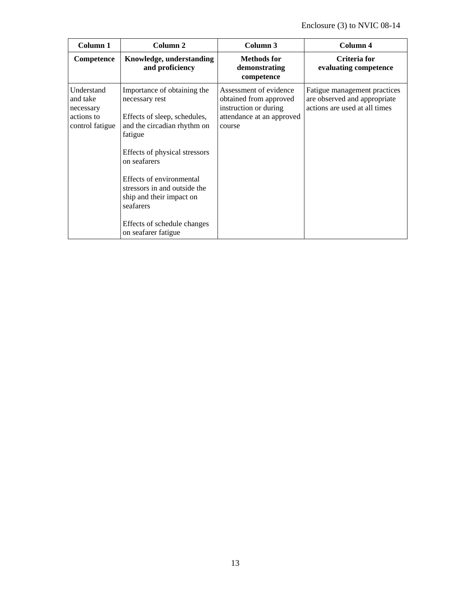| Column 1                                                             | Column 2                                                                                                                                                                                                                                                                                                                            | Column 3                                                                                                         | Column 4                                                                                      |
|----------------------------------------------------------------------|-------------------------------------------------------------------------------------------------------------------------------------------------------------------------------------------------------------------------------------------------------------------------------------------------------------------------------------|------------------------------------------------------------------------------------------------------------------|-----------------------------------------------------------------------------------------------|
| Competence                                                           | Knowledge, understanding<br>and proficiency                                                                                                                                                                                                                                                                                         | <b>Methods</b> for<br>demonstrating<br>competence                                                                | Criteria for<br>evaluating competence                                                         |
| Understand<br>and take<br>necessary<br>actions to<br>control fatigue | Importance of obtaining the<br>necessary rest<br>Effects of sleep, schedules,<br>and the circadian rhythm on<br>fatigue<br>Effects of physical stressors<br>on seafarers<br>Effects of environmental<br>stressors in and outside the<br>ship and their impact on<br>seafarers<br>Effects of schedule changes<br>on seafarer fatigue | Assessment of evidence<br>obtained from approved<br>instruction or during<br>attendance at an approved<br>course | Fatigue management practices<br>are observed and appropriate<br>actions are used at all times |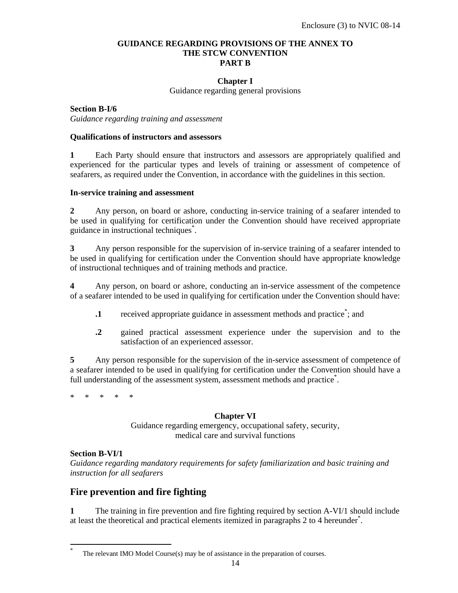#### **GUIDANCE REGARDING PROVISIONS OF THE ANNEX TO THE STCW CONVENTION PART B**

### **Chapter I**

Guidance regarding general provisions

**Section B-I/6** *Guidance regarding training and assessment* 

#### **Qualifications of instructors and assessors**

**1** Each Party should ensure that instructors and assessors are appropriately qualified and experienced for the particular types and levels of training or assessment of competence of seafarers, as required under the Convention, in accordance with the guidelines in this section.

#### **In-service training and assessment**

**2** Any person, on board or ashore, conducting in-service training of a seafarer intended to be used in qualifying for certification under the Convention should have received appropriate guidance in instructional techniques\* .

**3** Any person responsible for the supervision of in-service training of a seafarer intended to be used in qualifying for certification under the Convention should have appropriate knowledge of instructional techniques and of training methods and practice.

**4** Any person, on board or ashore, conducting an in-service assessment of the competence of a seafarer intended to be used in qualifying for certification under the Convention should have:

- **1** received appropriate guidance in assessment methods and practice<sup>\*</sup>; and
- **.2** gained practical assessment experience under the supervision and to the satisfaction of an experienced assessor.

**5** Any person responsible for the supervision of the in-service assessment of competence of a seafarer intended to be used in qualifying for certification under the Convention should have a full understanding of the assessment system, assessment methods and practice<sup>\*</sup>.

\* \* \* \* \*

#### **Chapter VI**

Guidance regarding emergency, occupational safety, security, medical care and survival functions

#### **Section B-VI/1**

-

*Guidance regarding mandatory requirements for safety familiarization and basic training and instruction for all seafarers* 

# **Fire prevention and fire fighting**

**1** The training in fire prevention and fire fighting required by section A-VI/1 should include at least the theoretical and practical elements itemized in paragraphs 2 to 4 hereunder\* .

<sup>\*</sup> The relevant IMO Model Course(s) may be of assistance in the preparation of courses.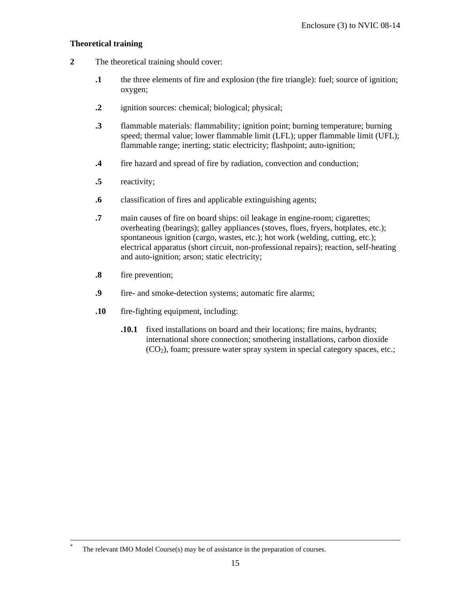### **Theoretical training**

- **2** The theoretical training should cover:
	- **.1** the three elements of fire and explosion (the fire triangle): fuel; source of ignition; oxygen;
	- **.2** ignition sources: chemical; biological; physical;
	- **.3** flammable materials: flammability; ignition point; burning temperature; burning speed; thermal value; lower flammable limit (LFL); upper flammable limit (UFL); flammable range; inerting; static electricity; flashpoint; auto-ignition;
	- **.4** fire hazard and spread of fire by radiation, convection and conduction;
	- **.5** reactivity;
	- **.6** classification of fires and applicable extinguishing agents;
	- **.7** main causes of fire on board ships: oil leakage in engine-room; cigarettes; overheating (bearings); galley appliances (stoves, flues, fryers, hotplates, etc.); spontaneous ignition (cargo, wastes, etc.); hot work (welding, cutting, etc.); electrical apparatus (short circuit, non-professional repairs); reaction, self-heating and auto-ignition; arson; static electricity;
	- **.8** fire prevention;
	- **.9** fire- and smoke-detection systems; automatic fire alarms;
	- **.10** fire-fighting equipment, including:
		- **.10.1** fixed installations on board and their locations; fire mains, hydrants; international shore connection; smothering installations, carbon dioxide  $(CO<sub>2</sub>)$ , foam; pressure water spray system in special category spaces, etc.;

The relevant IMO Model Course $(s)$  may be of assistance in the preparation of courses.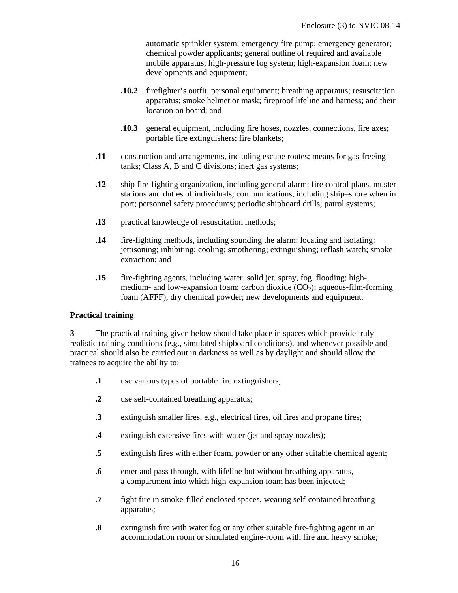automatic sprinkler system; emergency fire pump; emergency generator; chemical powder applicants; general outline of required and available mobile apparatus; high-pressure fog system; high-expansion foam; new developments and equipment;

- **.10.2** firefighter's outfit, personal equipment; breathing apparatus; resuscitation apparatus; smoke helmet or mask; fireproof lifeline and harness; and their location on board; and
- **.10.3** general equipment, including fire hoses, nozzles, connections, fire axes; portable fire extinguishers; fire blankets;
- **.11** construction and arrangements, including escape routes; means for gas-freeing tanks; Class A, B and C divisions; inert gas systems;
- **.12** ship fire-fighting organization, including general alarm; fire control plans, muster stations and duties of individuals; communications, including ship–shore when in port; personnel safety procedures; periodic shipboard drills; patrol systems;
- **.13** practical knowledge of resuscitation methods;
- **.14** fire-fighting methods, including sounding the alarm; locating and isolating; jettisoning; inhibiting; cooling; smothering; extinguishing; reflash watch; smoke extraction; and
- **.15** fire-fighting agents, including water, solid jet, spray, fog, flooding; high-, medium- and low-expansion foam; carbon dioxide  $(CO<sub>2</sub>)$ ; aqueous-film-forming foam (AFFF); dry chemical powder; new developments and equipment.

#### **Practical training**

**3** The practical training given below should take place in spaces which provide truly realistic training conditions (e.g., simulated shipboard conditions), and whenever possible and practical should also be carried out in darkness as well as by daylight and should allow the trainees to acquire the ability to:

- **.1** use various types of portable fire extinguishers;
- **.2** use self-contained breathing apparatus;
- **.3** extinguish smaller fires, e.g., electrical fires, oil fires and propane fires;
- **.4** extinguish extensive fires with water (jet and spray nozzles);
- **.5** extinguish fires with either foam, powder or any other suitable chemical agent;
- **.6** enter and pass through, with lifeline but without breathing apparatus, a compartment into which high-expansion foam has been injected;
- **.7** fight fire in smoke-filled enclosed spaces, wearing self-contained breathing apparatus;
- **.8** extinguish fire with water fog or any other suitable fire-fighting agent in an accommodation room or simulated engine-room with fire and heavy smoke;